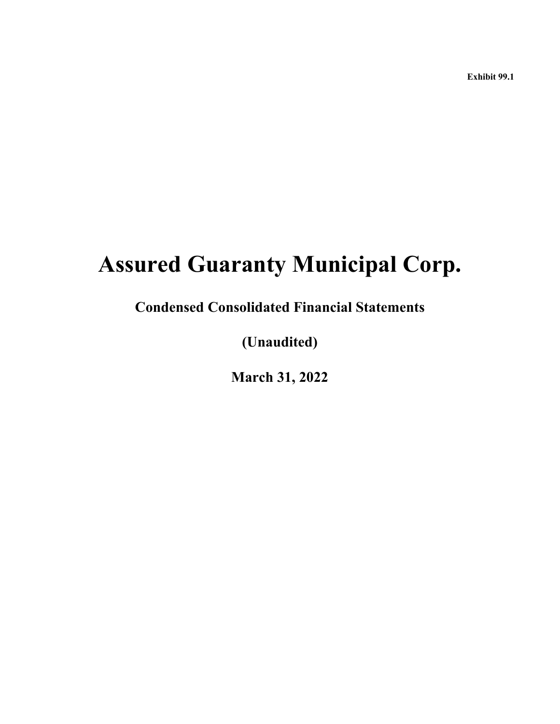**Exhibit 99.1**

# **Assured Guaranty Municipal Corp.**

**Condensed Consolidated Financial Statements**

**(Unaudited)**

**March 31, 2022**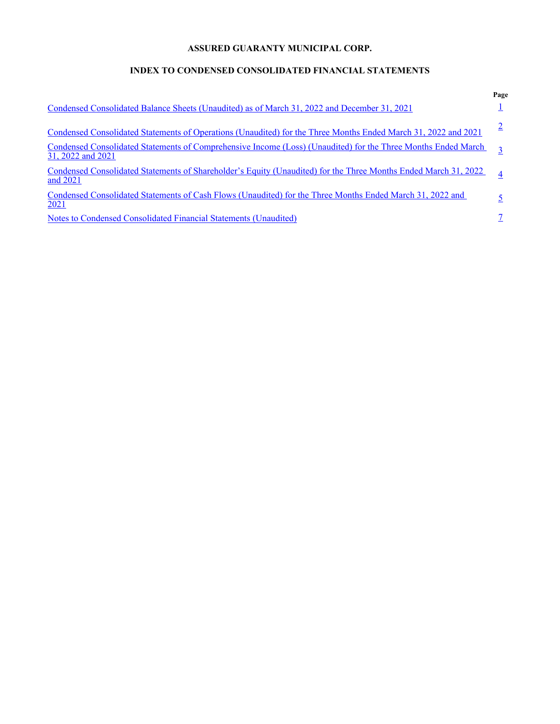# **ASSURED GUARANTY MUNICIPAL CORP.**

# **INDEX TO CONDENSED CONSOLIDATED FINANCIAL STATEMENTS**

|                                                                                                                                           | Page |
|-------------------------------------------------------------------------------------------------------------------------------------------|------|
| Condensed Consolidated Balance Sheets (Unaudited) as of March 31, 2022 and December 31, 2021                                              |      |
| Condensed Consolidated Statements of Operations (Unaudited) for the Three Months Ended March 31, 2022 and 2021                            |      |
| <u>Condensed Consolidated Statements of Comprehensive Income (Loss) (Unaudited) for the Three Months Ended March</u><br>31, 2022 and 2021 | 3    |
| Condensed Consolidated Statements of Shareholder's Equity (Unaudited) for the Three Months Ended March 31, 2022<br>and 2021               |      |
| Condensed Consolidated Statements of Cash Flows (Unaudited) for the Three Months Ended March 31, 2022 and<br>2021                         |      |
| Notes to Condensed Consolidated Financial Statements (Unaudited)                                                                          |      |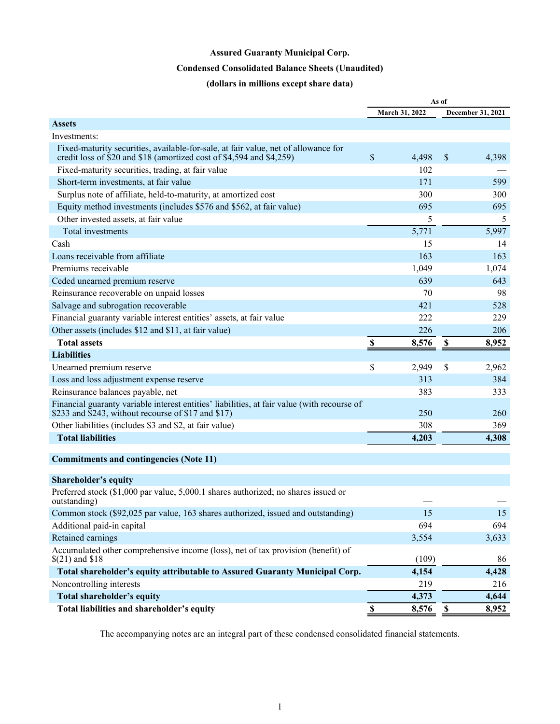# **Condensed Consolidated Balance Sheets (Unaudited)**

# **(dollars in millions except share data)**

<span id="page-2-0"></span>

|                                                                                                                                                            |                           |                | As of                     |                   |
|------------------------------------------------------------------------------------------------------------------------------------------------------------|---------------------------|----------------|---------------------------|-------------------|
|                                                                                                                                                            |                           | March 31, 2022 |                           | December 31, 2021 |
| <b>Assets</b>                                                                                                                                              |                           |                |                           |                   |
| Investments:                                                                                                                                               |                           |                |                           |                   |
| Fixed-maturity securities, available-for-sale, at fair value, net of allowance for<br>credit loss of \$20 and \$18 (amortized cost of \$4,594 and \$4,259) | $\$$                      | 4,498          | $\mathsf{\$}$             | 4,398             |
| Fixed-maturity securities, trading, at fair value                                                                                                          |                           | 102            |                           |                   |
| Short-term investments, at fair value                                                                                                                      |                           | 171            |                           | 599               |
| Surplus note of affiliate, held-to-maturity, at amortized cost                                                                                             |                           | 300            |                           | 300               |
| Equity method investments (includes \$576 and \$562, at fair value)                                                                                        |                           | 695            |                           | 695               |
| Other invested assets, at fair value                                                                                                                       |                           | 5              |                           | 5                 |
| Total investments                                                                                                                                          |                           | 5,771          |                           | 5,997             |
| Cash                                                                                                                                                       |                           | 15             |                           | 14                |
| Loans receivable from affiliate                                                                                                                            |                           | 163            |                           | 163               |
| Premiums receivable                                                                                                                                        |                           | 1,049          |                           | 1,074             |
| Ceded unearned premium reserve                                                                                                                             |                           | 639            |                           | 643               |
| Reinsurance recoverable on unpaid losses                                                                                                                   |                           | 70             |                           | 98                |
| Salvage and subrogation recoverable                                                                                                                        |                           | 421            |                           | 528               |
| Financial guaranty variable interest entities' assets, at fair value                                                                                       |                           | 222            |                           | 229               |
| Other assets (includes \$12 and \$11, at fair value)                                                                                                       |                           | 226            |                           | 206               |
| <b>Total assets</b>                                                                                                                                        | \$                        | 8,576          | \$                        | 8,952             |
| <b>Liabilities</b>                                                                                                                                         |                           |                |                           |                   |
| Unearned premium reserve                                                                                                                                   | \$                        | 2,949          | \$                        | 2,962             |
| Loss and loss adjustment expense reserve                                                                                                                   |                           | 313            |                           | 384               |
| Reinsurance balances payable, net                                                                                                                          |                           | 383            |                           | 333               |
| Financial guaranty variable interest entities' liabilities, at fair value (with recourse of<br>\$233 and \$243, without recourse of \$17 and \$17)         |                           | 250            |                           | 260               |
| Other liabilities (includes \$3 and \$2, at fair value)                                                                                                    |                           | 308            |                           | 369               |
| <b>Total liabilities</b>                                                                                                                                   |                           | 4,203          |                           | 4,308             |
|                                                                                                                                                            |                           |                |                           |                   |
| <b>Commitments and contingencies (Note 11)</b>                                                                                                             |                           |                |                           |                   |
| Shareholder's equity                                                                                                                                       |                           |                |                           |                   |
| Preferred stock (\$1,000 par value, 5,000.1 shares authorized; no shares issued or<br>outstanding)                                                         |                           |                |                           |                   |
| Common stock (\$92,025 par value, 163 shares authorized, issued and outstanding)                                                                           |                           | 15             |                           | 15                |
| Additional paid-in capital                                                                                                                                 |                           | 694            |                           | 694               |
| Retained earnings                                                                                                                                          |                           | 3,554          |                           | 3,633             |
| Accumulated other comprehensive income (loss), net of tax provision (benefit) of<br>$$(21)$ and \$18                                                       |                           | (109)          |                           | 86                |
| Total shareholder's equity attributable to Assured Guaranty Municipal Corp.                                                                                |                           | 4,154          |                           | 4,428             |
| Noncontrolling interests                                                                                                                                   |                           | 219            |                           | 216               |
| <b>Total shareholder's equity</b>                                                                                                                          |                           | 4,373          |                           | 4,644             |
| Total liabilities and shareholder's equity                                                                                                                 | $\boldsymbol{\mathsf{S}}$ | 8,576          | $\boldsymbol{\mathsf{S}}$ | 8,952             |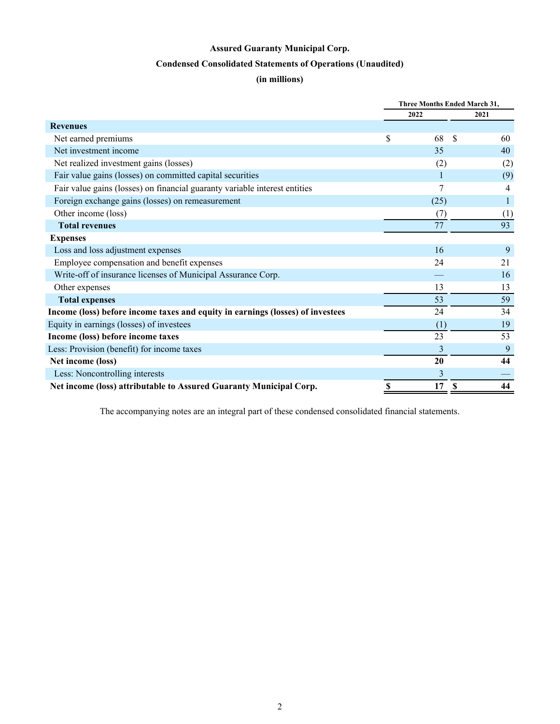# **Condensed Consolidated Statements of Operations (Unaudited)**

# **(in millions)**

<span id="page-3-0"></span>

|                                                                                | Three Months Ended March 31, |                |
|--------------------------------------------------------------------------------|------------------------------|----------------|
|                                                                                | 2022                         | 2021           |
| <b>Revenues</b>                                                                |                              |                |
| Net earned premiums                                                            | \$<br>68<br>\$.              | 60             |
| Net investment income                                                          | 35                           | 40             |
| Net realized investment gains (losses)                                         | (2)                          | (2)            |
| Fair value gains (losses) on committed capital securities                      |                              | (9)            |
| Fair value gains (losses) on financial guaranty variable interest entities     |                              | $\overline{4}$ |
| Foreign exchange gains (losses) on remeasurement                               | (25)                         |                |
| Other income (loss)                                                            | (7)                          | (1)            |
| <b>Total revenues</b>                                                          | 77                           | 93             |
| <b>Expenses</b>                                                                |                              |                |
| Loss and loss adjustment expenses                                              | 16                           | 9              |
| Employee compensation and benefit expenses                                     | 24                           | 21             |
| Write-off of insurance licenses of Municipal Assurance Corp.                   |                              | 16             |
| Other expenses                                                                 | 13                           | 13             |
| <b>Total expenses</b>                                                          | 53                           | 59             |
| Income (loss) before income taxes and equity in earnings (losses) of investees | 24                           | 34             |
| Equity in earnings (losses) of investees                                       | (1)                          | 19             |
| Income (loss) before income taxes                                              | 23                           | 53             |
| Less: Provision (benefit) for income taxes                                     | 3                            | 9              |
| Net income (loss)                                                              | 20                           | 44             |
| Less: Noncontrolling interests                                                 | 3                            |                |
| Net income (loss) attributable to Assured Guaranty Municipal Corp.             | \$<br>17<br>S                | 44             |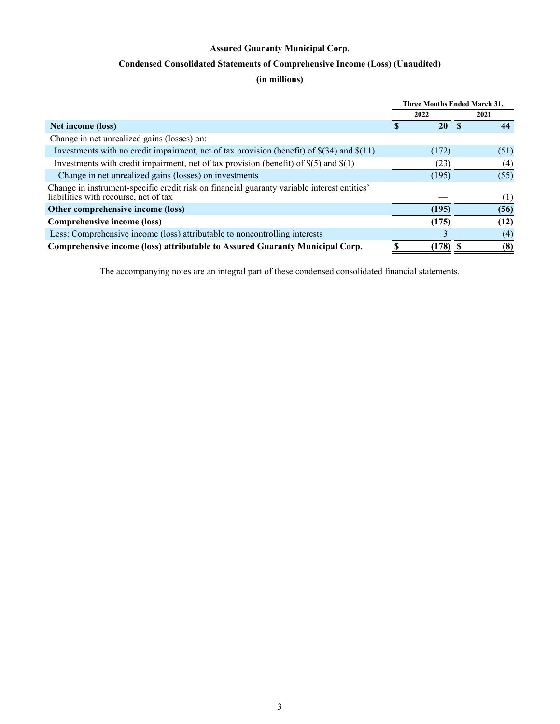# **Condensed Consolidated Statements of Comprehensive Income (Loss) (Unaudited)**

# **(in millions)**

<span id="page-4-0"></span>

|                                                                                                                                      | Three Months Ended March 31, |      |
|--------------------------------------------------------------------------------------------------------------------------------------|------------------------------|------|
|                                                                                                                                      | 2022                         | 2021 |
| Net income (loss)                                                                                                                    | 20                           | 44   |
| Change in net unrealized gains (losses) on:                                                                                          |                              |      |
| Investments with no credit impairment, net of tax provision (benefit) of $\S(34)$ and $\S(11)$                                       | (172)                        | (51) |
| Investments with credit impairment, net of tax provision (benefit) of $\S(5)$ and $\S(1)$                                            | (23)                         | (4)  |
| Change in net unrealized gains (losses) on investments                                                                               | (195)                        | (55) |
| Change in instrument-specific credit risk on financial guaranty variable interest entities'<br>liabilities with recourse, net of tax |                              | (1)  |
| Other comprehensive income (loss)                                                                                                    | (195)                        | (56) |
| Comprehensive income (loss)                                                                                                          | (175)                        | (12) |
| Less: Comprehensive income (loss) attributable to noncontrolling interests                                                           | 3                            | (4)  |
| Comprehensive income (loss) attributable to Assured Guaranty Municipal Corp.                                                         | $(178)$ \$                   | (8)  |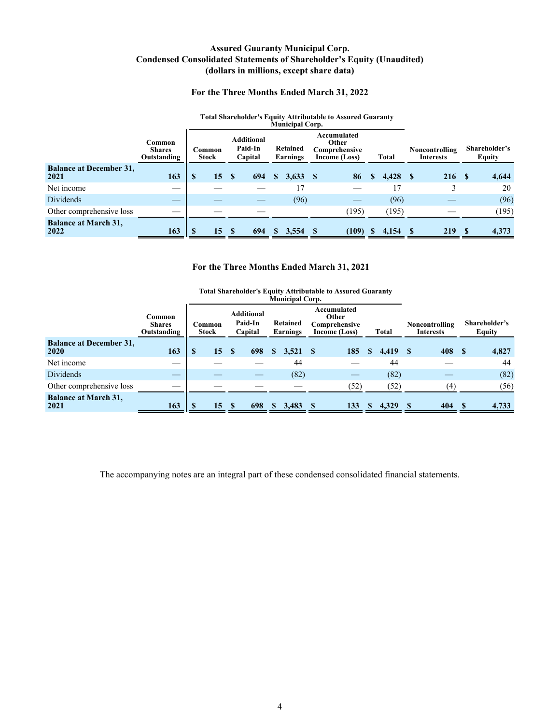## **Assured Guaranty Municipal Corp. Condensed Consolidated Statements of Shareholder's Equity (Unaudited) (dollars in millions, except share data)**

#### **For the Three Months Ended March 31, 2022**

#### **Total Shareholder's Equity Attributable to Assured Guaranty**

<span id="page-5-0"></span>

|                                        |                                        |                        |      |                                         |   | Municipal Corp.      |                                                        |    |              |                                    |                                |       |
|----------------------------------------|----------------------------------------|------------------------|------|-----------------------------------------|---|----------------------|--------------------------------------------------------|----|--------------|------------------------------------|--------------------------------|-------|
|                                        | Common<br><b>Shares</b><br>Outstanding | Common<br><b>Stock</b> |      | <b>Additional</b><br>Paid-In<br>Capital |   | Retained<br>Earnings | Accumulated<br>Other<br>Comprehensive<br>Income (Loss) |    | <b>Total</b> | Noncontrolling<br><b>Interests</b> | Shareholder's<br><b>Equity</b> |       |
| <b>Balance at December 31,</b><br>2021 | 163                                    | - \$<br>15             | - \$ | 694                                     | S | 3,633                | 86                                                     | \$ | $4,428$ \$   | 216S                               |                                | 4,644 |
| Net income                             |                                        |                        |      |                                         |   | 17                   |                                                        |    | 17           |                                    |                                | 20    |
| <b>Dividends</b>                       | _                                      |                        |      |                                         |   | (96)                 |                                                        |    | (96)         |                                    |                                | (96)  |
| Other comprehensive loss               | __                                     |                        |      |                                         |   |                      | (195)                                                  |    | (195)        |                                    |                                | (195) |
| <b>Balance at March 31,</b><br>2022    | 163                                    | 15                     |      | 694                                     |   | 3,554                | (109)                                                  | S. | 4,154        | 219                                |                                | 4,373 |

#### **For the Three Months Ended March 31, 2021**

|                                        | <b>Total Shareholder's Equity Attributable to Assured Guaranty</b><br><b>Municipal Corp.</b><br>Accumulated<br><b>Additional</b><br>Other<br>Common |                        |    |    |                    |    |                             |          |                                |          |       |      |                                    |    |                                |
|----------------------------------------|-----------------------------------------------------------------------------------------------------------------------------------------------------|------------------------|----|----|--------------------|----|-----------------------------|----------|--------------------------------|----------|-------|------|------------------------------------|----|--------------------------------|
|                                        | <b>Shares</b><br>Outstanding                                                                                                                        | Common<br><b>Stock</b> |    |    | Paid-In<br>Capital |    | <b>Retained</b><br>Earnings |          | Comprehensive<br>Income (Loss) |          | Total |      | Noncontrolling<br><b>Interests</b> |    | Shareholder's<br><b>Equity</b> |
| <b>Balance at December 31,</b><br>2020 | 163                                                                                                                                                 | S                      | 15 | S  | 698                | S. | 3,521                       | <b>S</b> | 185                            | S        | 4,419 | - \$ | 408                                | -S | 4,827                          |
| Net income                             |                                                                                                                                                     |                        |    |    |                    |    | 44                          |          |                                |          | 44    |      |                                    |    | 44                             |
| Dividends                              | _                                                                                                                                                   |                        |    |    |                    |    | (82)                        |          |                                |          | (82)  |      |                                    |    | (82)                           |
| Other comprehensive loss               |                                                                                                                                                     |                        |    |    |                    |    |                             |          | (52)                           |          | (52)  |      | (4)                                |    | (56)                           |
| <b>Balance at March 31,</b><br>2021    | 163                                                                                                                                                 |                        | 15 | -S | 698                |    | 3,483                       | -S       | 133                            | <b>S</b> | 4,329 | - S  | 404                                | -S | 4,733                          |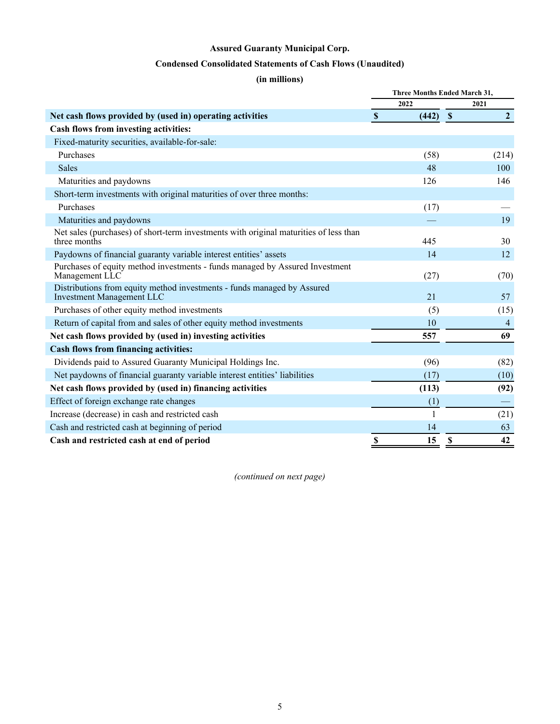# **Condensed Consolidated Statements of Cash Flows (Unaudited)**

# **(in millions)**

<span id="page-6-0"></span>

|                                                                                                             |              | Three Months Ended March 31,    |
|-------------------------------------------------------------------------------------------------------------|--------------|---------------------------------|
|                                                                                                             | 2022         | 2021                            |
| Net cash flows provided by (used in) operating activities                                                   | (442)<br>S   | $\overline{2}$<br>$\mathbf{\$}$ |
| Cash flows from investing activities:                                                                       |              |                                 |
| Fixed-maturity securities, available-for-sale:                                                              |              |                                 |
| Purchases                                                                                                   | (58)         | (214)                           |
| <b>Sales</b>                                                                                                | 48           | 100                             |
| Maturities and paydowns                                                                                     | 126          | 146                             |
| Short-term investments with original maturities of over three months:                                       |              |                                 |
| Purchases                                                                                                   | (17)         |                                 |
| Maturities and paydowns                                                                                     |              | 19                              |
| Net sales (purchases) of short-term investments with original maturities of less than<br>three months       | 445          | 30                              |
| Paydowns of financial guaranty variable interest entities' assets                                           | 14           | 12                              |
| Purchases of equity method investments - funds managed by Assured Investment<br>Management LLC              | (27)         | (70)                            |
| Distributions from equity method investments - funds managed by Assured<br><b>Investment Management LLC</b> | 21           | 57                              |
| Purchases of other equity method investments                                                                | (5)          | (15)                            |
| Return of capital from and sales of other equity method investments                                         | 10           | $\overline{4}$                  |
| Net cash flows provided by (used in) investing activities                                                   | 557          | 69                              |
| <b>Cash flows from financing activities:</b>                                                                |              |                                 |
| Dividends paid to Assured Guaranty Municipal Holdings Inc.                                                  | (96)         | (82)                            |
| Net paydowns of financial guaranty variable interest entities' liabilities                                  | (17)         | (10)                            |
| Net cash flows provided by (used in) financing activities                                                   | (113)        | (92)                            |
| Effect of foreign exchange rate changes                                                                     | (1)          |                                 |
| Increase (decrease) in cash and restricted cash                                                             | $\mathbf{1}$ | (21)                            |
| Cash and restricted cash at beginning of period                                                             | 14           | 63                              |
| Cash and restricted cash at end of period                                                                   | \$<br>15     | 42<br>S                         |

*(continued on next page)*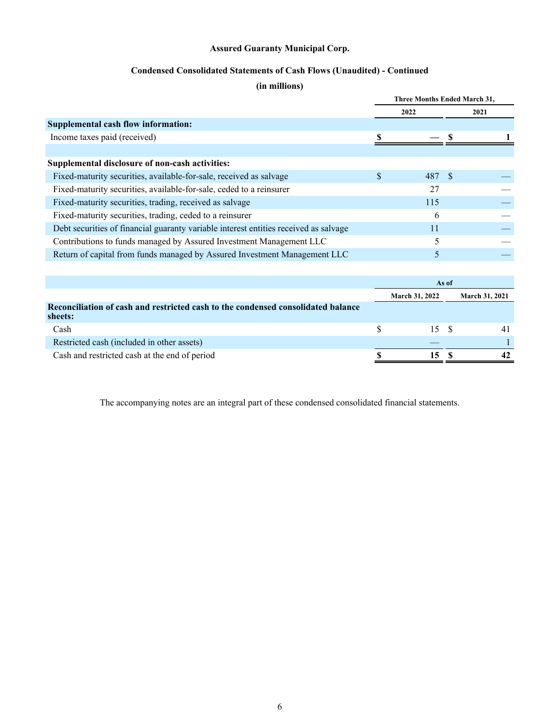# **Condensed Consolidated Statements of Cash Flows (Unaudited) - Continued**

# **(in millions)**

|                                                                                      |   | Three Months Ended March 31, |      |
|--------------------------------------------------------------------------------------|---|------------------------------|------|
|                                                                                      |   | 2022                         | 2021 |
| Supplemental cash flow information:                                                  |   |                              |      |
| Income taxes paid (received)                                                         |   |                              |      |
|                                                                                      |   |                              |      |
| Supplemental disclosure of non-cash activities:                                      |   |                              |      |
| Fixed-maturity securities, available-for-sale, received as salvage                   | S | 487 \$                       |      |
| Fixed-maturity securities, available-for-sale, ceded to a reinsurer                  |   | 27                           |      |
| Fixed-maturity securities, trading, received as salvage                              |   | 115                          |      |
| Fixed-maturity securities, trading, ceded to a reinsurer                             |   | 6                            |      |
| Debt securities of financial guaranty variable interest entities received as salvage |   | 11                           |      |
| Contributions to funds managed by Assured Investment Management LLC                  |   | 5                            |      |
| Return of capital from funds managed by Assured Investment Management LLC            |   | 5                            |      |
|                                                                                      |   |                              |      |

|                                                                                             |                       | As of |                       |  |  |
|---------------------------------------------------------------------------------------------|-----------------------|-------|-----------------------|--|--|
|                                                                                             | <b>March 31, 2022</b> |       | <b>March 31, 2021</b> |  |  |
| Reconciliation of cash and restricted cash to the condensed consolidated balance<br>sheets: |                       |       |                       |  |  |
| Cash                                                                                        | 15 S                  |       | 41                    |  |  |
| Restricted cash (included in other assets)                                                  |                       |       |                       |  |  |
| Cash and restricted cash at the end of period                                               | 15                    |       | 42                    |  |  |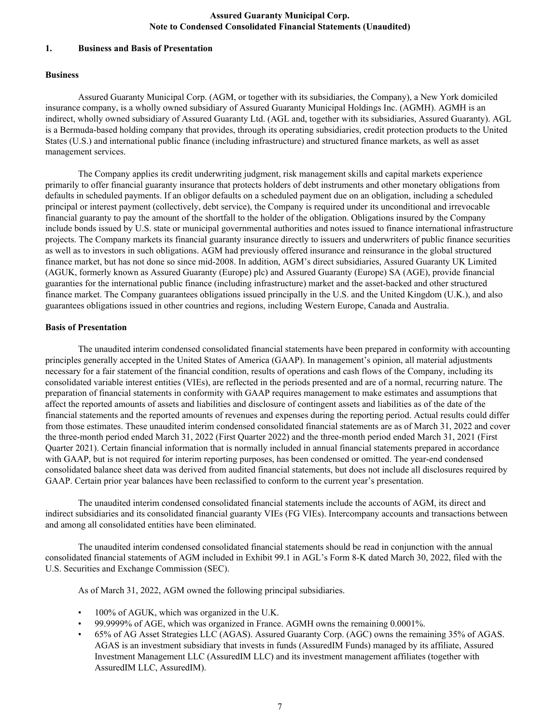#### <span id="page-8-0"></span>**1. Business and Basis of Presentation**

#### **Business**

Assured Guaranty Municipal Corp. (AGM, or together with its subsidiaries, the Company), a New York domiciled insurance company, is a wholly owned subsidiary of Assured Guaranty Municipal Holdings Inc. (AGMH). AGMH is an indirect, wholly owned subsidiary of Assured Guaranty Ltd. (AGL and, together with its subsidiaries, Assured Guaranty). AGL is a Bermuda-based holding company that provides, through its operating subsidiaries, credit protection products to the United States (U.S.) and international public finance (including infrastructure) and structured finance markets, as well as asset management services.

The Company applies its credit underwriting judgment, risk management skills and capital markets experience primarily to offer financial guaranty insurance that protects holders of debt instruments and other monetary obligations from defaults in scheduled payments. If an obligor defaults on a scheduled payment due on an obligation, including a scheduled principal or interest payment (collectively, debt service), the Company is required under its unconditional and irrevocable financial guaranty to pay the amount of the shortfall to the holder of the obligation. Obligations insured by the Company include bonds issued by U.S. state or municipal governmental authorities and notes issued to finance international infrastructure projects. The Company markets its financial guaranty insurance directly to issuers and underwriters of public finance securities as well as to investors in such obligations. AGM had previously offered insurance and reinsurance in the global structured finance market, but has not done so since mid-2008. In addition, AGM's direct subsidiaries, Assured Guaranty UK Limited (AGUK, formerly known as Assured Guaranty (Europe) plc) and Assured Guaranty (Europe) SA (AGE), provide financial guaranties for the international public finance (including infrastructure) market and the asset-backed and other structured finance market. The Company guarantees obligations issued principally in the U.S. and the United Kingdom (U.K.), and also guarantees obligations issued in other countries and regions, including Western Europe, Canada and Australia.

#### **Basis of Presentation**

The unaudited interim condensed consolidated financial statements have been prepared in conformity with accounting principles generally accepted in the United States of America (GAAP). In management's opinion, all material adjustments necessary for a fair statement of the financial condition, results of operations and cash flows of the Company, including its consolidated variable interest entities (VIEs), are reflected in the periods presented and are of a normal, recurring nature. The preparation of financial statements in conformity with GAAP requires management to make estimates and assumptions that affect the reported amounts of assets and liabilities and disclosure of contingent assets and liabilities as of the date of the financial statements and the reported amounts of revenues and expenses during the reporting period. Actual results could differ from those estimates. These unaudited interim condensed consolidated financial statements are as of March 31, 2022 and cover the three-month period ended March 31, 2022 (First Quarter 2022) and the three-month period ended March 31, 2021 (First Quarter 2021). Certain financial information that is normally included in annual financial statements prepared in accordance with GAAP, but is not required for interim reporting purposes, has been condensed or omitted. The year-end condensed consolidated balance sheet data was derived from audited financial statements, but does not include all disclosures required by GAAP. Certain prior year balances have been reclassified to conform to the current year's presentation.

The unaudited interim condensed consolidated financial statements include the accounts of AGM, its direct and indirect subsidiaries and its consolidated financial guaranty VIEs (FG VIEs). Intercompany accounts and transactions between and among all consolidated entities have been eliminated.

The unaudited interim condensed consolidated financial statements should be read in conjunction with the annual consolidated financial statements of AGM included in Exhibit 99.1 in AGL's Form 8-K dated March 30, 2022, filed with the U.S. Securities and Exchange Commission (SEC).

As of March 31, 2022, AGM owned the following principal subsidiaries.

- 100% of AGUK, which was organized in the U.K.
- 99.9999% of AGE, which was organized in France. AGMH owns the remaining 0.0001%.
- 65% of AG Asset Strategies LLC (AGAS). Assured Guaranty Corp. (AGC) owns the remaining 35% of AGAS. AGAS is an investment subsidiary that invests in funds (AssuredIM Funds) managed by its affiliate, Assured Investment Management LLC (AssuredIM LLC) and its investment management affiliates (together with AssuredIM LLC, AssuredIM).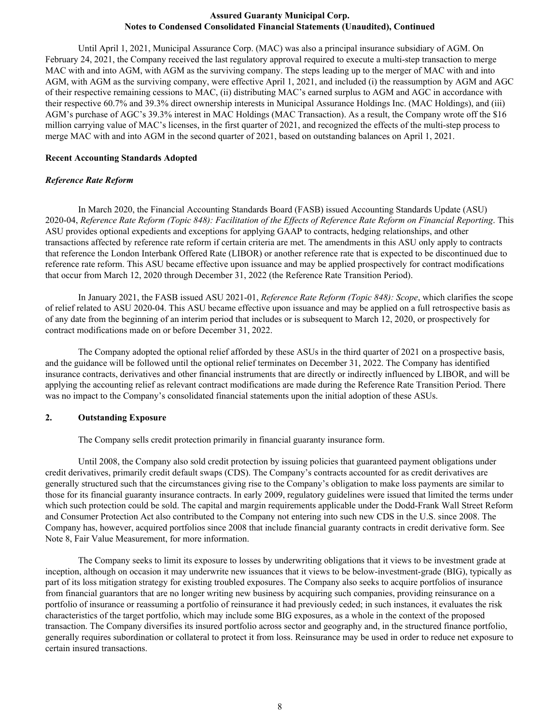Until April 1, 2021, Municipal Assurance Corp. (MAC) was also a principal insurance subsidiary of AGM. On February 24, 2021, the Company received the last regulatory approval required to execute a multi-step transaction to merge MAC with and into AGM, with AGM as the surviving company. The steps leading up to the merger of MAC with and into AGM, with AGM as the surviving company, were effective April 1, 2021, and included (i) the reassumption by AGM and AGC of their respective remaining cessions to MAC, (ii) distributing MAC's earned surplus to AGM and AGC in accordance with their respective 60.7% and 39.3% direct ownership interests in Municipal Assurance Holdings Inc. (MAC Holdings), and (iii) AGM's purchase of AGC's 39.3% interest in MAC Holdings (MAC Transaction). As a result, the Company wrote off the \$16 million carrying value of MAC's licenses, in the first quarter of 2021, and recognized the effects of the multi-step process to merge MAC with and into AGM in the second quarter of 2021, based on outstanding balances on April 1, 2021.

#### **Recent Accounting Standards Adopted**

#### *Reference Rate Reform*

 In March 2020, the Financial Accounting Standards Board (FASB) issued Accounting Standards Update (ASU) 2020-04, *Reference Rate Reform (Topic 848): Facilitation of the Effects of Reference Rate Reform on Financial Reporting*. This ASU provides optional expedients and exceptions for applying GAAP to contracts, hedging relationships, and other transactions affected by reference rate reform if certain criteria are met. The amendments in this ASU only apply to contracts that reference the London Interbank Offered Rate (LIBOR) or another reference rate that is expected to be discontinued due to reference rate reform. This ASU became effective upon issuance and may be applied prospectively for contract modifications that occur from March 12, 2020 through December 31, 2022 (the Reference Rate Transition Period).

In January 2021, the FASB issued ASU 2021-01, *Reference Rate Reform (Topic 848): Scope*, which clarifies the scope of relief related to ASU 2020-04. This ASU became effective upon issuance and may be applied on a full retrospective basis as of any date from the beginning of an interim period that includes or is subsequent to March 12, 2020, or prospectively for contract modifications made on or before December 31, 2022.

The Company adopted the optional relief afforded by these ASUs in the third quarter of 2021 on a prospective basis, and the guidance will be followed until the optional relief terminates on December 31, 2022. The Company has identified insurance contracts, derivatives and other financial instruments that are directly or indirectly influenced by LIBOR, and will be applying the accounting relief as relevant contract modifications are made during the Reference Rate Transition Period. There was no impact to the Company's consolidated financial statements upon the initial adoption of these ASUs.

#### **2. Outstanding Exposure**

The Company sells credit protection primarily in financial guaranty insurance form.

Until 2008, the Company also sold credit protection by issuing policies that guaranteed payment obligations under credit derivatives, primarily credit default swaps (CDS). The Company's contracts accounted for as credit derivatives are generally structured such that the circumstances giving rise to the Company's obligation to make loss payments are similar to those for its financial guaranty insurance contracts. In early 2009, regulatory guidelines were issued that limited the terms under which such protection could be sold. The capital and margin requirements applicable under the Dodd-Frank Wall Street Reform and Consumer Protection Act also contributed to the Company not entering into such new CDS in the U.S. since 2008. The Company has, however, acquired portfolios since 2008 that include financial guaranty contracts in credit derivative form. See Note 8, Fair Value Measurement, for more information.

The Company seeks to limit its exposure to losses by underwriting obligations that it views to be investment grade at inception, although on occasion it may underwrite new issuances that it views to be below-investment-grade (BIG), typically as part of its loss mitigation strategy for existing troubled exposures. The Company also seeks to acquire portfolios of insurance from financial guarantors that are no longer writing new business by acquiring such companies, providing reinsurance on a portfolio of insurance or reassuming a portfolio of reinsurance it had previously ceded; in such instances, it evaluates the risk characteristics of the target portfolio, which may include some BIG exposures, as a whole in the context of the proposed transaction. The Company diversifies its insured portfolio across sector and geography and, in the structured finance portfolio, generally requires subordination or collateral to protect it from loss. Reinsurance may be used in order to reduce net exposure to certain insured transactions.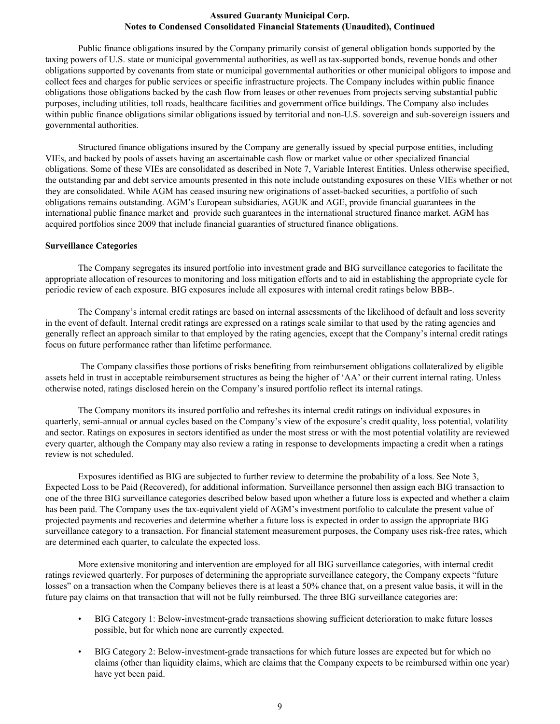Public finance obligations insured by the Company primarily consist of general obligation bonds supported by the taxing powers of U.S. state or municipal governmental authorities, as well as tax-supported bonds, revenue bonds and other obligations supported by covenants from state or municipal governmental authorities or other municipal obligors to impose and collect fees and charges for public services or specific infrastructure projects. The Company includes within public finance obligations those obligations backed by the cash flow from leases or other revenues from projects serving substantial public purposes, including utilities, toll roads, healthcare facilities and government office buildings. The Company also includes within public finance obligations similar obligations issued by territorial and non-U.S. sovereign and sub-sovereign issuers and governmental authorities.

 Structured finance obligations insured by the Company are generally issued by special purpose entities, including VIEs, and backed by pools of assets having an ascertainable cash flow or market value or other specialized financial obligations. Some of these VIEs are consolidated as described in Note 7, Variable Interest Entities. Unless otherwise specified, the outstanding par and debt service amounts presented in this note include outstanding exposures on these VIEs whether or not they are consolidated. While AGM has ceased insuring new originations of asset-backed securities, a portfolio of such obligations remains outstanding. AGM's European subsidiaries, AGUK and AGE, provide financial guarantees in the international public finance market and provide such guarantees in the international structured finance market. AGM has acquired portfolios since 2009 that include financial guaranties of structured finance obligations.

#### **Surveillance Categories**

The Company segregates its insured portfolio into investment grade and BIG surveillance categories to facilitate the appropriate allocation of resources to monitoring and loss mitigation efforts and to aid in establishing the appropriate cycle for periodic review of each exposure. BIG exposures include all exposures with internal credit ratings below BBB-.

The Company's internal credit ratings are based on internal assessments of the likelihood of default and loss severity in the event of default. Internal credit ratings are expressed on a ratings scale similar to that used by the rating agencies and generally reflect an approach similar to that employed by the rating agencies, except that the Company's internal credit ratings focus on future performance rather than lifetime performance.

 The Company classifies those portions of risks benefiting from reimbursement obligations collateralized by eligible assets held in trust in acceptable reimbursement structures as being the higher of 'AA' or their current internal rating. Unless otherwise noted, ratings disclosed herein on the Company's insured portfolio reflect its internal ratings.

The Company monitors its insured portfolio and refreshes its internal credit ratings on individual exposures in quarterly, semi-annual or annual cycles based on the Company's view of the exposure's credit quality, loss potential, volatility and sector. Ratings on exposures in sectors identified as under the most stress or with the most potential volatility are reviewed every quarter, although the Company may also review a rating in response to developments impacting a credit when a ratings review is not scheduled.

Exposures identified as BIG are subjected to further review to determine the probability of a loss. See Note 3, Expected Loss to be Paid (Recovered), for additional information. Surveillance personnel then assign each BIG transaction to one of the three BIG surveillance categories described below based upon whether a future loss is expected and whether a claim has been paid. The Company uses the tax-equivalent yield of AGM's investment portfolio to calculate the present value of projected payments and recoveries and determine whether a future loss is expected in order to assign the appropriate BIG surveillance category to a transaction. For financial statement measurement purposes, the Company uses risk-free rates, which are determined each quarter, to calculate the expected loss.

More extensive monitoring and intervention are employed for all BIG surveillance categories, with internal credit ratings reviewed quarterly. For purposes of determining the appropriate surveillance category, the Company expects "future losses" on a transaction when the Company believes there is at least a 50% chance that, on a present value basis, it will in the future pay claims on that transaction that will not be fully reimbursed. The three BIG surveillance categories are:

- BIG Category 1: Below-investment-grade transactions showing sufficient deterioration to make future losses possible, but for which none are currently expected.
- BIG Category 2: Below-investment-grade transactions for which future losses are expected but for which no claims (other than liquidity claims, which are claims that the Company expects to be reimbursed within one year) have yet been paid.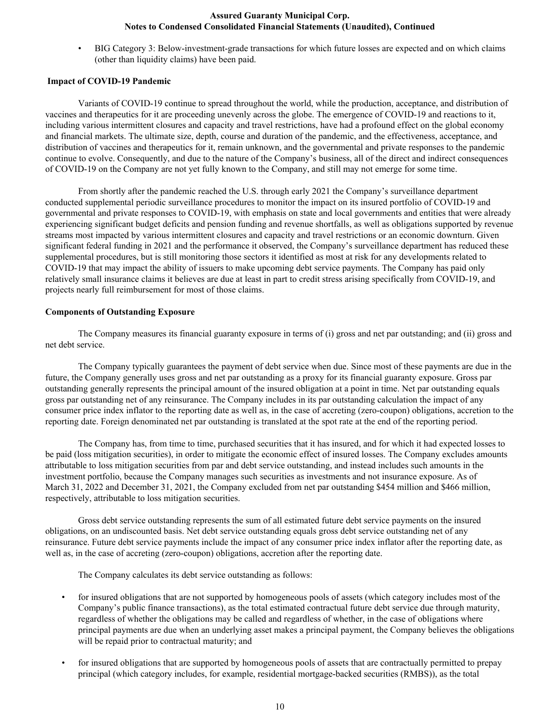• BIG Category 3: Below-investment-grade transactions for which future losses are expected and on which claims (other than liquidity claims) have been paid.

#### **Impact of COVID-19 Pandemic**

 Variants of COVID-19 continue to spread throughout the world, while the production, acceptance, and distribution of vaccines and therapeutics for it are proceeding unevenly across the globe. The emergence of COVID-19 and reactions to it, including various intermittent closures and capacity and travel restrictions, have had a profound effect on the global economy and financial markets. The ultimate size, depth, course and duration of the pandemic, and the effectiveness, acceptance, and distribution of vaccines and therapeutics for it, remain unknown, and the governmental and private responses to the pandemic continue to evolve. Consequently, and due to the nature of the Company's business, all of the direct and indirect consequences of COVID-19 on the Company are not yet fully known to the Company, and still may not emerge for some time.

From shortly after the pandemic reached the U.S. through early 2021 the Company's surveillance department conducted supplemental periodic surveillance procedures to monitor the impact on its insured portfolio of COVID-19 and governmental and private responses to COVID-19, with emphasis on state and local governments and entities that were already experiencing significant budget deficits and pension funding and revenue shortfalls, as well as obligations supported by revenue streams most impacted by various intermittent closures and capacity and travel restrictions or an economic downturn. Given significant federal funding in 2021 and the performance it observed, the Company's surveillance department has reduced these supplemental procedures, but is still monitoring those sectors it identified as most at risk for any developments related to COVID-19 that may impact the ability of issuers to make upcoming debt service payments. The Company has paid only relatively small insurance claims it believes are due at least in part to credit stress arising specifically from COVID-19, and projects nearly full reimbursement for most of those claims.

#### **Components of Outstanding Exposure**

The Company measures its financial guaranty exposure in terms of (i) gross and net par outstanding; and (ii) gross and net debt service.

 The Company typically guarantees the payment of debt service when due. Since most of these payments are due in the future, the Company generally uses gross and net par outstanding as a proxy for its financial guaranty exposure. Gross par outstanding generally represents the principal amount of the insured obligation at a point in time. Net par outstanding equals gross par outstanding net of any reinsurance. The Company includes in its par outstanding calculation the impact of any consumer price index inflator to the reporting date as well as, in the case of accreting (zero-coupon) obligations, accretion to the reporting date. Foreign denominated net par outstanding is translated at the spot rate at the end of the reporting period.

 The Company has, from time to time, purchased securities that it has insured, and for which it had expected losses to be paid (loss mitigation securities), in order to mitigate the economic effect of insured losses. The Company excludes amounts attributable to loss mitigation securities from par and debt service outstanding, and instead includes such amounts in the investment portfolio, because the Company manages such securities as investments and not insurance exposure. As of March 31, 2022 and December 31, 2021, the Company excluded from net par outstanding \$454 million and \$466 million, respectively, attributable to loss mitigation securities.

 Gross debt service outstanding represents the sum of all estimated future debt service payments on the insured obligations, on an undiscounted basis. Net debt service outstanding equals gross debt service outstanding net of any reinsurance. Future debt service payments include the impact of any consumer price index inflator after the reporting date, as well as, in the case of accreting (zero-coupon) obligations, accretion after the reporting date.

The Company calculates its debt service outstanding as follows:

- for insured obligations that are not supported by homogeneous pools of assets (which category includes most of the Company's public finance transactions), as the total estimated contractual future debt service due through maturity, regardless of whether the obligations may be called and regardless of whether, in the case of obligations where principal payments are due when an underlying asset makes a principal payment, the Company believes the obligations will be repaid prior to contractual maturity; and
- for insured obligations that are supported by homogeneous pools of assets that are contractually permitted to prepay principal (which category includes, for example, residential mortgage-backed securities (RMBS)), as the total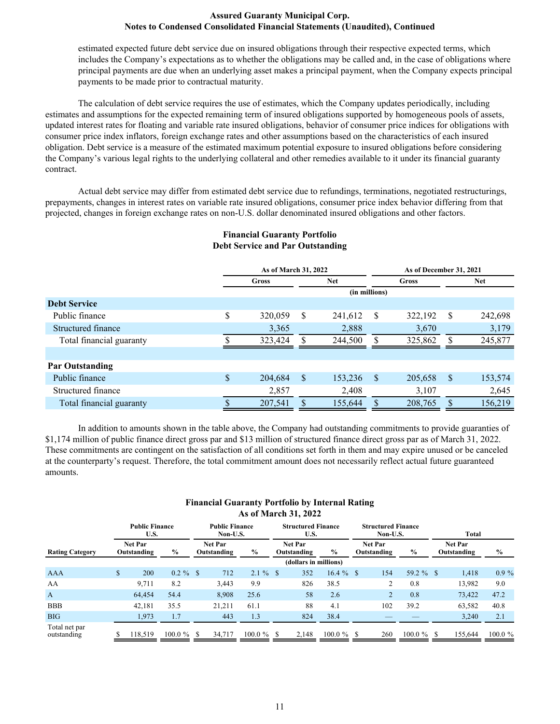estimated expected future debt service due on insured obligations through their respective expected terms, which includes the Company's expectations as to whether the obligations may be called and, in the case of obligations where principal payments are due when an underlying asset makes a principal payment, when the Company expects principal payments to be made prior to contractual maturity.

 The calculation of debt service requires the use of estimates, which the Company updates periodically, including estimates and assumptions for the expected remaining term of insured obligations supported by homogeneous pools of assets, updated interest rates for floating and variable rate insured obligations, behavior of consumer price indices for obligations with consumer price index inflators, foreign exchange rates and other assumptions based on the characteristics of each insured obligation. Debt service is a measure of the estimated maximum potential exposure to insured obligations before considering the Company's various legal rights to the underlying collateral and other remedies available to it under its financial guaranty contract.

 Actual debt service may differ from estimated debt service due to refundings, terminations, negotiated restructurings, prepayments, changes in interest rates on variable rate insured obligations, consumer price index behavior differing from that projected, changes in foreign exchange rates on non-U.S. dollar denominated insured obligations and other factors.

|                          | $P_{\text{tot}}$ , $P_{\text{tot}}$ and $P_{\text{tot}}$ are $P_{\text{tot}}$ |    |            |               |                         |              |            |
|--------------------------|-------------------------------------------------------------------------------|----|------------|---------------|-------------------------|--------------|------------|
|                          | As of March 31, 2022                                                          |    |            |               | As of December 31, 2021 |              |            |
|                          | Gross                                                                         |    | <b>Net</b> |               | Gross                   |              | <b>Net</b> |
|                          |                                                                               |    |            | (in millions) |                         |              |            |
| <b>Debt Service</b>      |                                                                               |    |            |               |                         |              |            |
| Public finance           | \$<br>320,059                                                                 | \$ | 241,612    | <sup>S</sup>  | 322,192                 | <sup>S</sup> | 242,698    |
| Structured finance       | 3,365                                                                         |    | 2,888      |               | 3,670                   |              | 3,179      |
| Total financial guaranty | 323,424                                                                       |    | 244,500    |               | 325,862                 |              | 245,877    |
|                          |                                                                               |    |            |               |                         |              |            |
| <b>Par Outstanding</b>   |                                                                               |    |            |               |                         |              |            |
| Public finance           | \$<br>204,684                                                                 | S  | 153,236    | <sup>S</sup>  | 205,658                 | S            | 153,574    |
| Structured finance       | 2,857                                                                         |    | 2,408      |               | 3,107                   |              | 2,645      |
| Total financial guaranty | 207,541                                                                       |    | 155,644    |               | 208,765                 |              | 156,219    |

# **Financial Guaranty Portfolio Debt Service and Par Outstanding**

In addition to amounts shown in the table above, the Company had outstanding commitments to provide guaranties of \$1,174 million of public finance direct gross par and \$13 million of structured finance direct gross par as of March 31, 2022. These commitments are contingent on the satisfaction of all conditions set forth in them and may expire unused or be canceled at the counterparty's request. Therefore, the total commitment amount does not necessarily reflect actual future guaranteed amounts.

# **Financial Guaranty Portfolio by Internal Rating As of March 31, 2022**

|                              | <b>Public Finance</b><br>U.S.                  |             |                               | <b>Public Finance</b><br>Non-U.S. |             |    | <b>Structured Finance</b><br>U.S. |               |      | <b>Structured Finance</b><br>Non-U.S. |               | Total                         |               |
|------------------------------|------------------------------------------------|-------------|-------------------------------|-----------------------------------|-------------|----|-----------------------------------|---------------|------|---------------------------------------|---------------|-------------------------------|---------------|
| <b>Rating Category</b>       | <b>Net Par</b><br>$\frac{0}{0}$<br>Outstanding |             | <b>Net Par</b><br>Outstanding |                                   | $\%$        |    | <b>Net Par</b><br>Outstanding     | $\%$          |      | <b>Net Par</b><br>Outstanding         | $\frac{6}{9}$ | <b>Net Par</b><br>Outstanding | $\frac{0}{0}$ |
|                              |                                                |             |                               |                                   |             |    | (dollars in millions)             |               |      |                                       |               |                               |               |
| AAA                          | \$<br>200                                      | $0.2 \%$ \$ |                               | 712                               | $2.1 \%$ \$ |    | 352                               | $16.4 \%$     | - \$ | 154                                   | 59.2 $%$ \$   | 1,418                         | $0.9\%$       |
| AA                           | 9,711                                          | 8.2         |                               | 3,443                             | 9.9         |    | 826                               | 38.5          |      |                                       | 0.8           | 13,982                        | 9.0           |
| $\mathbf{A}$                 | 64,454                                         | 54.4        |                               | 8,908                             | 25.6        |    | 58                                | 2.6           |      |                                       | 0.8           | 73,422                        | 47.2          |
| <b>BBB</b>                   | 42,181                                         | 35.5        |                               | 21,211                            | 61.1        |    | 88                                | 4.1           |      | 102                                   | 39.2          | 63,582                        | 40.8          |
| <b>BIG</b>                   | 1,973                                          | 1.7         |                               | 443                               | 1.3         |    | 824                               | 38.4          |      |                                       |               | 3.240                         | 2.1           |
| Total net par<br>outstanding | 118,519                                        | $100.0 \%$  |                               | 34,717                            | $100.0 \%$  | -S | 2,148                             | $100.0 \%$ \$ |      | 260                                   | $100.0 \%$    | 155,644                       | 100.0 %       |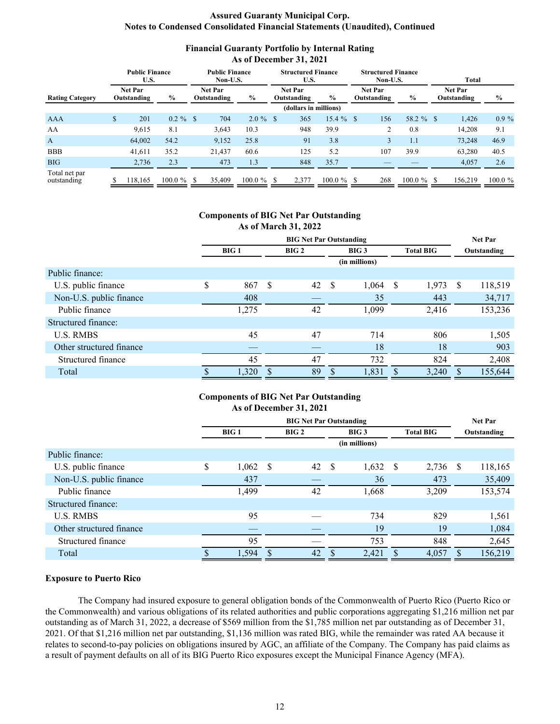# **Financial Guaranty Portfolio by Internal Rating As of December 31, 2021**

|                              | <b>Public Finance</b><br>U.S. |               |                               | <b>Public Finance</b><br>Non-U.S. |               | <b>Structured Finance</b><br>U.S. |               |    | <b>Structured Finance</b><br>Non-U.S. |            |               |                        |            |
|------------------------------|-------------------------------|---------------|-------------------------------|-----------------------------------|---------------|-----------------------------------|---------------|----|---------------------------------------|------------|---------------|------------------------|------------|
| <b>Rating Category</b>       | <b>Net Par</b><br>Outstanding | $\%$          | <b>Net Par</b><br>Outstanding |                                   | $\%$          | <b>Net Par</b><br>Outstanding     | $\frac{6}{9}$ |    | <b>Net Par</b><br>Outstanding         | $\%$       |               | Net Par<br>Outstanding | $\%$       |
|                              |                               |               |                               |                                   |               | (dollars in millions)             |               |    |                                       |            |               |                        |            |
| AAA                          | \$<br>201                     | $0.2 \%$ \$   |                               | 704                               | $2.0\%$ \$    | 365                               | $15.4 \%$     | -S | 156                                   | 58.2 %     | <sup>\$</sup> | 1,426                  | $0.9\%$    |
| AA                           | 9,615                         | 8.1           |                               | 3,643                             | 10.3          | 948                               | 39.9          |    | 2                                     | 0.8        |               | 14,208                 | 9.1        |
| $\mathbf{A}$                 | 64,002                        | 54.2          |                               | 9,152                             | 25.8          | 91                                | 3.8           |    | 3                                     | 1.1        |               | 73,248                 | 46.9       |
| <b>BBB</b>                   | 41,611                        | 35.2          |                               | 21,437                            | 60.6          | 125                               | 5.2           |    | 107                                   | 39.9       |               | 63,280                 | 40.5       |
| <b>BIG</b>                   | 2,736                         | 2.3           |                               | 473                               | 1.3           | 848                               | 35.7          |    |                                       |            |               | 4,057                  | 2.6        |
| Total net par<br>outstanding | 118.165                       | $100.0 \%$ \$ |                               | 35,409                            | $100.0 \%$ \$ | 2.377                             | $100.0 \%$ \$ |    | 268                                   | $100.0 \%$ | S.            | 156.219                | $100.0 \%$ |

#### **Components of BIG Net Par Outstanding As of March 31, 2022**

|                          | <b>BIG Net Par Outstanding</b> |       |    |      |              |                  |              | <b>Net Par</b>   |              |             |
|--------------------------|--------------------------------|-------|----|------|--------------|------------------|--------------|------------------|--------------|-------------|
|                          |                                | BIG1  |    | BIG2 |              | BIG <sub>3</sub> |              | <b>Total BIG</b> |              | Outstanding |
|                          |                                |       |    |      |              | (in millions)    |              |                  |              |             |
| Public finance:          |                                |       |    |      |              |                  |              |                  |              |             |
| U.S. public finance      | \$                             | 867   | -S | 42   | - \$         | 1,064            | - \$         | 1,973            | <sup>S</sup> | 118,519     |
| Non-U.S. public finance  |                                | 408   |    |      |              | 35               |              | 443              |              | 34,717      |
| Public finance           |                                | 1,275 |    | 42   |              | 1,099            |              | 2,416            |              | 153,236     |
| Structured finance:      |                                |       |    |      |              |                  |              |                  |              |             |
| <b>U.S. RMBS</b>         |                                | 45    |    | 47   |              | 714              |              | 806              |              | 1,505       |
| Other structured finance |                                |       |    |      |              | 18               |              | 18               |              | 903         |
| Structured finance       |                                | 45    |    | 47   |              | 732              |              | 824              |              | 2,408       |
| Total                    |                                | 1,320 | S  | 89   | <sup>S</sup> | 1,831            | <sup>S</sup> | 3,240            |              | 155,644     |

# **Components of BIG Net Par Outstanding As of December 31, 2021**

|                          | <b>BIG Net Par Outstanding</b> |       |    |      |              |                  |      | <b>Net Par</b>   |      |             |
|--------------------------|--------------------------------|-------|----|------|--------------|------------------|------|------------------|------|-------------|
|                          |                                | BIG1  |    | BIG2 |              | BIG <sub>3</sub> |      | <b>Total BIG</b> |      | Outstanding |
|                          |                                |       |    |      |              | (in millions)    |      |                  |      |             |
| Public finance:          |                                |       |    |      |              |                  |      |                  |      |             |
| U.S. public finance      | \$                             | 1,062 | -S | 42   | -S           | 1,632            | - \$ | 2,736            | - \$ | 118,165     |
| Non-U.S. public finance  |                                | 437   |    |      |              | 36               |      | 473              |      | 35,409      |
| Public finance           |                                | 1,499 |    | 42   |              | 1,668            |      | 3,209            |      | 153,574     |
| Structured finance:      |                                |       |    |      |              |                  |      |                  |      |             |
| <b>U.S. RMBS</b>         |                                | 95    |    |      |              | 734              |      | 829              |      | 1,561       |
| Other structured finance |                                |       |    |      |              | 19               |      | 19               |      | 1,084       |
| Structured finance       |                                | 95    |    |      |              | 753              |      | 848              |      | 2,645       |
| Total                    |                                | 1,594 |    | 42   | <sup>S</sup> | 2,421            |      | 4,057            | \$   | 156,219     |

#### **Exposure to Puerto Rico**

The Company had insured exposure to general obligation bonds of the Commonwealth of Puerto Rico (Puerto Rico or the Commonwealth) and various obligations of its related authorities and public corporations aggregating \$1,216 million net par outstanding as of March 31, 2022, a decrease of \$569 million from the \$1,785 million net par outstanding as of December 31, 2021. Of that \$1,216 million net par outstanding, \$1,136 million was rated BIG, while the remainder was rated AA because it relates to second-to-pay policies on obligations insured by AGC, an affiliate of the Company. The Company has paid claims as a result of payment defaults on all of its BIG Puerto Rico exposures except the Municipal Finance Agency (MFA).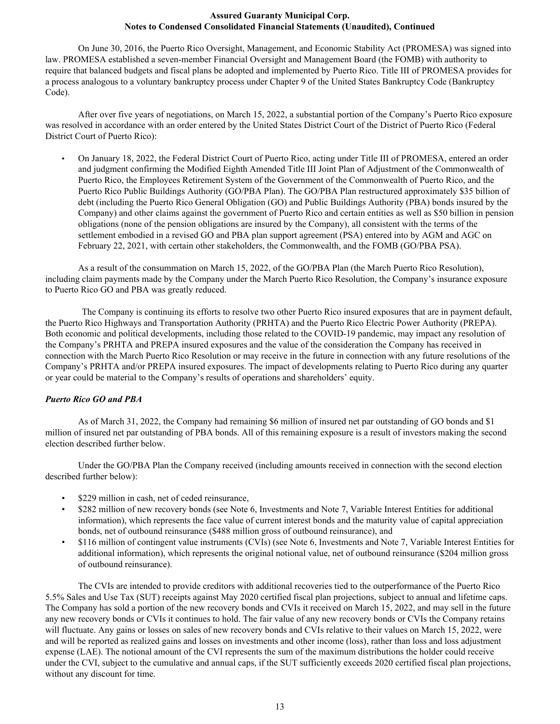On June 30, 2016, the Puerto Rico Oversight, Management, and Economic Stability Act (PROMESA) was signed into law. PROMESA established a seven-member Financial Oversight and Management Board (the FOMB) with authority to require that balanced budgets and fiscal plans be adopted and implemented by Puerto Rico. Title III of PROMESA provides for a process analogous to a voluntary bankruptcy process under Chapter 9 of the United States Bankruptcy Code (Bankruptcy Code).

After over five years of negotiations, on March 15, 2022, a substantial portion of the Company's Puerto Rico exposure was resolved in accordance with an order entered by the United States District Court of the District of Puerto Rico (Federal District Court of Puerto Rico):

• On January 18, 2022, the Federal District Court of Puerto Rico, acting under Title III of PROMESA, entered an order and judgment confirming the Modified Eighth Amended Title III Joint Plan of Adjustment of the Commonwealth of Puerto Rico, the Employees Retirement System of the Government of the Commonwealth of Puerto Rico, and the Puerto Rico Public Buildings Authority (GO/PBA Plan). The GO/PBA Plan restructured approximately \$35 billion of debt (including the Puerto Rico General Obligation (GO) and Public Buildings Authority (PBA) bonds insured by the Company) and other claims against the government of Puerto Rico and certain entities as well as \$50 billion in pension obligations (none of the pension obligations are insured by the Company), all consistent with the terms of the settlement embodied in a revised GO and PBA plan support agreement (PSA) entered into by AGM and AGC on February 22, 2021, with certain other stakeholders, the Commonwealth, and the FOMB (GO/PBA PSA).

As a result of the consummation on March 15, 2022, of the GO/PBA Plan (the March Puerto Rico Resolution), including claim payments made by the Company under the March Puerto Rico Resolution, the Company's insurance exposure to Puerto Rico GO and PBA was greatly reduced.

 The Company is continuing its efforts to resolve two other Puerto Rico insured exposures that are in payment default, the Puerto Rico Highways and Transportation Authority (PRHTA) and the Puerto Rico Electric Power Authority (PREPA). Both economic and political developments, including those related to the COVID-19 pandemic, may impact any resolution of the Company's PRHTA and PREPA insured exposures and the value of the consideration the Company has received in connection with the March Puerto Rico Resolution or may receive in the future in connection with any future resolutions of the Company's PRHTA and/or PREPA insured exposures. The impact of developments relating to Puerto Rico during any quarter or year could be material to the Company's results of operations and shareholders' equity.

#### *Puerto Rico GO and PBA*

As of March 31, 2022, the Company had remaining \$6 million of insured net par outstanding of GO bonds and \$1 million of insured net par outstanding of PBA bonds. All of this remaining exposure is a result of investors making the second election described further below.

Under the GO/PBA Plan the Company received (including amounts received in connection with the second election described further below):

- \$229 million in cash, net of ceded reinsurance,
- \$282 million of new recovery bonds (see Note 6, Investments and Note 7, Variable Interest Entities for additional information), which represents the face value of current interest bonds and the maturity value of capital appreciation bonds, net of outbound reinsurance (\$488 million gross of outbound reinsurance), and
- \$116 million of contingent value instruments (CVIs) (see Note 6, Investments and Note 7, Variable Interest Entities for additional information), which represents the original notional value, net of outbound reinsurance (\$204 million gross of outbound reinsurance).

The CVIs are intended to provide creditors with additional recoveries tied to the outperformance of the Puerto Rico 5.5% Sales and Use Tax (SUT) receipts against May 2020 certified fiscal plan projections, subject to annual and lifetime caps. The Company has sold a portion of the new recovery bonds and CVIs it received on March 15, 2022, and may sell in the future any new recovery bonds or CVIs it continues to hold. The fair value of any new recovery bonds or CVIs the Company retains will fluctuate. Any gains or losses on sales of new recovery bonds and CVIs relative to their values on March 15, 2022, were and will be reported as realized gains and losses on investments and other income (loss), rather than loss and loss adjustment expense (LAE). The notional amount of the CVI represents the sum of the maximum distributions the holder could receive under the CVI, subject to the cumulative and annual caps, if the SUT sufficiently exceeds 2020 certified fiscal plan projections, without any discount for time.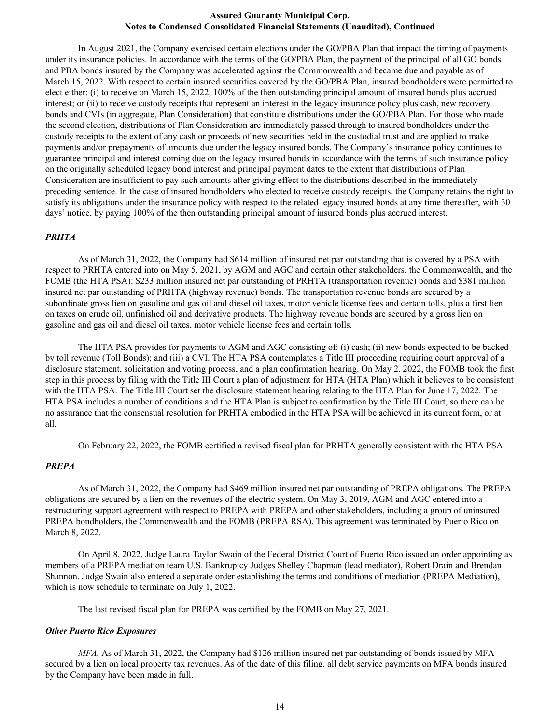In August 2021, the Company exercised certain elections under the GO/PBA Plan that impact the timing of payments under its insurance policies. In accordance with the terms of the GO/PBA Plan, the payment of the principal of all GO bonds and PBA bonds insured by the Company was accelerated against the Commonwealth and became due and payable as of March 15, 2022. With respect to certain insured securities covered by the GO/PBA Plan, insured bondholders were permitted to elect either: (i) to receive on March 15, 2022, 100% of the then outstanding principal amount of insured bonds plus accrued interest; or (ii) to receive custody receipts that represent an interest in the legacy insurance policy plus cash, new recovery bonds and CVIs (in aggregate, Plan Consideration) that constitute distributions under the GO/PBA Plan. For those who made the second election, distributions of Plan Consideration are immediately passed through to insured bondholders under the custody receipts to the extent of any cash or proceeds of new securities held in the custodial trust and are applied to make payments and/or prepayments of amounts due under the legacy insured bonds. The Company's insurance policy continues to guarantee principal and interest coming due on the legacy insured bonds in accordance with the terms of such insurance policy on the originally scheduled legacy bond interest and principal payment dates to the extent that distributions of Plan Consideration are insufficient to pay such amounts after giving effect to the distributions described in the immediately preceding sentence. In the case of insured bondholders who elected to receive custody receipts, the Company retains the right to satisfy its obligations under the insurance policy with respect to the related legacy insured bonds at any time thereafter, with 30 days' notice, by paying 100% of the then outstanding principal amount of insured bonds plus accrued interest.

#### *PRHTA*

As of March 31, 2022, the Company had \$614 million of insured net par outstanding that is covered by a PSA with respect to PRHTA entered into on May 5, 2021, by AGM and AGC and certain other stakeholders, the Commonwealth, and the FOMB (the HTA PSA): \$233 million insured net par outstanding of PRHTA (transportation revenue) bonds and \$381 million insured net par outstanding of PRHTA (highway revenue) bonds. The transportation revenue bonds are secured by a subordinate gross lien on gasoline and gas oil and diesel oil taxes, motor vehicle license fees and certain tolls, plus a first lien on taxes on crude oil, unfinished oil and derivative products. The highway revenue bonds are secured by a gross lien on gasoline and gas oil and diesel oil taxes, motor vehicle license fees and certain tolls.

The HTA PSA provides for payments to AGM and AGC consisting of: (i) cash; (ii) new bonds expected to be backed by toll revenue (Toll Bonds); and (iii) a CVI. The HTA PSA contemplates a Title III proceeding requiring court approval of a disclosure statement, solicitation and voting process, and a plan confirmation hearing. On May 2, 2022, the FOMB took the first step in this process by filing with the Title III Court a plan of adjustment for HTA (HTA Plan) which it believes to be consistent with the HTA PSA. The Title III Court set the disclosure statement hearing relating to the HTA Plan for June 17, 2022. The HTA PSA includes a number of conditions and the HTA Plan is subject to confirmation by the Title III Court, so there can be no assurance that the consensual resolution for PRHTA embodied in the HTA PSA will be achieved in its current form, or at all.

On February 22, 2022, the FOMB certified a revised fiscal plan for PRHTA generally consistent with the HTA PSA.

#### *PREPA*

As of March 31, 2022, the Company had \$469 million insured net par outstanding of PREPA obligations. The PREPA obligations are secured by a lien on the revenues of the electric system. On May 3, 2019, AGM and AGC entered into a restructuring support agreement with respect to PREPA with PREPA and other stakeholders, including a group of uninsured PREPA bondholders, the Commonwealth and the FOMB (PREPA RSA). This agreement was terminated by Puerto Rico on March 8, 2022.

On April 8, 2022, Judge Laura Taylor Swain of the Federal District Court of Puerto Rico issued an order appointing as members of a PREPA mediation team U.S. Bankruptcy Judges Shelley Chapman (lead mediator), Robert Drain and Brendan Shannon. Judge Swain also entered a separate order establishing the terms and conditions of mediation (PREPA Mediation), which is now schedule to terminate on July 1, 2022.

The last revised fiscal plan for PREPA was certified by the FOMB on May 27, 2021.

#### *Other Puerto Rico Exposures*

*MFA*. As of March 31, 2022, the Company had \$126 million insured net par outstanding of bonds issued by MFA secured by a lien on local property tax revenues. As of the date of this filing, all debt service payments on MFA bonds insured by the Company have been made in full.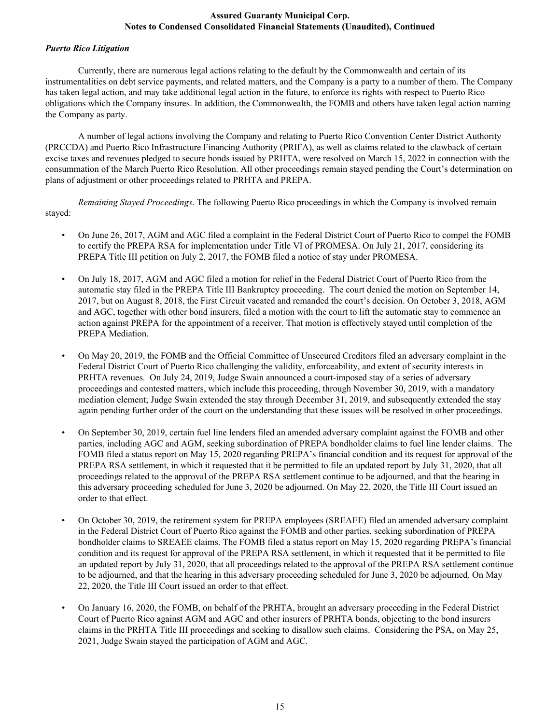#### *Puerto Rico Litigation*

Currently, there are numerous legal actions relating to the default by the Commonwealth and certain of its instrumentalities on debt service payments, and related matters, and the Company is a party to a number of them. The Company has taken legal action, and may take additional legal action in the future, to enforce its rights with respect to Puerto Rico obligations which the Company insures. In addition, the Commonwealth, the FOMB and others have taken legal action naming the Company as party.

A number of legal actions involving the Company and relating to Puerto Rico Convention Center District Authority (PRCCDA) and Puerto Rico Infrastructure Financing Authority (PRIFA), as well as claims related to the clawback of certain excise taxes and revenues pledged to secure bonds issued by PRHTA, were resolved on March 15, 2022 in connection with the consummation of the March Puerto Rico Resolution. All other proceedings remain stayed pending the Court's determination on plans of adjustment or other proceedings related to PRHTA and PREPA.

*Remaining Stayed Proceedings*. The following Puerto Rico proceedings in which the Company is involved remain stayed:

- On June 26, 2017, AGM and AGC filed a complaint in the Federal District Court of Puerto Rico to compel the FOMB to certify the PREPA RSA for implementation under Title VI of PROMESA. On July 21, 2017, considering its PREPA Title III petition on July 2, 2017, the FOMB filed a notice of stay under PROMESA.
- On July 18, 2017, AGM and AGC filed a motion for relief in the Federal District Court of Puerto Rico from the automatic stay filed in the PREPA Title III Bankruptcy proceeding. The court denied the motion on September 14, 2017, but on August 8, 2018, the First Circuit vacated and remanded the court's decision. On October 3, 2018, AGM and AGC, together with other bond insurers, filed a motion with the court to lift the automatic stay to commence an action against PREPA for the appointment of a receiver. That motion is effectively stayed until completion of the PREPA Mediation.
- On May 20, 2019, the FOMB and the Official Committee of Unsecured Creditors filed an adversary complaint in the Federal District Court of Puerto Rico challenging the validity, enforceability, and extent of security interests in PRHTA revenues. On July 24, 2019, Judge Swain announced a court-imposed stay of a series of adversary proceedings and contested matters, which include this proceeding, through November 30, 2019, with a mandatory mediation element; Judge Swain extended the stay through December 31, 2019, and subsequently extended the stay again pending further order of the court on the understanding that these issues will be resolved in other proceedings.
- On September 30, 2019, certain fuel line lenders filed an amended adversary complaint against the FOMB and other parties, including AGC and AGM, seeking subordination of PREPA bondholder claims to fuel line lender claims. The FOMB filed a status report on May 15, 2020 regarding PREPA's financial condition and its request for approval of the PREPA RSA settlement, in which it requested that it be permitted to file an updated report by July 31, 2020, that all proceedings related to the approval of the PREPA RSA settlement continue to be adjourned, and that the hearing in this adversary proceeding scheduled for June 3, 2020 be adjourned. On May 22, 2020, the Title III Court issued an order to that effect.
- On October 30, 2019, the retirement system for PREPA employees (SREAEE) filed an amended adversary complaint in the Federal District Court of Puerto Rico against the FOMB and other parties, seeking subordination of PREPA bondholder claims to SREAEE claims. The FOMB filed a status report on May 15, 2020 regarding PREPA's financial condition and its request for approval of the PREPA RSA settlement, in which it requested that it be permitted to file an updated report by July 31, 2020, that all proceedings related to the approval of the PREPA RSA settlement continue to be adjourned, and that the hearing in this adversary proceeding scheduled for June 3, 2020 be adjourned. On May 22, 2020, the Title III Court issued an order to that effect.
- On January 16, 2020, the FOMB, on behalf of the PRHTA, brought an adversary proceeding in the Federal District Court of Puerto Rico against AGM and AGC and other insurers of PRHTA bonds, objecting to the bond insurers claims in the PRHTA Title III proceedings and seeking to disallow such claims. Considering the PSA, on May 25, 2021, Judge Swain stayed the participation of AGM and AGC.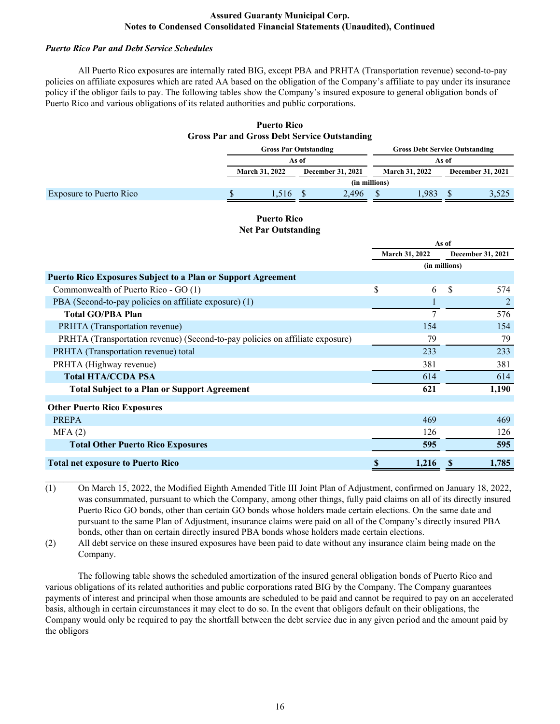# *Puerto Rico Par and Debt Service Schedules*

 All Puerto Rico exposures are internally rated BIG, except PBA and PRHTA (Transportation revenue) second-to-pay policies on affiliate exposures which are rated AA based on the obligation of the Company's affiliate to pay under its insurance policy if the obligor fails to pay. The following tables show the Company's insured exposure to general obligation bonds of Puerto Rico and various obligations of its related authorities and public corporations.

# **Puerto Rico Gross Par and Gross Debt Service Outstanding**

|                         | <b>Gross Par Outstanding</b>                      |       |               |       | <b>Gross Debt Service Outstanding</b> |                          |  |       |  |
|-------------------------|---------------------------------------------------|-------|---------------|-------|---------------------------------------|--------------------------|--|-------|--|
|                         |                                                   | As of |               |       |                                       | As of                    |  |       |  |
|                         | <b>March 31, 2022</b><br><b>December 31, 2021</b> |       |               |       | <b>March 31, 2022</b>                 | <b>December 31, 2021</b> |  |       |  |
|                         |                                                   |       | (in millions) |       |                                       |                          |  |       |  |
| Exposure to Puerto Rico |                                                   | .516  |               | 2.496 |                                       | 983                      |  | 3,525 |  |

# **Puerto Rico Net Par Outstanding**

|                                                                               |    |                       | As of    |                   |  |
|-------------------------------------------------------------------------------|----|-----------------------|----------|-------------------|--|
|                                                                               |    | <b>March 31, 2022</b> |          | December 31, 2021 |  |
|                                                                               |    | (in millions)         |          |                   |  |
| <b>Puerto Rico Exposures Subject to a Plan or Support Agreement</b>           |    |                       |          |                   |  |
| Commonwealth of Puerto Rico - GO (1)                                          | \$ | 6                     | <b>S</b> | 574               |  |
| PBA (Second-to-pay policies on affiliate exposure) (1)                        |    |                       |          |                   |  |
| <b>Total GO/PBA Plan</b>                                                      |    | 7                     |          | 576               |  |
| PRHTA (Transportation revenue)                                                |    | 154                   |          | 154               |  |
| PRHTA (Transportation revenue) (Second-to-pay policies on affiliate exposure) |    | 79                    |          | 79                |  |
| PRHTA (Transportation revenue) total                                          |    | 233                   |          | 233               |  |
| PRHTA (Highway revenue)                                                       |    | 381                   |          | 381               |  |
| <b>Total HTA/CCDA PSA</b>                                                     |    | 614                   |          | 614               |  |
| <b>Total Subject to a Plan or Support Agreement</b>                           |    | 621                   |          | 1,190             |  |
| <b>Other Puerto Rico Exposures</b>                                            |    |                       |          |                   |  |
| PREPA                                                                         |    | 469                   |          | 469               |  |
| MFA(2)                                                                        |    | 126                   |          | 126               |  |
| <b>Total Other Puerto Rico Exposures</b>                                      |    | 595                   |          | 595               |  |
| <b>Total net exposure to Puerto Rico</b>                                      | S  | 1,216                 |          | 1,785             |  |

(1) On March 15, 2022, the Modified Eighth Amended Title III Joint Plan of Adjustment, confirmed on January 18, 2022, was consummated, pursuant to which the Company, among other things, fully paid claims on all of its directly insured Puerto Rico GO bonds, other than certain GO bonds whose holders made certain elections. On the same date and pursuant to the same Plan of Adjustment, insurance claims were paid on all of the Company's directly insured PBA bonds, other than on certain directly insured PBA bonds whose holders made certain elections.

(2) All debt service on these insured exposures have been paid to date without any insurance claim being made on the Company.

 The following table shows the scheduled amortization of the insured general obligation bonds of Puerto Rico and various obligations of its related authorities and public corporations rated BIG by the Company. The Company guarantees payments of interest and principal when those amounts are scheduled to be paid and cannot be required to pay on an accelerated basis, although in certain circumstances it may elect to do so. In the event that obligors default on their obligations, the Company would only be required to pay the shortfall between the debt service due in any given period and the amount paid by the obligors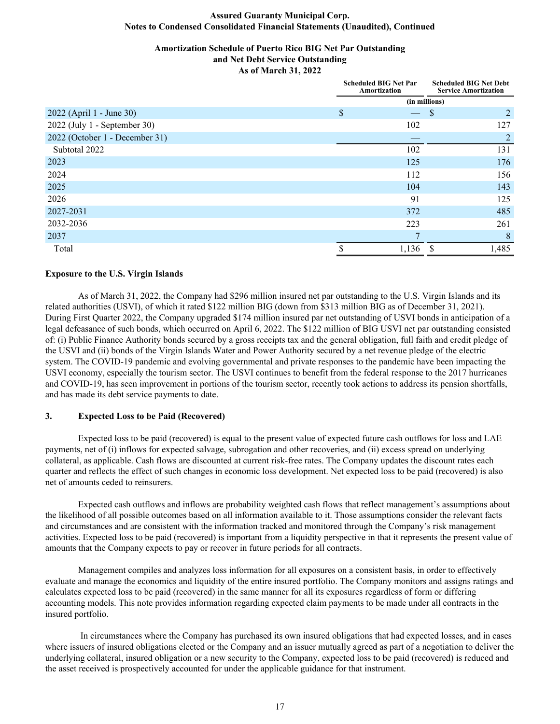# **Amortization Schedule of Puerto Rico BIG Net Par Outstanding and Net Debt Service Outstanding**

**As of March 31, 2022**

|                                |               | <b>Scheduled BIG Net Par</b><br>Amortization | <b>Scheduled BIG Net Debt</b><br><b>Service Amortization</b> |       |  |
|--------------------------------|---------------|----------------------------------------------|--------------------------------------------------------------|-------|--|
|                                | (in millions) |                                              |                                                              |       |  |
| 2022 (April 1 - June 30)       | \$            |                                              | <sup>S</sup>                                                 | 2     |  |
| 2022 (July 1 - September 30)   |               | 102                                          |                                                              | 127   |  |
| 2022 (October 1 - December 31) |               |                                              |                                                              | 2     |  |
| Subtotal 2022                  |               | 102                                          |                                                              | 131   |  |
| 2023                           |               | 125                                          |                                                              | 176   |  |
| 2024                           |               | 112                                          |                                                              | 156   |  |
| 2025                           |               | 104                                          |                                                              | 143   |  |
| 2026                           |               | 91                                           |                                                              | 125   |  |
| 2027-2031                      |               | 372                                          |                                                              | 485   |  |
| 2032-2036                      |               | 223                                          |                                                              | 261   |  |
| 2037                           |               |                                              |                                                              | 8     |  |
| Total                          |               | 1,136                                        | S                                                            | 1,485 |  |

#### **Exposure to the U.S. Virgin Islands**

 As of March 31, 2022, the Company had \$296 million insured net par outstanding to the U.S. Virgin Islands and its related authorities (USVI), of which it rated \$122 million BIG (down from \$313 million BIG as of December 31, 2021). During First Quarter 2022, the Company upgraded \$174 million insured par net outstanding of USVI bonds in anticipation of a legal defeasance of such bonds, which occurred on April 6, 2022. The \$122 million of BIG USVI net par outstanding consisted of: (i) Public Finance Authority bonds secured by a gross receipts tax and the general obligation, full faith and credit pledge of the USVI and (ii) bonds of the Virgin Islands Water and Power Authority secured by a net revenue pledge of the electric system. The COVID-19 pandemic and evolving governmental and private responses to the pandemic have been impacting the USVI economy, especially the tourism sector. The USVI continues to benefit from the federal response to the 2017 hurricanes and COVID-19, has seen improvement in portions of the tourism sector, recently took actions to address its pension shortfalls, and has made its debt service payments to date.

#### **3. Expected Loss to be Paid (Recovered)**

 Expected loss to be paid (recovered) is equal to the present value of expected future cash outflows for loss and LAE payments, net of (i) inflows for expected salvage, subrogation and other recoveries, and (ii) excess spread on underlying collateral, as applicable. Cash flows are discounted at current risk-free rates. The Company updates the discount rates each quarter and reflects the effect of such changes in economic loss development. Net expected loss to be paid (recovered) is also net of amounts ceded to reinsurers.

Expected cash outflows and inflows are probability weighted cash flows that reflect management's assumptions about the likelihood of all possible outcomes based on all information available to it. Those assumptions consider the relevant facts and circumstances and are consistent with the information tracked and monitored through the Company's risk management activities. Expected loss to be paid (recovered) is important from a liquidity perspective in that it represents the present value of amounts that the Company expects to pay or recover in future periods for all contracts.

Management compiles and analyzes loss information for all exposures on a consistent basis, in order to effectively evaluate and manage the economics and liquidity of the entire insured portfolio. The Company monitors and assigns ratings and calculates expected loss to be paid (recovered) in the same manner for all its exposures regardless of form or differing accounting models. This note provides information regarding expected claim payments to be made under all contracts in the insured portfolio.

 In circumstances where the Company has purchased its own insured obligations that had expected losses, and in cases where issuers of insured obligations elected or the Company and an issuer mutually agreed as part of a negotiation to deliver the underlying collateral, insured obligation or a new security to the Company, expected loss to be paid (recovered) is reduced and the asset received is prospectively accounted for under the applicable guidance for that instrument.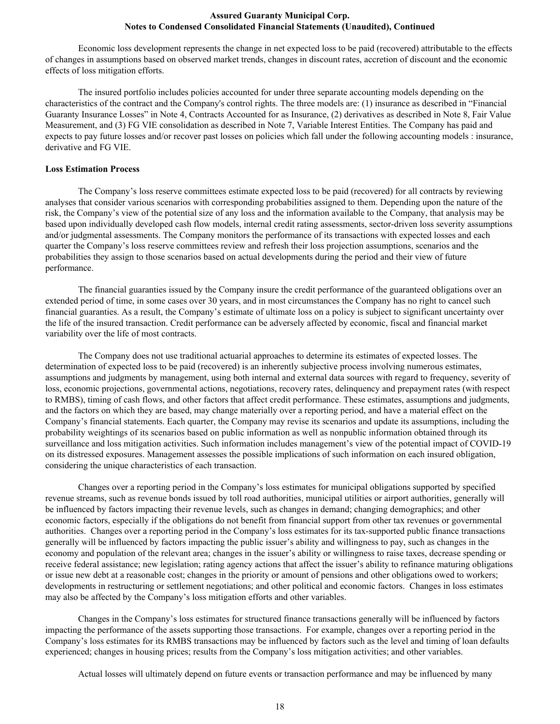Economic loss development represents the change in net expected loss to be paid (recovered) attributable to the effects of changes in assumptions based on observed market trends, changes in discount rates, accretion of discount and the economic effects of loss mitigation efforts.

The insured portfolio includes policies accounted for under three separate accounting models depending on the characteristics of the contract and the Company's control rights. The three models are: (1) insurance as described in "Financial Guaranty Insurance Losses" in Note 4, Contracts Accounted for as Insurance, (2) derivatives as described in Note 8, Fair Value Measurement, and (3) FG VIE consolidation as described in Note 7, Variable Interest Entities. The Company has paid and expects to pay future losses and/or recover past losses on policies which fall under the following accounting models : insurance, derivative and FG VIE.

#### **Loss Estimation Process**

 The Company's loss reserve committees estimate expected loss to be paid (recovered) for all contracts by reviewing analyses that consider various scenarios with corresponding probabilities assigned to them. Depending upon the nature of the risk, the Company's view of the potential size of any loss and the information available to the Company, that analysis may be based upon individually developed cash flow models, internal credit rating assessments, sector-driven loss severity assumptions and/or judgmental assessments. The Company monitors the performance of its transactions with expected losses and each quarter the Company's loss reserve committees review and refresh their loss projection assumptions, scenarios and the probabilities they assign to those scenarios based on actual developments during the period and their view of future performance.

 The financial guaranties issued by the Company insure the credit performance of the guaranteed obligations over an extended period of time, in some cases over 30 years, and in most circumstances the Company has no right to cancel such financial guaranties. As a result, the Company's estimate of ultimate loss on a policy is subject to significant uncertainty over the life of the insured transaction. Credit performance can be adversely affected by economic, fiscal and financial market variability over the life of most contracts.

 The Company does not use traditional actuarial approaches to determine its estimates of expected losses. The determination of expected loss to be paid (recovered) is an inherently subjective process involving numerous estimates, assumptions and judgments by management, using both internal and external data sources with regard to frequency, severity of loss, economic projections, governmental actions, negotiations, recovery rates, delinquency and prepayment rates (with respect to RMBS), timing of cash flows, and other factors that affect credit performance. These estimates, assumptions and judgments, and the factors on which they are based, may change materially over a reporting period, and have a material effect on the Company's financial statements. Each quarter, the Company may revise its scenarios and update its assumptions, including the probability weightings of its scenarios based on public information as well as nonpublic information obtained through its surveillance and loss mitigation activities. Such information includes management's view of the potential impact of COVID-19 on its distressed exposures. Management assesses the possible implications of such information on each insured obligation, considering the unique characteristics of each transaction.

Changes over a reporting period in the Company's loss estimates for municipal obligations supported by specified revenue streams, such as revenue bonds issued by toll road authorities, municipal utilities or airport authorities, generally will be influenced by factors impacting their revenue levels, such as changes in demand; changing demographics; and other economic factors, especially if the obligations do not benefit from financial support from other tax revenues or governmental authorities. Changes over a reporting period in the Company's loss estimates for its tax-supported public finance transactions generally will be influenced by factors impacting the public issuer's ability and willingness to pay, such as changes in the economy and population of the relevant area; changes in the issuer's ability or willingness to raise taxes, decrease spending or receive federal assistance; new legislation; rating agency actions that affect the issuer's ability to refinance maturing obligations or issue new debt at a reasonable cost; changes in the priority or amount of pensions and other obligations owed to workers; developments in restructuring or settlement negotiations; and other political and economic factors. Changes in loss estimates may also be affected by the Company's loss mitigation efforts and other variables.

Changes in the Company's loss estimates for structured finance transactions generally will be influenced by factors impacting the performance of the assets supporting those transactions. For example, changes over a reporting period in the Company's loss estimates for its RMBS transactions may be influenced by factors such as the level and timing of loan defaults experienced; changes in housing prices; results from the Company's loss mitigation activities; and other variables.

Actual losses will ultimately depend on future events or transaction performance and may be influenced by many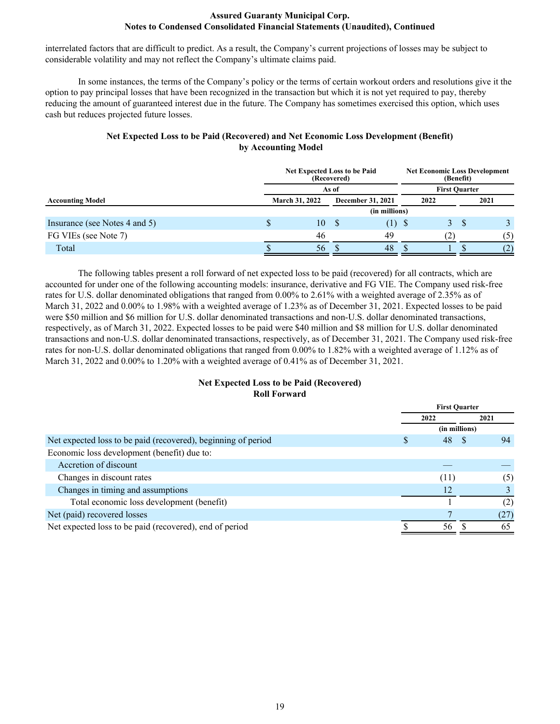interrelated factors that are difficult to predict. As a result, the Company's current projections of losses may be subject to considerable volatility and may not reflect the Company's ultimate claims paid.

 In some instances, the terms of the Company's policy or the terms of certain workout orders and resolutions give it the option to pay principal losses that have been recognized in the transaction but which it is not yet required to pay, thereby reducing the amount of guaranteed interest due in the future. The Company has sometimes exercised this option, which uses cash but reduces projected future losses.

# **Net Expected Loss to be Paid (Recovered) and Net Economic Loss Development (Benefit) by Accounting Model**

| <b>Net Expected Loss to be Paid</b><br>(Recovered) |   |                |              | <b>Net Economic Loss Development</b><br>(Benefit) |      |                      |   |      |
|----------------------------------------------------|---|----------------|--------------|---------------------------------------------------|------|----------------------|---|------|
|                                                    |   |                | As of        |                                                   |      | <b>First Ouarter</b> |   |      |
| <b>Accounting Model</b>                            |   | March 31, 2022 |              | <b>December 31, 2021</b>                          |      | 2022                 |   | 2021 |
|                                                    |   |                |              | (in millions)                                     |      |                      |   |      |
| Insurance (see Notes 4 and 5)                      | J | 10             | <sup>8</sup> | (1)                                               | - \$ | 3.                   | S |      |
| FG VIEs (see Note 7)                               |   | 46             |              | 49                                                |      | (2)                  |   | (5)  |
| Total                                              |   | 56             |              | 48                                                |      |                      |   | (2)  |

The following tables present a roll forward of net expected loss to be paid (recovered) for all contracts, which are accounted for under one of the following accounting models: insurance, derivative and FG VIE. The Company used risk-free rates for U.S. dollar denominated obligations that ranged from 0.00% to 2.61% with a weighted average of 2.35% as of March 31, 2022 and 0.00% to 1.98% with a weighted average of 1.23% as of December 31, 2021. Expected losses to be paid were \$50 million and \$6 million for U.S. dollar denominated transactions and non-U.S. dollar denominated transactions, respectively, as of March 31, 2022. Expected losses to be paid were \$40 million and \$8 million for U.S. dollar denominated transactions and non-U.S. dollar denominated transactions, respectively, as of December 31, 2021. The Company used risk-free rates for non-U.S. dollar denominated obligations that ranged from 0.00% to 1.82% with a weighted average of 1.12% as of March 31, 2022 and 0.00% to 1.20% with a weighted average of 0.41% as of December 31, 2021.

# **Net Expected Loss to be Paid (Recovered) Roll Forward**

|                                                               |      | <b>First Quarter</b> |
|---------------------------------------------------------------|------|----------------------|
|                                                               | 2022 | 2021                 |
|                                                               |      | (in millions)        |
| Net expected loss to be paid (recovered), beginning of period | S    | 48<br>94             |
| Economic loss development (benefit) due to:                   |      |                      |
| Accretion of discount                                         |      |                      |
| Changes in discount rates                                     |      | (11)<br>(5)          |
| Changes in timing and assumptions                             |      | 12                   |
| Total economic loss development (benefit)                     |      | (2)                  |
| Net (paid) recovered losses                                   |      | (27)                 |
| Net expected loss to be paid (recovered), end of period       |      | 65<br>56             |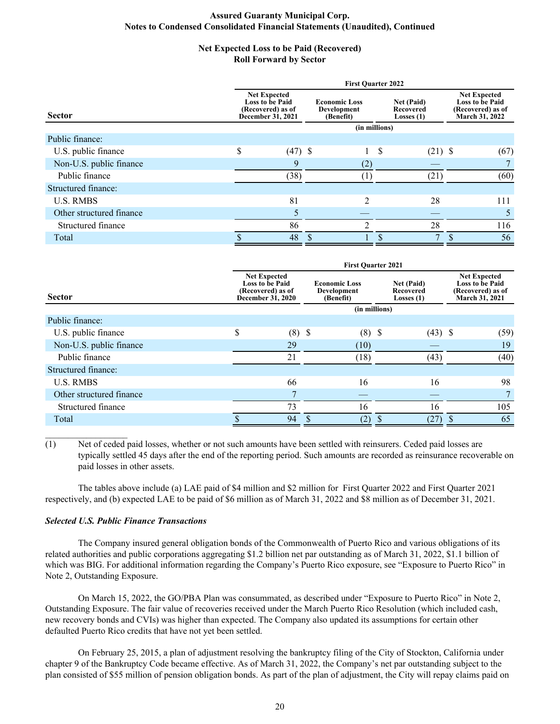#### **Net Expected Loss to be Paid (Recovered) Roll Forward by Sector**

|                          | <b>First Quarter 2022</b>                                                               |           |                                                  |                |                                                       |              |                                                                                             |      |  |
|--------------------------|-----------------------------------------------------------------------------------------|-----------|--------------------------------------------------|----------------|-------------------------------------------------------|--------------|---------------------------------------------------------------------------------------------|------|--|
| <b>Sector</b>            | <b>Net Expected</b><br><b>Loss to be Paid</b><br>(Recovered) as of<br>December 31, 2021 |           | <b>Economic Loss</b><br>Development<br>(Benefit) |                | <b>Net (Paid)</b><br><b>Recovered</b><br>Losses $(1)$ |              | <b>Net Expected</b><br><b>Loss to be Paid</b><br>(Recovered) as of<br><b>March 31, 2022</b> |      |  |
|                          |                                                                                         |           |                                                  | (in millions)  |                                                       |              |                                                                                             |      |  |
| Public finance:          |                                                                                         |           |                                                  |                |                                                       |              |                                                                                             |      |  |
| U.S. public finance      | \$                                                                                      | $(47)$ \$ |                                                  |                | S                                                     | $(21)$ \$    |                                                                                             | (67) |  |
| Non-U.S. public finance  |                                                                                         | 9         |                                                  | (2)            |                                                       |              |                                                                                             |      |  |
| Public finance           |                                                                                         | (38)      |                                                  |                |                                                       | (21)         |                                                                                             | (60) |  |
| Structured finance:      |                                                                                         |           |                                                  |                |                                                       |              |                                                                                             |      |  |
| <b>U.S. RMBS</b>         |                                                                                         | 81        |                                                  | $\mathfrak{D}$ |                                                       | 28           |                                                                                             | 111  |  |
| Other structured finance |                                                                                         | 5         |                                                  |                |                                                       |              |                                                                                             |      |  |
| Structured finance       |                                                                                         | 86        |                                                  |                |                                                       | 28           |                                                                                             | 116  |  |
| Total                    |                                                                                         | 48        |                                                  |                |                                                       | $\mathbf{r}$ | \$                                                                                          | 56   |  |

|                          | <b>First Quarter 2021</b> |                                                                                         |  |                                                  |  |                                         |  |                                                                                      |  |
|--------------------------|---------------------------|-----------------------------------------------------------------------------------------|--|--------------------------------------------------|--|-----------------------------------------|--|--------------------------------------------------------------------------------------|--|
| <b>Sector</b>            |                           | <b>Net Expected</b><br><b>Loss to be Paid</b><br>(Recovered) as of<br>December 31, 2020 |  | <b>Economic Loss</b><br>Development<br>(Benefit) |  | Net (Paid)<br>Recovered<br>Losses $(1)$ |  | <b>Net Expected</b><br><b>Loss to be Paid</b><br>(Recovered) as of<br>March 31, 2021 |  |
|                          |                           |                                                                                         |  | (in millions)                                    |  |                                         |  |                                                                                      |  |
| Public finance:          |                           |                                                                                         |  |                                                  |  |                                         |  |                                                                                      |  |
| U.S. public finance      | \$                        | $(8)$ \$                                                                                |  | $(8)$ \$                                         |  | $(43)$ \$                               |  | (59)                                                                                 |  |
| Non-U.S. public finance  |                           | 29                                                                                      |  | (10)                                             |  |                                         |  | 19                                                                                   |  |
| Public finance           |                           | 21                                                                                      |  | (18)                                             |  | (43)                                    |  | (40)                                                                                 |  |
| Structured finance:      |                           |                                                                                         |  |                                                  |  |                                         |  |                                                                                      |  |
| <b>U.S. RMBS</b>         |                           | 66                                                                                      |  | 16                                               |  | 16                                      |  | 98                                                                                   |  |
| Other structured finance |                           |                                                                                         |  |                                                  |  |                                         |  | 7                                                                                    |  |
| Structured finance       |                           | 73                                                                                      |  | 16                                               |  | 16                                      |  | 105                                                                                  |  |
| Total                    |                           | 94                                                                                      |  | (2)                                              |  | (27)                                    |  | 65                                                                                   |  |

(1) Net of ceded paid losses, whether or not such amounts have been settled with reinsurers. Ceded paid losses are typically settled 45 days after the end of the reporting period. Such amounts are recorded as reinsurance recoverable on paid losses in other assets.

 The tables above include (a) LAE paid of \$4 million and \$2 million for First Quarter 2022 and First Quarter 2021 respectively, and (b) expected LAE to be paid of \$6 million as of March 31, 2022 and \$8 million as of December 31, 2021.

#### *Selected U.S. Public Finance Transactions*

 The Company insured general obligation bonds of the Commonwealth of Puerto Rico and various obligations of its related authorities and public corporations aggregating \$1.2 billion net par outstanding as of March 31, 2022, \$1.1 billion of which was BIG. For additional information regarding the Company's Puerto Rico exposure, see "Exposure to Puerto Rico" in Note 2, Outstanding Exposure.

On March 15, 2022, the GO/PBA Plan was consummated, as described under "Exposure to Puerto Rico" in Note 2, Outstanding Exposure. The fair value of recoveries received under the March Puerto Rico Resolution (which included cash, new recovery bonds and CVIs) was higher than expected. The Company also updated its assumptions for certain other defaulted Puerto Rico credits that have not yet been settled.

 On February 25, 2015, a plan of adjustment resolving the bankruptcy filing of the City of Stockton, California under chapter 9 of the Bankruptcy Code became effective. As of March 31, 2022, the Company's net par outstanding subject to the plan consisted of \$55 million of pension obligation bonds. As part of the plan of adjustment, the City will repay claims paid on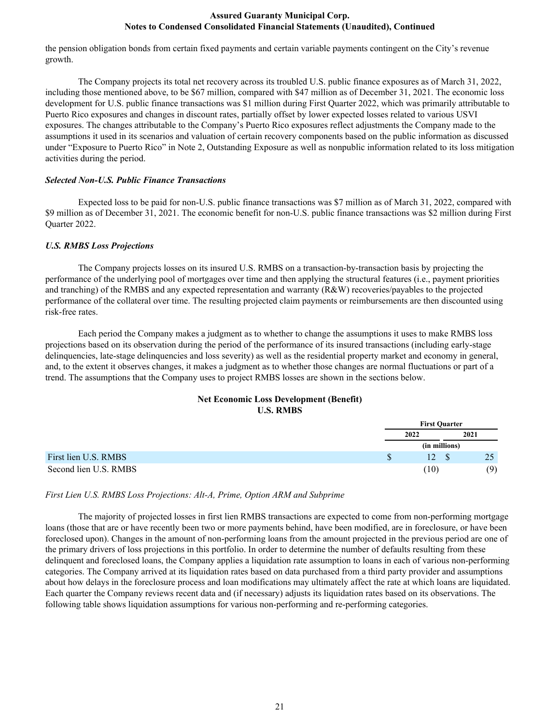the pension obligation bonds from certain fixed payments and certain variable payments contingent on the City's revenue growth.

 The Company projects its total net recovery across its troubled U.S. public finance exposures as of March 31, 2022, including those mentioned above, to be \$67 million, compared with \$47 million as of December 31, 2021. The economic loss development for U.S. public finance transactions was \$1 million during First Quarter 2022, which was primarily attributable to Puerto Rico exposures and changes in discount rates, partially offset by lower expected losses related to various USVI exposures. The changes attributable to the Company's Puerto Rico exposures reflect adjustments the Company made to the assumptions it used in its scenarios and valuation of certain recovery components based on the public information as discussed under "Exposure to Puerto Rico" in Note 2, Outstanding Exposure as well as nonpublic information related to its loss mitigation activities during the period.

#### *Selected Non-U.S. Public Finance Transactions*

 Expected loss to be paid for non-U.S. public finance transactions was \$7 million as of March 31, 2022, compared with \$9 million as of December 31, 2021. The economic benefit for non-U.S. public finance transactions was \$2 million during First Quarter 2022.

#### *U.S. RMBS Loss Projections*

The Company projects losses on its insured U.S. RMBS on a transaction-by-transaction basis by projecting the performance of the underlying pool of mortgages over time and then applying the structural features (i.e., payment priorities and tranching) of the RMBS and any expected representation and warranty (R&W) recoveries/payables to the projected performance of the collateral over time. The resulting projected claim payments or reimbursements are then discounted using risk-free rates.

Each period the Company makes a judgment as to whether to change the assumptions it uses to make RMBS loss projections based on its observation during the period of the performance of its insured transactions (including early-stage delinquencies, late-stage delinquencies and loss severity) as well as the residential property market and economy in general, and, to the extent it observes changes, it makes a judgment as to whether those changes are normal fluctuations or part of a trend. The assumptions that the Company uses to project RMBS losses are shown in the sections below.

#### **Net Economic Loss Development (Benefit) U.S. RMBS**

|                       | <b>First Ouarter</b> |  |      |  |
|-----------------------|----------------------|--|------|--|
|                       | 2022                 |  | 2021 |  |
|                       | (in millions)        |  |      |  |
| First lien U.S. RMBS  | 12                   |  | 25   |  |
| Second lien U.S. RMBS | (10)                 |  | (9)  |  |

#### *First Lien U.S. RMBS Loss Projections: Alt-A, Prime, Option ARM and Subprime*

 The majority of projected losses in first lien RMBS transactions are expected to come from non-performing mortgage loans (those that are or have recently been two or more payments behind, have been modified, are in foreclosure, or have been foreclosed upon). Changes in the amount of non-performing loans from the amount projected in the previous period are one of the primary drivers of loss projections in this portfolio. In order to determine the number of defaults resulting from these delinquent and foreclosed loans, the Company applies a liquidation rate assumption to loans in each of various non-performing categories. The Company arrived at its liquidation rates based on data purchased from a third party provider and assumptions about how delays in the foreclosure process and loan modifications may ultimately affect the rate at which loans are liquidated. Each quarter the Company reviews recent data and (if necessary) adjusts its liquidation rates based on its observations. The following table shows liquidation assumptions for various non-performing and re-performing categories.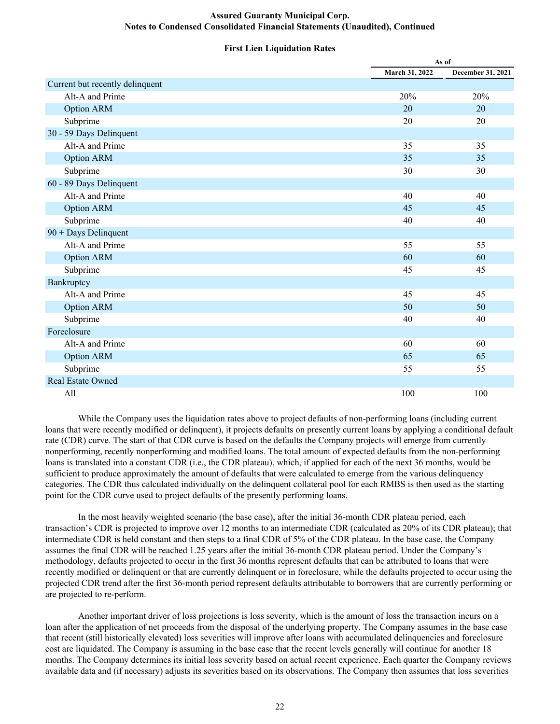#### **First Lien Liquidation Rates**

|                                 | As of          |                   |  |
|---------------------------------|----------------|-------------------|--|
|                                 | March 31, 2022 | December 31, 2021 |  |
| Current but recently delinquent |                |                   |  |
| Alt-A and Prime                 | 20%            | 20%               |  |
| <b>Option ARM</b>               | 20             | 20                |  |
| Subprime                        | 20             | 20                |  |
| 30 - 59 Days Delinquent         |                |                   |  |
| Alt-A and Prime                 | 35             | 35                |  |
| <b>Option ARM</b>               | 35             | 35                |  |
| Subprime                        | 30             | 30                |  |
| 60 - 89 Days Delinquent         |                |                   |  |
| Alt-A and Prime                 | 40             | 40                |  |
| <b>Option ARM</b>               | 45             | 45                |  |
| Subprime                        | 40             | 40                |  |
| 90 + Days Delinquent            |                |                   |  |
| Alt-A and Prime                 | 55             | 55                |  |
| <b>Option ARM</b>               | 60             | 60                |  |
| Subprime                        | 45             | 45                |  |
| Bankruptcy                      |                |                   |  |
| Alt-A and Prime                 | 45             | 45                |  |
| <b>Option ARM</b>               | 50             | 50                |  |
| Subprime                        | 40             | 40                |  |
| Foreclosure                     |                |                   |  |
| Alt-A and Prime                 | 60             | 60                |  |
| <b>Option ARM</b>               | 65             | 65                |  |
| Subprime                        | 55             | 55                |  |
| Real Estate Owned               |                |                   |  |
| All                             | 100            | 100               |  |

 While the Company uses the liquidation rates above to project defaults of non-performing loans (including current loans that were recently modified or delinquent), it projects defaults on presently current loans by applying a conditional default rate (CDR) curve. The start of that CDR curve is based on the defaults the Company projects will emerge from currently nonperforming, recently nonperforming and modified loans. The total amount of expected defaults from the non-performing loans is translated into a constant CDR (i.e., the CDR plateau), which, if applied for each of the next 36 months, would be sufficient to produce approximately the amount of defaults that were calculated to emerge from the various delinquency categories. The CDR thus calculated individually on the delinquent collateral pool for each RMBS is then used as the starting point for the CDR curve used to project defaults of the presently performing loans.

In the most heavily weighted scenario (the base case), after the initial 36-month CDR plateau period, each transaction's CDR is projected to improve over 12 months to an intermediate CDR (calculated as 20% of its CDR plateau); that intermediate CDR is held constant and then steps to a final CDR of 5% of the CDR plateau. In the base case, the Company assumes the final CDR will be reached 1.25 years after the initial 36-month CDR plateau period. Under the Company's methodology, defaults projected to occur in the first 36 months represent defaults that can be attributed to loans that were recently modified or delinquent or that are currently delinquent or in foreclosure, while the defaults projected to occur using the projected CDR trend after the first 36-month period represent defaults attributable to borrowers that are currently performing or are projected to re-perform.

Another important driver of loss projections is loss severity, which is the amount of loss the transaction incurs on a loan after the application of net proceeds from the disposal of the underlying property. The Company assumes in the base case that recent (still historically elevated) loss severities will improve after loans with accumulated delinquencies and foreclosure cost are liquidated. The Company is assuming in the base case that the recent levels generally will continue for another 18 months. The Company determines its initial loss severity based on actual recent experience. Each quarter the Company reviews available data and (if necessary) adjusts its severities based on its observations. The Company then assumes that loss severities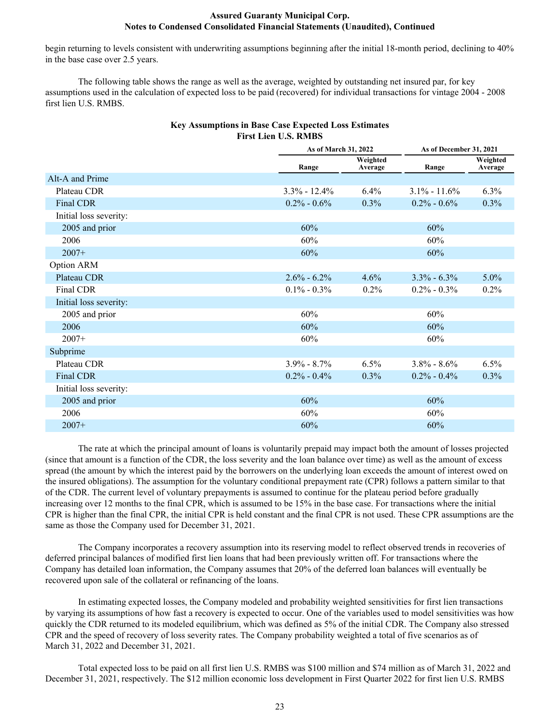begin returning to levels consistent with underwriting assumptions beginning after the initial 18-month period, declining to 40% in the base case over 2.5 years.

The following table shows the range as well as the average, weighted by outstanding net insured par, for key assumptions used in the calculation of expected loss to be paid (recovered) for individual transactions for vintage 2004 - 2008 first lien U.S. RMBS.

| <b>Key Assumptions in Base Case Expected Loss Estimates</b> |
|-------------------------------------------------------------|
| <b>First Lien U.S. RMBS</b>                                 |

|                        |                  | As of March 31, 2022 |                  | As of December 31, 2021 |
|------------------------|------------------|----------------------|------------------|-------------------------|
|                        | Range            | Weighted<br>Average  | Range            | Weighted<br>Average     |
| Alt-A and Prime        |                  |                      |                  |                         |
| Plateau CDR            | $3.3\% - 12.4\%$ | 6.4%                 | $3.1\% - 11.6\%$ | 6.3%                    |
| Final CDR              | $0.2\% - 0.6\%$  | 0.3%                 | $0.2\% - 0.6\%$  | 0.3%                    |
| Initial loss severity: |                  |                      |                  |                         |
| 2005 and prior         | 60%              |                      | 60%              |                         |
| 2006                   | 60%              |                      | 60%              |                         |
| $2007+$                | 60%              |                      | 60%              |                         |
| Option ARM             |                  |                      |                  |                         |
| Plateau CDR            | $2.6\% - 6.2\%$  | 4.6%                 | $3.3\% - 6.3\%$  | $5.0\%$                 |
| Final CDR              | $0.1\% - 0.3\%$  | 0.2%                 | $0.2\% - 0.3\%$  | 0.2%                    |
| Initial loss severity: |                  |                      |                  |                         |
| 2005 and prior         | 60%              |                      | 60%              |                         |
| 2006                   | 60%              |                      | 60%              |                         |
| $2007+$                | 60%              |                      | 60%              |                         |
| Subprime               |                  |                      |                  |                         |
| Plateau CDR            | $3.9\% - 8.7\%$  | 6.5%                 | $3.8\% - 8.6\%$  | 6.5%                    |
| Final CDR              | $0.2\% - 0.4\%$  | $0.3\%$              | $0.2\% - 0.4\%$  | $0.3\%$                 |
| Initial loss severity: |                  |                      |                  |                         |
| 2005 and prior         | 60%              |                      | 60%              |                         |
| 2006                   | 60%              |                      | 60%              |                         |
| $2007+$                | 60%              |                      | 60%              |                         |

The rate at which the principal amount of loans is voluntarily prepaid may impact both the amount of losses projected (since that amount is a function of the CDR, the loss severity and the loan balance over time) as well as the amount of excess spread (the amount by which the interest paid by the borrowers on the underlying loan exceeds the amount of interest owed on the insured obligations). The assumption for the voluntary conditional prepayment rate (CPR) follows a pattern similar to that of the CDR. The current level of voluntary prepayments is assumed to continue for the plateau period before gradually increasing over 12 months to the final CPR, which is assumed to be 15% in the base case. For transactions where the initial CPR is higher than the final CPR, the initial CPR is held constant and the final CPR is not used. These CPR assumptions are the same as those the Company used for December 31, 2021.

The Company incorporates a recovery assumption into its reserving model to reflect observed trends in recoveries of deferred principal balances of modified first lien loans that had been previously written off. For transactions where the Company has detailed loan information, the Company assumes that 20% of the deferred loan balances will eventually be recovered upon sale of the collateral or refinancing of the loans.

In estimating expected losses, the Company modeled and probability weighted sensitivities for first lien transactions by varying its assumptions of how fast a recovery is expected to occur. One of the variables used to model sensitivities was how quickly the CDR returned to its modeled equilibrium, which was defined as 5% of the initial CDR. The Company also stressed CPR and the speed of recovery of loss severity rates. The Company probability weighted a total of five scenarios as of March 31, 2022 and December 31, 2021.

Total expected loss to be paid on all first lien U.S. RMBS was \$100 million and \$74 million as of March 31, 2022 and December 31, 2021, respectively. The \$12 million economic loss development in First Quarter 2022 for first lien U.S. RMBS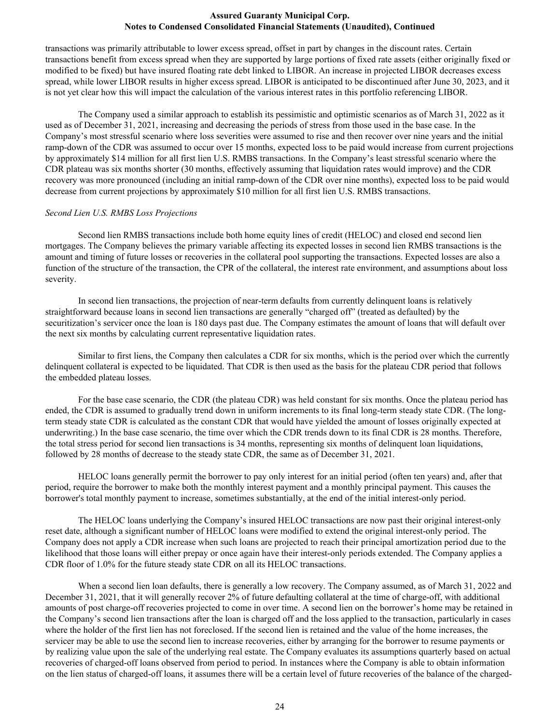transactions was primarily attributable to lower excess spread, offset in part by changes in the discount rates. Certain transactions benefit from excess spread when they are supported by large portions of fixed rate assets (either originally fixed or modified to be fixed) but have insured floating rate debt linked to LIBOR. An increase in projected LIBOR decreases excess spread, while lower LIBOR results in higher excess spread. LIBOR is anticipated to be discontinued after June 30, 2023, and it is not yet clear how this will impact the calculation of the various interest rates in this portfolio referencing LIBOR.

The Company used a similar approach to establish its pessimistic and optimistic scenarios as of March 31, 2022 as it used as of December 31, 2021, increasing and decreasing the periods of stress from those used in the base case. In the Company's most stressful scenario where loss severities were assumed to rise and then recover over nine years and the initial ramp-down of the CDR was assumed to occur over 15 months, expected loss to be paid would increase from current projections by approximately \$14 million for all first lien U.S. RMBS transactions. In the Company's least stressful scenario where the CDR plateau was six months shorter (30 months, effectively assuming that liquidation rates would improve) and the CDR recovery was more pronounced (including an initial ramp-down of the CDR over nine months), expected loss to be paid would decrease from current projections by approximately \$10 million for all first lien U.S. RMBS transactions.

#### *Second Lien U.S. RMBS Loss Projections*

Second lien RMBS transactions include both home equity lines of credit (HELOC) and closed end second lien mortgages. The Company believes the primary variable affecting its expected losses in second lien RMBS transactions is the amount and timing of future losses or recoveries in the collateral pool supporting the transactions. Expected losses are also a function of the structure of the transaction, the CPR of the collateral, the interest rate environment, and assumptions about loss severity.

In second lien transactions, the projection of near-term defaults from currently delinquent loans is relatively straightforward because loans in second lien transactions are generally "charged off" (treated as defaulted) by the securitization's servicer once the loan is 180 days past due. The Company estimates the amount of loans that will default over the next six months by calculating current representative liquidation rates.

Similar to first liens, the Company then calculates a CDR for six months, which is the period over which the currently delinquent collateral is expected to be liquidated. That CDR is then used as the basis for the plateau CDR period that follows the embedded plateau losses.

For the base case scenario, the CDR (the plateau CDR) was held constant for six months. Once the plateau period has ended, the CDR is assumed to gradually trend down in uniform increments to its final long-term steady state CDR. (The longterm steady state CDR is calculated as the constant CDR that would have yielded the amount of losses originally expected at underwriting.) In the base case scenario, the time over which the CDR trends down to its final CDR is 28 months. Therefore, the total stress period for second lien transactions is 34 months, representing six months of delinquent loan liquidations, followed by 28 months of decrease to the steady state CDR, the same as of December 31, 2021.

HELOC loans generally permit the borrower to pay only interest for an initial period (often ten years) and, after that period, require the borrower to make both the monthly interest payment and a monthly principal payment. This causes the borrower's total monthly payment to increase, sometimes substantially, at the end of the initial interest-only period.

 The HELOC loans underlying the Company's insured HELOC transactions are now past their original interest-only reset date, although a significant number of HELOC loans were modified to extend the original interest-only period. The Company does not apply a CDR increase when such loans are projected to reach their principal amortization period due to the likelihood that those loans will either prepay or once again have their interest-only periods extended. The Company applies a CDR floor of 1.0% for the future steady state CDR on all its HELOC transactions.

When a second lien loan defaults, there is generally a low recovery. The Company assumed, as of March 31, 2022 and December 31, 2021, that it will generally recover 2% of future defaulting collateral at the time of charge-off, with additional amounts of post charge-off recoveries projected to come in over time. A second lien on the borrower's home may be retained in the Company's second lien transactions after the loan is charged off and the loss applied to the transaction, particularly in cases where the holder of the first lien has not foreclosed. If the second lien is retained and the value of the home increases, the servicer may be able to use the second lien to increase recoveries, either by arranging for the borrower to resume payments or by realizing value upon the sale of the underlying real estate. The Company evaluates its assumptions quarterly based on actual recoveries of charged-off loans observed from period to period. In instances where the Company is able to obtain information on the lien status of charged-off loans, it assumes there will be a certain level of future recoveries of the balance of the charged-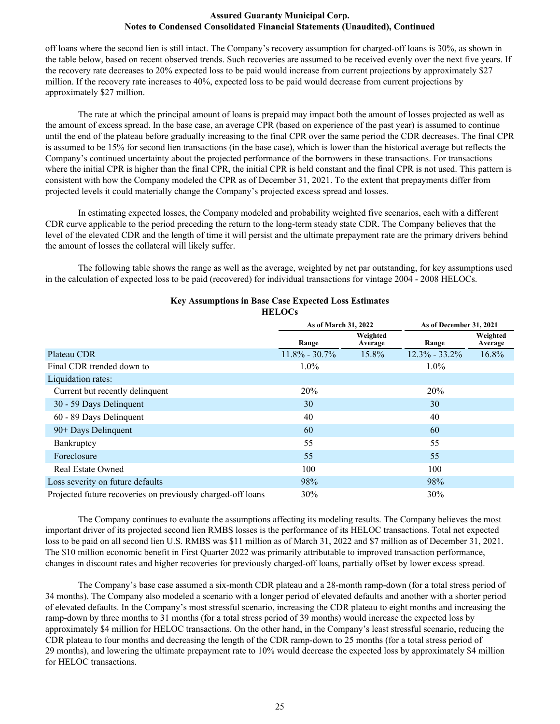off loans where the second lien is still intact. The Company's recovery assumption for charged-off loans is 30%, as shown in the table below, based on recent observed trends. Such recoveries are assumed to be received evenly over the next five years. If the recovery rate decreases to 20% expected loss to be paid would increase from current projections by approximately \$27 million. If the recovery rate increases to 40%, expected loss to be paid would decrease from current projections by approximately \$27 million.

The rate at which the principal amount of loans is prepaid may impact both the amount of losses projected as well as the amount of excess spread. In the base case, an average CPR (based on experience of the past year) is assumed to continue until the end of the plateau before gradually increasing to the final CPR over the same period the CDR decreases. The final CPR is assumed to be 15% for second lien transactions (in the base case), which is lower than the historical average but reflects the Company's continued uncertainty about the projected performance of the borrowers in these transactions. For transactions where the initial CPR is higher than the final CPR, the initial CPR is held constant and the final CPR is not used. This pattern is consistent with how the Company modeled the CPR as of December 31, 2021. To the extent that prepayments differ from projected levels it could materially change the Company's projected excess spread and losses.

In estimating expected losses, the Company modeled and probability weighted five scenarios, each with a different CDR curve applicable to the period preceding the return to the long-term steady state CDR. The Company believes that the level of the elevated CDR and the length of time it will persist and the ultimate prepayment rate are the primary drivers behind the amount of losses the collateral will likely suffer.

The following table shows the range as well as the average, weighted by net par outstanding, for key assumptions used in the calculation of expected loss to be paid (recovered) for individual transactions for vintage 2004 - 2008 HELOCs.

|                                                             | As of March 31, 2022 |                     | As of December 31, 2021 |                     |
|-------------------------------------------------------------|----------------------|---------------------|-------------------------|---------------------|
|                                                             | Range                | Weighted<br>Average | Range                   | Weighted<br>Average |
| Plateau CDR                                                 | $11.8\% - 30.7\%$    | 15.8%               | $12.3\% - 33.2\%$       | 16.8%               |
| Final CDR trended down to                                   | $1.0\%$              |                     | $1.0\%$                 |                     |
| Liquidation rates:                                          |                      |                     |                         |                     |
| Current but recently delinquent                             | 20%                  |                     | 20%                     |                     |
| 30 - 59 Days Delinquent                                     | 30                   |                     | 30                      |                     |
| 60 - 89 Days Delinquent                                     | 40                   |                     | 40                      |                     |
| 90+ Days Delinquent                                         | 60                   |                     | 60                      |                     |
| Bankruptcy                                                  | 55                   |                     | 55                      |                     |
| Foreclosure                                                 | 55                   |                     | 55                      |                     |
| <b>Real Estate Owned</b>                                    | 100                  |                     | 100                     |                     |
| Loss severity on future defaults                            | 98%                  |                     | 98%                     |                     |
| Projected future recoveries on previously charged-off loans | 30%                  |                     | 30%                     |                     |

#### **Key Assumptions in Base Case Expected Loss Estimates HELOCs**

The Company continues to evaluate the assumptions affecting its modeling results. The Company believes the most important driver of its projected second lien RMBS losses is the performance of its HELOC transactions. Total net expected loss to be paid on all second lien U.S. RMBS was \$11 million as of March 31, 2022 and \$7 million as of December 31, 2021. The \$10 million economic benefit in First Quarter 2022 was primarily attributable to improved transaction performance, changes in discount rates and higher recoveries for previously charged-off loans, partially offset by lower excess spread.

The Company's base case assumed a six-month CDR plateau and a 28-month ramp-down (for a total stress period of 34 months). The Company also modeled a scenario with a longer period of elevated defaults and another with a shorter period of elevated defaults. In the Company's most stressful scenario, increasing the CDR plateau to eight months and increasing the ramp-down by three months to 31 months (for a total stress period of 39 months) would increase the expected loss by approximately \$4 million for HELOC transactions. On the other hand, in the Company's least stressful scenario, reducing the CDR plateau to four months and decreasing the length of the CDR ramp-down to 25 months (for a total stress period of 29 months), and lowering the ultimate prepayment rate to 10% would decrease the expected loss by approximately \$4 million for HELOC transactions.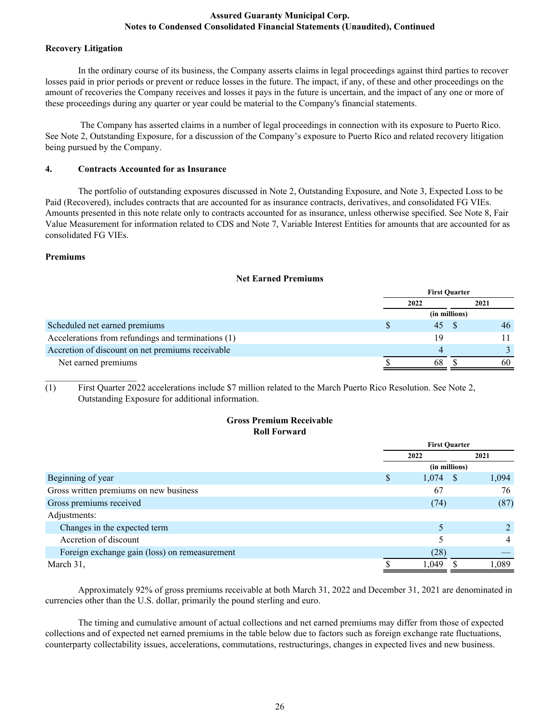#### **Recovery Litigation**

 In the ordinary course of its business, the Company asserts claims in legal proceedings against third parties to recover losses paid in prior periods or prevent or reduce losses in the future. The impact, if any, of these and other proceedings on the amount of recoveries the Company receives and losses it pays in the future is uncertain, and the impact of any one or more of these proceedings during any quarter or year could be material to the Company's financial statements.

 The Company has asserted claims in a number of legal proceedings in connection with its exposure to Puerto Rico. See Note 2, Outstanding Exposure, for a discussion of the Company's exposure to Puerto Rico and related recovery litigation being pursued by the Company.

# **4. Contracts Accounted for as Insurance**

The portfolio of outstanding exposures discussed in Note 2, Outstanding Exposure, and Note 3, Expected Loss to be Paid (Recovered), includes contracts that are accounted for as insurance contracts, derivatives, and consolidated FG VIEs. Amounts presented in this note relate only to contracts accounted for as insurance, unless otherwise specified. See Note 8, Fair Value Measurement for information related to CDS and Note 7, Variable Interest Entities for amounts that are accounted for as consolidated FG VIEs.

# **Premiums**

|                                                    | <b>First Ouarter</b> |               |      |
|----------------------------------------------------|----------------------|---------------|------|
|                                                    | 2022                 |               | 2021 |
|                                                    |                      | (in millions) |      |
| Scheduled net earned premiums                      | 45                   |               | 46   |
| Accelerations from refundings and terminations (1) | 19                   |               |      |
| Accretion of discount on net premiums receivable   |                      |               |      |
| Net earned premiums                                | 68                   |               | 60   |

 $\mathcal{L}_\text{max}$  , where  $\mathcal{L}_\text{max}$  , we have (1) First Quarter 2022 accelerations include \$7 million related to the March Puerto Rico Resolution. See Note 2, Outstanding Exposure for additional information.

#### **Gross Premium Receivable Roll Forward**

|                                               |   | <b>First Quarter</b> |       |  |
|-----------------------------------------------|---|----------------------|-------|--|
|                                               |   | 2022                 | 2021  |  |
|                                               |   | (in millions)        |       |  |
| Beginning of year                             | S | 1,074<br>- \$        | 1,094 |  |
| Gross written premiums on new business        |   | 67                   | 76    |  |
| Gross premiums received                       |   | (74)                 | (87)  |  |
| Adjustments:                                  |   |                      |       |  |
| Changes in the expected term                  |   |                      |       |  |
| Accretion of discount                         |   |                      | 4     |  |
| Foreign exchange gain (loss) on remeasurement |   | (28)                 |       |  |
| March 31,                                     |   | 1,049                | 1,089 |  |

Approximately 92% of gross premiums receivable at both March 31, 2022 and December 31, 2021 are denominated in currencies other than the U.S. dollar, primarily the pound sterling and euro.

The timing and cumulative amount of actual collections and net earned premiums may differ from those of expected collections and of expected net earned premiums in the table below due to factors such as foreign exchange rate fluctuations, counterparty collectability issues, accelerations, commutations, restructurings, changes in expected lives and new business.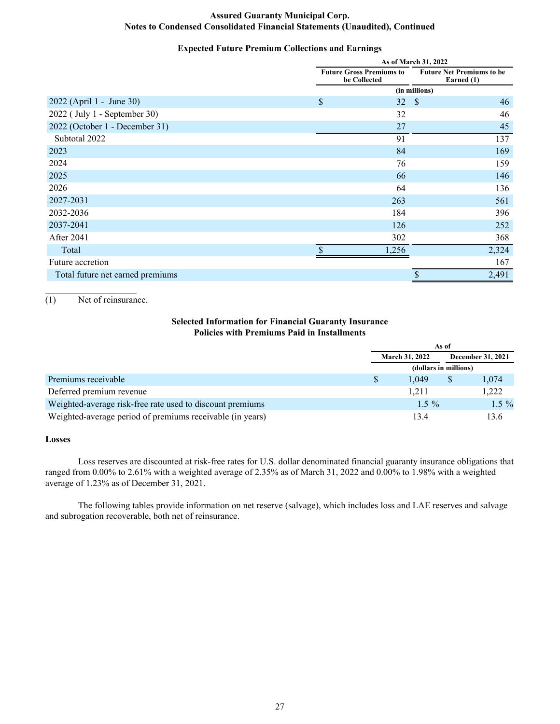# **Expected Future Premium Collections and Earnings**

|                                  | As of March 31, 2022                            |               |                                                |  |
|----------------------------------|-------------------------------------------------|---------------|------------------------------------------------|--|
|                                  | <b>Future Gross Premiums to</b><br>be Collected |               | <b>Future Net Premiums to be</b><br>Earned (1) |  |
|                                  |                                                 | (in millions) |                                                |  |
| 2022 (April 1 - June 30)         | \$<br>32                                        | $\mathcal{S}$ | 46                                             |  |
| 2022 (July 1 - September 30)     | 32                                              |               | 46                                             |  |
| 2022 (October 1 - December 31)   | 27                                              |               | 45                                             |  |
| Subtotal 2022                    | 91                                              |               | 137                                            |  |
| 2023                             | 84                                              |               | 169                                            |  |
| 2024                             | 76                                              |               | 159                                            |  |
| 2025                             | 66                                              |               | 146                                            |  |
| 2026                             | 64                                              |               | 136                                            |  |
| 2027-2031                        | 263                                             |               | 561                                            |  |
| 2032-2036                        | 184                                             |               | 396                                            |  |
| 2037-2041                        | 126                                             |               | 252                                            |  |
| <b>After 2041</b>                | 302                                             |               | 368                                            |  |
| Total                            | 1,256                                           |               | 2,324                                          |  |
| Future accretion                 |                                                 |               | 167                                            |  |
| Total future net earned premiums |                                                 | \$            | 2,491                                          |  |

 $\mathcal{L}_\text{max}$  , where  $\mathcal{L}_\text{max}$  , we have (1) Net of reinsurance.

# **Selected Information for Financial Guaranty Insurance Policies with Premiums Paid in Installments**

|                                                           | As of                 |          |                   |         |
|-----------------------------------------------------------|-----------------------|----------|-------------------|---------|
|                                                           | <b>March 31, 2022</b> |          | December 31, 2021 |         |
|                                                           | (dollars in millions) |          |                   |         |
| Premiums receivable                                       |                       | 1.049    | \$                | 1,074   |
| Deferred premium revenue                                  |                       | 1.211    |                   | 1,222   |
| Weighted-average risk-free rate used to discount premiums |                       | $1.5 \%$ |                   | $1.5\%$ |
| Weighted-average period of premiums receivable (in years) |                       | 13.4     |                   | 13.6    |

## **Losses**

 Loss reserves are discounted at risk-free rates for U.S. dollar denominated financial guaranty insurance obligations that ranged from 0.00% to 2.61% with a weighted average of 2.35% as of March 31, 2022 and 0.00% to 1.98% with a weighted average of 1.23% as of December 31, 2021.

The following tables provide information on net reserve (salvage), which includes loss and LAE reserves and salvage and subrogation recoverable, both net of reinsurance.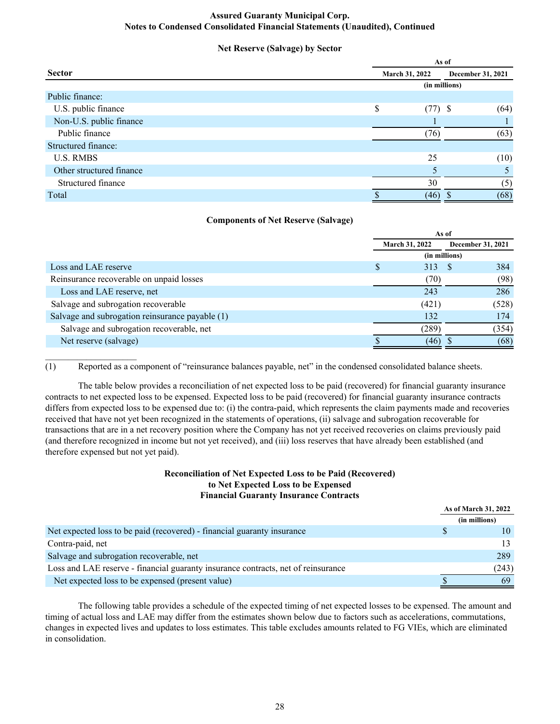# **Net Reserve (Salvage) by Sector**

|                          |    | As of          |                   |  |  |
|--------------------------|----|----------------|-------------------|--|--|
| <b>Sector</b>            |    | March 31, 2022 | December 31, 2021 |  |  |
|                          |    | (in millions)  |                   |  |  |
| Public finance:          |    |                |                   |  |  |
| U.S. public finance      | \$ | $(77)$ \$      | (64)              |  |  |
| Non-U.S. public finance  |    |                |                   |  |  |
| Public finance           |    | (76)           | (63)              |  |  |
| Structured finance:      |    |                |                   |  |  |
| <b>U.S. RMBS</b>         |    | 25             | (10)              |  |  |
| Other structured finance |    |                |                   |  |  |
| Structured finance       |    | 30             | (5)               |  |  |
| Total                    |    | (46)           | (68)              |  |  |
|                          |    |                |                   |  |  |

# **Components of Net Reserve (Salvage)**

|                                                 | As of                 |       |  |                   |
|-------------------------------------------------|-----------------------|-------|--|-------------------|
|                                                 | <b>March 31, 2022</b> |       |  | December 31, 2021 |
|                                                 | (in millions)         |       |  |                   |
| Loss and LAE reserve                            |                       | 313   |  | 384               |
| Reinsurance recoverable on unpaid losses        |                       | (70)  |  | (98)              |
| Loss and LAE reserve, net                       |                       | 243   |  | 286               |
| Salvage and subrogation recoverable             |                       | (421) |  | (528)             |
| Salvage and subrogation reinsurance payable (1) |                       | 132   |  | 174               |
| Salvage and subrogation recoverable, net        |                       | (289) |  | (354)             |
| Net reserve (salvage)                           |                       | (46)  |  | (68)              |
|                                                 |                       |       |  |                   |

(1) Reported as a component of "reinsurance balances payable, net" in the condensed consolidated balance sheets.

The table below provides a reconciliation of net expected loss to be paid (recovered) for financial guaranty insurance contracts to net expected loss to be expensed. Expected loss to be paid (recovered) for financial guaranty insurance contracts differs from expected loss to be expensed due to: (i) the contra-paid, which represents the claim payments made and recoveries received that have not yet been recognized in the statements of operations, (ii) salvage and subrogation recoverable for transactions that are in a net recovery position where the Company has not yet received recoveries on claims previously paid (and therefore recognized in income but not yet received), and (iii) loss reserves that have already been established (and therefore expensed but not yet paid).

## **Reconciliation of Net Expected Loss to be Paid (Recovered) to Net Expected Loss to be Expensed Financial Guaranty Insurance Contracts**

**As of March 31, 2022**

|                                                                                   | As of March 31, 2022 |               |
|-----------------------------------------------------------------------------------|----------------------|---------------|
|                                                                                   |                      | (in millions) |
| Net expected loss to be paid (recovered) - financial guaranty insurance           |                      |               |
| Contra-paid, net                                                                  |                      |               |
| Salvage and subrogation recoverable, net                                          |                      | 289           |
| Loss and LAE reserve - financial guaranty insurance contracts, net of reinsurance |                      | (243)         |
| Net expected loss to be expensed (present value)                                  |                      |               |

 The following table provides a schedule of the expected timing of net expected losses to be expensed. The amount and timing of actual loss and LAE may differ from the estimates shown below due to factors such as accelerations, commutations, changes in expected lives and updates to loss estimates. This table excludes amounts related to FG VIEs, which are eliminated in consolidation.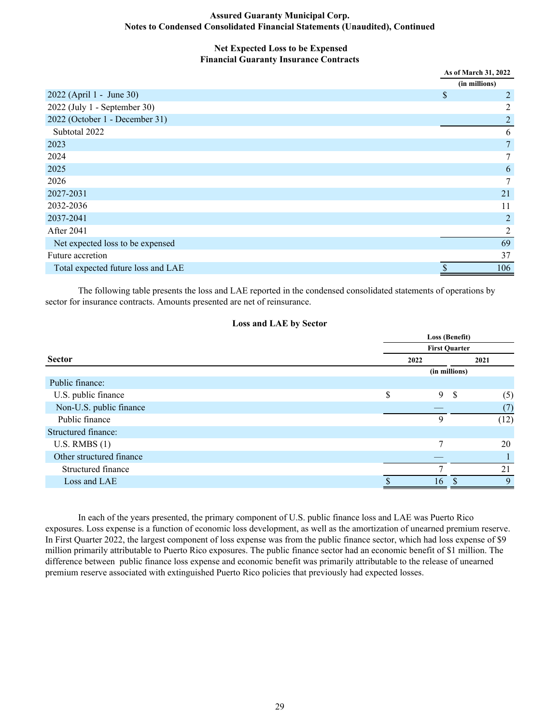#### **Net Expected Loss to be Expensed Financial Guaranty Insurance Contracts**

|                                    | As of March 31, 2022           |
|------------------------------------|--------------------------------|
|                                    | (in millions)                  |
| 2022 (April 1 - June 30)           | $\boldsymbol{\mathsf{S}}$<br>2 |
| 2022 (July 1 - September 30)       | 2                              |
| 2022 (October 1 - December 31)     | $\overline{2}$                 |
| Subtotal 2022                      | 6                              |
| 2023                               | $\overline{7}$                 |
| 2024                               | $7\phantom{.0}$                |
| 2025                               | 6                              |
| 2026                               | 7                              |
| 2027-2031                          | 21                             |
| 2032-2036                          | 11                             |
| 2037-2041                          | $\overline{2}$                 |
| After 2041                         | $\overline{c}$                 |
| Net expected loss to be expensed   | 69                             |
| Future accretion                   | 37                             |
| Total expected future loss and LAE | \$<br>106                      |

The following table presents the loss and LAE reported in the condensed consolidated statements of operations by sector for insurance contracts. Amounts presented are net of reinsurance.

#### **Loss and LAE by Sector**

|                          |                      | Loss (Benefit) |               |              |  |
|--------------------------|----------------------|----------------|---------------|--------------|--|
|                          | <b>First Quarter</b> |                |               |              |  |
| <b>Sector</b>            | 2022                 |                | 2021          |              |  |
|                          |                      | (in millions)  |               |              |  |
| Public finance:          |                      |                |               |              |  |
| U.S. public finance      | \$                   | 9              | <sup>\$</sup> | (5)          |  |
| Non-U.S. public finance  |                      |                |               | (7)          |  |
| Public finance           |                      | Q              |               | (12)         |  |
| Structured finance:      |                      |                |               |              |  |
| U.S. RMBS(1)             |                      | 7              |               | 20           |  |
| Other structured finance |                      |                |               |              |  |
| Structured finance       |                      |                |               | 21           |  |
| Loss and LAE             |                      | 16             |               | $\mathbf{Q}$ |  |

In each of the years presented, the primary component of U.S. public finance loss and LAE was Puerto Rico exposures. Loss expense is a function of economic loss development, as well as the amortization of unearned premium reserve. In First Quarter 2022, the largest component of loss expense was from the public finance sector, which had loss expense of \$9 million primarily attributable to Puerto Rico exposures. The public finance sector had an economic benefit of \$1 million. The difference between public finance loss expense and economic benefit was primarily attributable to the release of unearned premium reserve associated with extinguished Puerto Rico policies that previously had expected losses.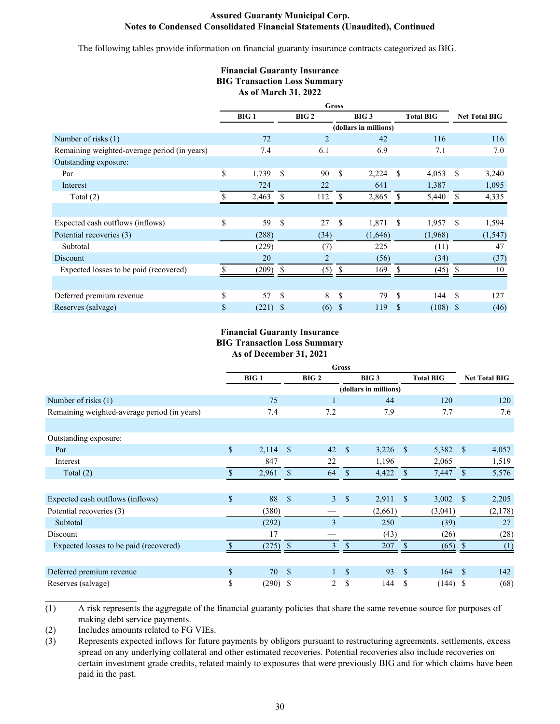The following tables provide information on financial guaranty insurance contracts categorized as BIG.

# **Financial Guaranty Insurance BIG Transaction Loss Summary As of March 31, 2022**

|                                              |                  |               |                                      | <b>Gross</b> |                       |                  |         |               |                      |
|----------------------------------------------|------------------|---------------|--------------------------------------|--------------|-----------------------|------------------|---------|---------------|----------------------|
|                                              | <b>BIG1</b>      |               | BIG <sub>2</sub><br>BIG <sub>3</sub> |              |                       | <b>Total BIG</b> |         |               | <b>Net Total BIG</b> |
|                                              |                  |               |                                      |              | (dollars in millions) |                  |         |               |                      |
| Number of risks (1)                          | 72               |               | $\overline{2}$                       |              | 42                    |                  | 116     |               | 116                  |
| Remaining weighted-average period (in years) | 7.4              |               | 6.1                                  |              | 6.9                   |                  | 7.1     |               | 7.0                  |
| Outstanding exposure:                        |                  |               |                                      |              |                       |                  |         |               |                      |
| Par                                          | \$<br>1,739      | -S            | 90                                   | \$           | 2,224                 | S                | 4,053   | S             | 3,240                |
| Interest                                     | 724              |               | 22                                   |              | 641                   |                  | 1,387   |               | 1,095                |
| Total $(2)$                                  | 2,463            | S             | 112                                  | S            | 2,865                 |                  | 5,440   | S             | 4,335                |
|                                              |                  |               |                                      |              |                       |                  |         |               |                      |
| Expected cash outflows (inflows)             | \$<br>59         | \$            | 27                                   | \$           | 1,871                 | <sup>\$</sup>    | 1,957   | \$            | 1,594                |
| Potential recoveries (3)                     | (288)            |               | (34)                                 |              | (1,646)               |                  | (1,968) |               | (1, 547)             |
| Subtotal                                     | (229)            |               | (7)                                  |              | 225                   |                  | (11)    |               | 47                   |
| Discount                                     | 20               |               | $\overline{2}$                       |              | (56)                  |                  | (34)    |               | (37)                 |
| Expected losses to be paid (recovered)       | (209)            |               | (5)                                  |              | 169                   |                  | (45)    |               | 10                   |
|                                              |                  |               |                                      |              |                       |                  |         |               |                      |
| Deferred premium revenue                     | \$<br>57         | <sup>\$</sup> | 8                                    | \$           | 79                    | \$.              | 144     | <sup>\$</sup> | 127                  |
| Reserves (salvage)                           | \$<br>$(221)$ \$ |               | (6)                                  | \$           | 119                   | \$               | (108)   | <sup>\$</sup> | (46)                 |

## **Financial Guaranty Insurance BIG Transaction Loss Summary As of December 31, 2021**

|                                              |             |             |                    |                  | <b>Gross</b>       |                       |                    |                  |               |                      |
|----------------------------------------------|-------------|-------------|--------------------|------------------|--------------------|-----------------------|--------------------|------------------|---------------|----------------------|
|                                              |             | <b>BIG1</b> |                    | BIG <sub>2</sub> |                    | BIG <sub>3</sub>      |                    | <b>Total BIG</b> |               | <b>Net Total BIG</b> |
|                                              |             |             |                    |                  |                    | (dollars in millions) |                    |                  |               |                      |
| Number of risks (1)                          |             | 75          |                    |                  |                    | 44                    |                    | 120              |               | 120                  |
| Remaining weighted-average period (in years) |             | 7.4         |                    | 7.2              |                    | 7.9                   |                    | 7.7              |               | 7.6                  |
|                                              |             |             |                    |                  |                    |                       |                    |                  |               |                      |
| Outstanding exposure:                        |             |             |                    |                  |                    |                       |                    |                  |               |                      |
| Par                                          | $\sqrt{\ }$ | 2,114       | $\mathbf{s}$       | 42               | $\mathcal{S}$      | 3,226                 | $\mathbf{\hat{s}}$ | 5,382            | <sup>\$</sup> | 4,057                |
| Interest                                     |             | 847         |                    | 22               |                    | 1,196                 |                    | 2,065            |               | 1,519                |
| Total $(2)$                                  |             | 2,961       |                    | 64               | S                  | 4,422                 |                    | 7,447            |               | 5,576                |
|                                              |             |             |                    |                  |                    |                       |                    |                  |               |                      |
| Expected cash outflows (inflows)             | \$          | 88          | $\mathcal{S}$      | $\overline{3}$   | $\mathbf{\hat{S}}$ | 2,911                 | <sup>\$</sup>      | 3,002            | <sup>\$</sup> | 2,205                |
| Potential recoveries (3)                     |             | (380)       |                    |                  |                    | (2,661)               |                    | (3,041)          |               | (2,178)              |
| Subtotal                                     |             | (292)       |                    | 3                |                    | 250                   |                    | (39)             |               | 27                   |
| Discount                                     |             | 17          |                    |                  |                    | (43)                  |                    | (26)             |               | (28)                 |
| Expected losses to be paid (recovered)       |             | (275)       | $\mathbf{\hat{s}}$ | 3                | \$                 | 207                   | \$.                | (65)             |               | (1)                  |
|                                              |             |             |                    |                  |                    |                       |                    |                  |               |                      |
| Deferred premium revenue                     | $\mathbf S$ | 70          | $\mathbf{\hat{s}}$ |                  | \$                 | 93                    | $\mathbf{s}$       | 164              | <sup>\$</sup> | 142                  |
| Reserves (salvage)                           | \$          | $(290)$ \$  |                    | 2                | \$                 | 144                   | \$                 | (144)            | -\$           | (68)                 |

(1) A risk represents the aggregate of the financial guaranty policies that share the same revenue source for purposes of making debt service payments.

(2) Includes amounts related to FG VIEs.

(3) Represents expected inflows for future payments by obligors pursuant to restructuring agreements, settlements, excess spread on any underlying collateral and other estimated recoveries. Potential recoveries also include recoveries on certain investment grade credits, related mainly to exposures that were previously BIG and for which claims have been paid in the past.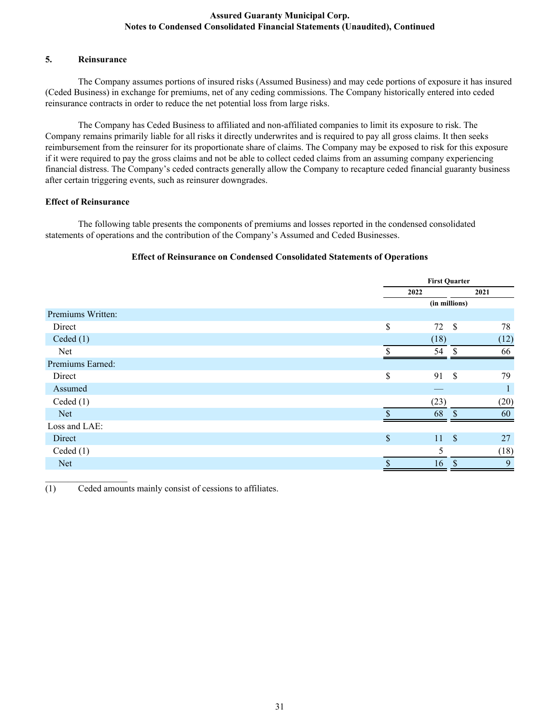#### **5. Reinsurance**

The Company assumes portions of insured risks (Assumed Business) and may cede portions of exposure it has insured (Ceded Business) in exchange for premiums, net of any ceding commissions. The Company historically entered into ceded reinsurance contracts in order to reduce the net potential loss from large risks.

The Company has Ceded Business to affiliated and non-affiliated companies to limit its exposure to risk. The Company remains primarily liable for all risks it directly underwrites and is required to pay all gross claims. It then seeks reimbursement from the reinsurer for its proportionate share of claims. The Company may be exposed to risk for this exposure if it were required to pay the gross claims and not be able to collect ceded claims from an assuming company experiencing financial distress. The Company's ceded contracts generally allow the Company to recapture ceded financial guaranty business after certain triggering events, such as reinsurer downgrades.

# **Effect of Reinsurance**

 $\mathcal{L}_\text{max}$  , we have the set of the set of the set of the set of the set of the set of the set of the set of the set of the set of the set of the set of the set of the set of the set of the set of the set of the set of

 The following table presents the components of premiums and losses reported in the condensed consolidated statements of operations and the contribution of the Company's Assumed and Ceded Businesses.

# **Effect of Reinsurance on Condensed Consolidated Statements of Operations**

|                   |                           | <b>First Quarter</b> |               |      |
|-------------------|---------------------------|----------------------|---------------|------|
|                   |                           | 2022                 |               | 2021 |
|                   |                           | (in millions)        |               |      |
| Premiums Written: |                           |                      |               |      |
| Direct            | $\mathsf{\$}$             | 72                   | $\mathcal{S}$ | 78   |
| Ceded $(1)$       |                           | (18)                 |               | (12) |
| Net               | \$                        | 54                   | $\mathcal{S}$ | 66   |
| Premiums Earned:  |                           |                      |               |      |
| Direct            | \$                        | 91                   | $\mathcal{S}$ | 79   |
| Assumed           |                           |                      |               |      |
| Ceded $(1)$       |                           | (23)                 |               | (20) |
| <b>Net</b>        | $\mathcal{S}$             | 68                   | $\mathcal{S}$ | 60   |
| Loss and LAE:     |                           |                      |               |      |
| Direct            | $\boldsymbol{\mathsf{S}}$ | 11                   | $\sqrt{3}$    | 27   |
| Ceded $(1)$       |                           | 5                    |               | (18) |
| <b>Net</b>        | $\mathbf{\hat{S}}$        | 16                   | <sup>\$</sup> | 9    |
|                   |                           |                      |               |      |

(1) Ceded amounts mainly consist of cessions to affiliates.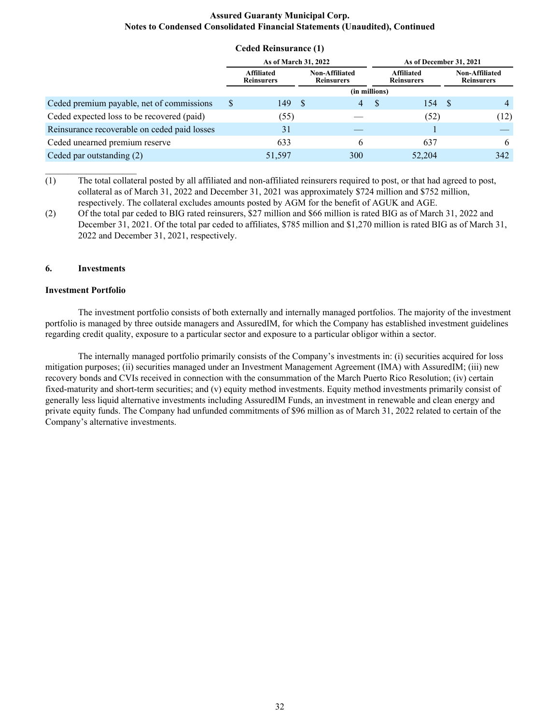**Ceded Reinsurance (1)**

|                                              | Ceded Remsurance (1)                   |    |                                            |   |                                        |                                            |
|----------------------------------------------|----------------------------------------|----|--------------------------------------------|---|----------------------------------------|--------------------------------------------|
|                                              | As of March 31, 2022                   |    |                                            |   | As of December 31, 2021                |                                            |
|                                              | <b>Affiliated</b><br><b>Reinsurers</b> |    | <b>Non-Affiliated</b><br><b>Reinsurers</b> |   | <b>Affiliated</b><br><b>Reinsurers</b> | <b>Non-Affiliated</b><br><b>Reinsurers</b> |
|                                              |                                        |    | (in millions)                              |   |                                        |                                            |
| Ceded premium payable, net of commissions    | \$<br>149                              | -S | 4                                          | S | 154 \$                                 | 4                                          |
| Ceded expected loss to be recovered (paid)   | (55)                                   |    |                                            |   | (52)                                   | (12)                                       |
| Reinsurance recoverable on ceded paid losses | 31                                     |    |                                            |   |                                        |                                            |
| Ceded unearned premium reserve               | 633                                    |    | 6                                          |   | 637                                    | 6                                          |
| Ceded par outstanding (2)                    | 51,597                                 |    | 300                                        |   | 52,204                                 | 342                                        |

(1) The total collateral posted by all affiliated and non-affiliated reinsurers required to post, or that had agreed to post, collateral as of March 31, 2022 and December 31, 2021 was approximately \$724 million and \$752 million, respectively. The collateral excludes amounts posted by AGM for the benefit of AGUK and AGE.

(2) Of the total par ceded to BIG rated reinsurers, \$27 million and \$66 million is rated BIG as of March 31, 2022 and December 31, 2021. Of the total par ceded to affiliates, \$785 million and \$1,270 million is rated BIG as of March 31, 2022 and December 31, 2021, respectively.

#### **6. Investments**

 $\mathcal{L}_\text{max}$  , where  $\mathcal{L}_\text{max}$  , we have

#### **Investment Portfolio**

The investment portfolio consists of both externally and internally managed portfolios. The majority of the investment portfolio is managed by three outside managers and AssuredIM, for which the Company has established investment guidelines regarding credit quality, exposure to a particular sector and exposure to a particular obligor within a sector.

The internally managed portfolio primarily consists of the Company's investments in: (i) securities acquired for loss mitigation purposes; (ii) securities managed under an Investment Management Agreement (IMA) with AssuredIM; (iii) new recovery bonds and CVIs received in connection with the consummation of the March Puerto Rico Resolution; (iv) certain fixed-maturity and short-term securities; and (v) equity method investments. Equity method investments primarily consist of generally less liquid alternative investments including AssuredIM Funds, an investment in renewable and clean energy and private equity funds. The Company had unfunded commitments of \$96 million as of March 31, 2022 related to certain of the Company's alternative investments.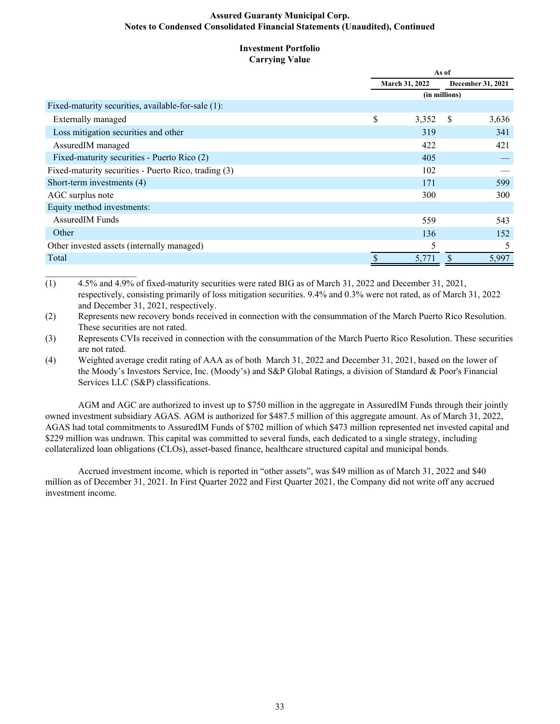#### **Investment Portfolio Carrying Value**

|                                                      | As of          |               |                   |  |  |  |
|------------------------------------------------------|----------------|---------------|-------------------|--|--|--|
|                                                      | March 31, 2022 |               | December 31, 2021 |  |  |  |
|                                                      |                | (in millions) |                   |  |  |  |
| Fixed-maturity securities, available-for-sale (1):   |                |               |                   |  |  |  |
| Externally managed                                   | \$<br>3,352    | <sup>S</sup>  | 3,636             |  |  |  |
| Loss mitigation securities and other                 | 319            |               | 341               |  |  |  |
| AssuredIM managed                                    | 422            |               | 421               |  |  |  |
| Fixed-maturity securities - Puerto Rico (2)          | 405            |               |                   |  |  |  |
| Fixed-maturity securities - Puerto Rico, trading (3) | 102            |               |                   |  |  |  |
| Short-term investments (4)                           | 171            |               | 599               |  |  |  |
| AGC surplus note                                     | 300            |               | 300               |  |  |  |
| Equity method investments:                           |                |               |                   |  |  |  |
| <b>AssuredIM Funds</b>                               | 559            |               | 543               |  |  |  |
| Other                                                | 136            |               | 152               |  |  |  |
| Other invested assets (internally managed)           | 5              |               | 5                 |  |  |  |
| Total                                                | 5,771          |               | 5,997             |  |  |  |

(1) 4.5% and 4.9% of fixed-maturity securities were rated BIG as of March 31, 2022 and December 31, 2021, respectively, consisting primarily of loss mitigation securities. 9.4% and 0.3% were not rated, as of March 31, 2022 and December 31, 2021, respectively.

 $\mathcal{L}_\text{max}$  , where  $\mathcal{L}_\text{max}$  , we have

(2) Represents new recovery bonds received in connection with the consummation of the March Puerto Rico Resolution. These securities are not rated.

(3) Represents CVIs received in connection with the consummation of the March Puerto Rico Resolution. These securities are not rated.

(4) Weighted average credit rating of AAA as of both March 31, 2022 and December 31, 2021, based on the lower of the Moody's Investors Service, Inc. (Moody's) and S&P Global Ratings, a division of Standard & Poor's Financial Services LLC (S&P) classifications.

AGM and AGC are authorized to invest up to \$750 million in the aggregate in AssuredIM Funds through their jointly owned investment subsidiary AGAS. AGM is authorized for \$487.5 million of this aggregate amount. As of March 31, 2022, AGAS had total commitments to AssuredIM Funds of \$702 million of which \$473 million represented net invested capital and \$229 million was undrawn. This capital was committed to several funds, each dedicated to a single strategy, including collateralized loan obligations (CLOs), asset-based finance, healthcare structured capital and municipal bonds.

Accrued investment income, which is reported in "other assets", was \$49 million as of March 31, 2022 and \$40 million as of December 31, 2021. In First Quarter 2022 and First Quarter 2021, the Company did not write off any accrued investment income.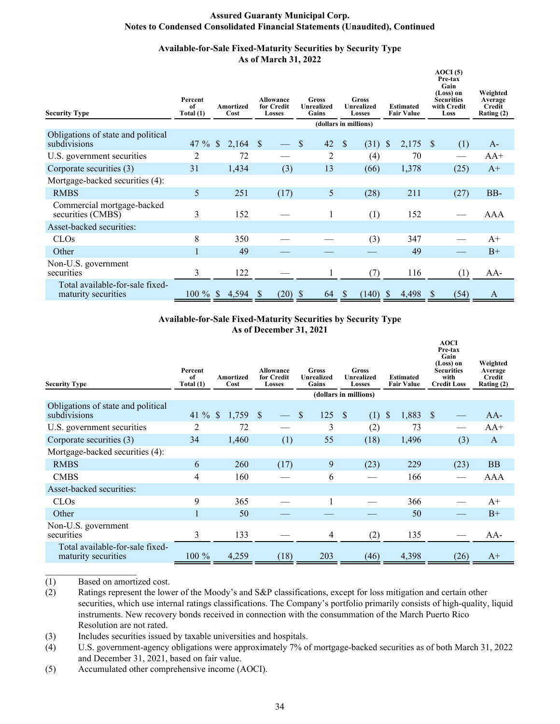# **Available-for-Sale Fixed-Maturity Securities by Security Type As of March 31, 2022**

| <b>Security Type</b>                                   | Percent<br>of<br>Total (1) | Amortized<br>Cost     | <b>Allowance</b><br>for Credit<br>Losses | <b>Gross</b><br><b>Unrealized</b><br>Gains | Gross<br><b>Unrealized</b><br>Losses | <b>Estimated</b><br><b>Fair Value</b> | AOCI(5)<br>Pre-tax<br>Gain<br>(Loss) on<br><b>Securities</b><br>with Credit<br>Loss | Weighted<br>Average<br>Credit<br>Rating (2) |
|--------------------------------------------------------|----------------------------|-----------------------|------------------------------------------|--------------------------------------------|--------------------------------------|---------------------------------------|-------------------------------------------------------------------------------------|---------------------------------------------|
|                                                        |                            |                       |                                          |                                            | (dollars in millions)                |                                       |                                                                                     |                                             |
| Obligations of state and political<br>subdivisions     | 47 $%$                     | $\mathbb{S}$<br>2,164 | - \$                                     | 42<br>-S                                   | (31)<br>-S                           | S<br>2,175                            | <sup>\$</sup><br>(1)                                                                | $A-$                                        |
| U.S. government securities                             | 2                          | 72                    |                                          | 2                                          | (4)                                  | 70                                    |                                                                                     | $AA+$                                       |
| Corporate securities (3)                               | 31                         | 1,434                 | (3)                                      | 13                                         | (66)                                 | 1,378                                 | (25)                                                                                | $A+$                                        |
| Mortgage-backed securities (4):                        |                            |                       |                                          |                                            |                                      |                                       |                                                                                     |                                             |
| <b>RMBS</b>                                            | 5                          | 251                   | (17)                                     | 5                                          | (28)                                 | 211                                   | (27)                                                                                | BB-                                         |
| Commercial mortgage-backed<br>securities (CMBS)        | 3                          | 152                   |                                          |                                            | (1)                                  | 152                                   |                                                                                     | AAA                                         |
| Asset-backed securities:                               |                            |                       |                                          |                                            |                                      |                                       |                                                                                     |                                             |
| <b>CLOs</b>                                            | 8                          | 350                   |                                          |                                            | (3)                                  | 347                                   |                                                                                     | $A+$                                        |
| Other                                                  |                            | 49                    |                                          |                                            |                                      | 49                                    |                                                                                     | $B+$                                        |
| Non-U.S. government<br>securities                      | 3                          | 122                   |                                          | 1                                          | (7)                                  | 116                                   | (1)                                                                                 | AA-                                         |
| Total available-for-sale fixed-<br>maturity securities | $100 \%$ \$                | 4,594                 | $(20)$ \$<br><sup>\$</sup>               | 64                                         | (140)<br><sup>S</sup>                | 4,498<br>S                            | (54)<br><sup>8</sup>                                                                | A                                           |

# **Available-for-Sale Fixed-Maturity Securities by Security Type As of December 31, 2021**

| <b>Security Type</b>                                   | Percent<br>of<br>Total (1) | Amortized<br>Cost      | <b>Allowance</b><br>for Credit<br><b>Losses</b> | <b>Gross</b><br><b>Unrealized</b><br>Gains | Gross<br>Unrealized<br>Losses | <b>Estimated</b><br><b>Fair Value</b> | <b>AOCI</b><br>Pre-tax<br>Gain<br>(Loss) on<br><b>Securities</b><br>with<br><b>Credit Loss</b> | Weighted<br>Average<br>Credit<br>Rating (2) |
|--------------------------------------------------------|----------------------------|------------------------|-------------------------------------------------|--------------------------------------------|-------------------------------|---------------------------------------|------------------------------------------------------------------------------------------------|---------------------------------------------|
|                                                        |                            |                        |                                                 |                                            | (dollars in millions)         |                                       |                                                                                                |                                             |
| Obligations of state and political<br>subdivisions     | 41 $\%$                    | $\mathcal{S}$<br>1,759 | <sup>S</sup>                                    | 125<br><sup>S</sup>                        | -S<br>(1)                     | $\mathbb{S}$<br>1,883                 | - \$                                                                                           | AA-                                         |
| U.S. government securities                             | 2                          | 72                     |                                                 | 3                                          | (2)                           | 73                                    |                                                                                                | $AA+$                                       |
| Corporate securities (3)                               | 34                         | 1,460                  | (1)                                             | 55                                         | (18)                          | 1,496                                 | (3)                                                                                            | $\mathbf{A}$                                |
| Mortgage-backed securities (4):                        |                            |                        |                                                 |                                            |                               |                                       |                                                                                                |                                             |
| <b>RMBS</b>                                            | 6                          | 260                    | (17)                                            | 9                                          | (23)                          | 229                                   | (23)                                                                                           | <b>BB</b>                                   |
| <b>CMBS</b>                                            | 4                          | 160                    |                                                 | 6                                          |                               | 166                                   |                                                                                                | AAA                                         |
| Asset-backed securities:                               |                            |                        |                                                 |                                            |                               |                                       |                                                                                                |                                             |
| CLO <sub>s</sub>                                       | 9                          | 365                    |                                                 |                                            |                               | 366                                   |                                                                                                | $A+$                                        |
| Other                                                  |                            | 50                     |                                                 |                                            |                               | 50                                    |                                                                                                | $B+$                                        |
| Non-U.S. government<br>securities                      | 3                          | 133                    |                                                 | 4                                          | (2)                           | 135                                   |                                                                                                | AA-                                         |
| Total available-for-sale fixed-<br>maturity securities | $100 \%$                   | 4,259                  | (18)                                            | 203                                        | (46)                          | 4,398                                 | (26)                                                                                           | $A+$                                        |

(1) Based on amortized cost.

(2) Ratings represent the lower of the Moody's and S&P classifications, except for loss mitigation and certain other securities, which use internal ratings classifications. The Company's portfolio primarily consists of high-quality, liquid instruments. New recovery bonds received in connection with the consummation of the March Puerto Rico Resolution are not rated.

(3) Includes securities issued by taxable universities and hospitals.

(4) U.S. government-agency obligations were approximately 7% of mortgage-backed securities as of both March 31, 2022 and December 31, 2021, based on fair value.

(5) Accumulated other comprehensive income (AOCI).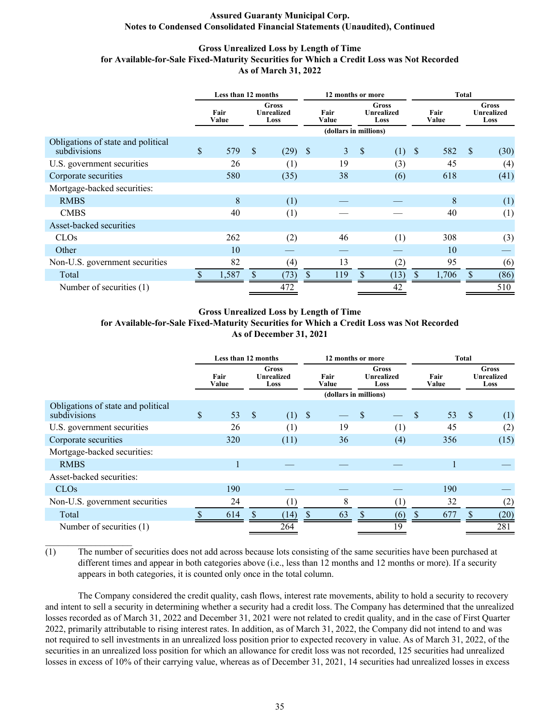# **Gross Unrealized Loss by Length of Time for Available-for-Sale Fixed-Maturity Securities for Which a Credit Loss was Not Recorded As of March 31, 2022**

|                                                    | Less than 12 months |               |              | 12 months or more                  |      |                       | <b>Total</b> |                                           |               |               |               |                                           |
|----------------------------------------------------|---------------------|---------------|--------------|------------------------------------|------|-----------------------|--------------|-------------------------------------------|---------------|---------------|---------------|-------------------------------------------|
|                                                    |                     | Fair<br>Value |              | Gross<br><b>Unrealized</b><br>Loss |      | Fair<br>Value         |              | <b>Gross</b><br><b>Unrealized</b><br>Loss |               | Fair<br>Value |               | <b>Gross</b><br><b>Unrealized</b><br>Loss |
|                                                    |                     |               |              |                                    |      | (dollars in millions) |              |                                           |               |               |               |                                           |
| Obligations of state and political<br>subdivisions | \$                  | 579           | $\mathbf{s}$ | (29)                               | - \$ | $\mathfrak{Z}$        | $\sqrt{\ }$  | (1)                                       | $\mathcal{S}$ | 582           | <sup>S</sup>  | (30)                                      |
| U.S. government securities                         |                     | 26            |              | (1)                                |      | 19                    |              | (3)                                       |               | 45            |               | (4)                                       |
| Corporate securities                               |                     | 580           |              | (35)                               |      | 38                    |              | (6)                                       |               | 618           |               | (41)                                      |
| Mortgage-backed securities:                        |                     |               |              |                                    |      |                       |              |                                           |               |               |               |                                           |
| <b>RMBS</b>                                        |                     | 8             |              | (1)                                |      |                       |              |                                           |               | 8             |               | (1)                                       |
| <b>CMBS</b>                                        |                     | 40            |              | (1)                                |      |                       |              |                                           |               | 40            |               | (1)                                       |
| Asset-backed securities                            |                     |               |              |                                    |      |                       |              |                                           |               |               |               |                                           |
| <b>CLOs</b>                                        |                     | 262           |              | (2)                                |      | 46                    |              | (1)                                       |               | 308           |               | (3)                                       |
| Other                                              |                     | 10            |              |                                    |      |                       |              |                                           |               | 10            |               |                                           |
| Non-U.S. government securities                     |                     | 82            |              | (4)                                |      | 13                    |              | $\left( 2\right)$                         |               | 95            |               | (6)                                       |
| Total                                              |                     | 1,587         |              | (73)                               |      | 119                   | \$           | (13)                                      | \$            | 1,706         | $\mathcal{S}$ | (86)                                      |
| Number of securities (1)                           |                     |               |              | 472                                |      |                       |              | 42                                        |               |               |               | 510                                       |

#### **Gross Unrealized Loss by Length of Time**

#### **for Available-for-Sale Fixed-Maturity Securities for Which a Credit Loss was Not Recorded As of December 31, 2021**

|                                                    | Less than 12 months |               |                           |                                    | 12 months or more |                                        |   |                                    | <b>Total</b> |               |               |                                           |
|----------------------------------------------------|---------------------|---------------|---------------------------|------------------------------------|-------------------|----------------------------------------|---|------------------------------------|--------------|---------------|---------------|-------------------------------------------|
|                                                    |                     | Fair<br>Value |                           | Gross<br><b>Unrealized</b><br>Loss |                   | Fair<br>Value<br>(dollars in millions) |   | Gross<br><b>Unrealized</b><br>Loss |              | Fair<br>Value |               | <b>Gross</b><br><b>Unrealized</b><br>Loss |
| Obligations of state and political<br>subdivisions | \$                  | 53            | $\boldsymbol{\mathsf{S}}$ | (1)                                | -S                |                                        | S |                                    | \$           | 53            | $\mathcal{S}$ | (1)                                       |
| U.S. government securities                         |                     | 26            |                           | (1)                                |                   | 19                                     |   | (1)                                |              | 45            |               | (2)                                       |
| Corporate securities                               |                     | 320           |                           | (11)                               |                   | 36                                     |   | (4)                                |              | 356           |               | (15)                                      |
| Mortgage-backed securities:                        |                     |               |                           |                                    |                   |                                        |   |                                    |              |               |               |                                           |
| <b>RMBS</b>                                        |                     |               |                           |                                    |                   |                                        |   |                                    |              |               |               |                                           |
| Asset-backed securities:                           |                     |               |                           |                                    |                   |                                        |   |                                    |              |               |               |                                           |
| <b>CLOs</b>                                        |                     | 190           |                           |                                    |                   |                                        |   |                                    |              | 190           |               |                                           |
| Non-U.S. government securities                     |                     | 24            |                           |                                    |                   | 8                                      |   |                                    |              | 32            |               | (2)                                       |
| Total                                              |                     | 614           |                           | (14)                               |                   | 63                                     |   | (6)                                |              | 677           |               | (20)                                      |
| Number of securities (1)                           |                     |               |                           | 264                                |                   |                                        |   | 19                                 |              |               |               | 281                                       |

(1) The number of securities does not add across because lots consisting of the same securities have been purchased at different times and appear in both categories above (i.e., less than 12 months and 12 months or more). If a security appears in both categories, it is counted only once in the total column.

 The Company considered the credit quality, cash flows, interest rate movements, ability to hold a security to recovery and intent to sell a security in determining whether a security had a credit loss. The Company has determined that the unrealized losses recorded as of March 31, 2022 and December 31, 2021 were not related to credit quality, and in the case of First Quarter 2022, primarily attributable to rising interest rates. In addition, as of March 31, 2022, the Company did not intend to and was not required to sell investments in an unrealized loss position prior to expected recovery in value. As of March 31, 2022, of the securities in an unrealized loss position for which an allowance for credit loss was not recorded, 125 securities had unrealized losses in excess of 10% of their carrying value, whereas as of December 31, 2021, 14 securities had unrealized losses in excess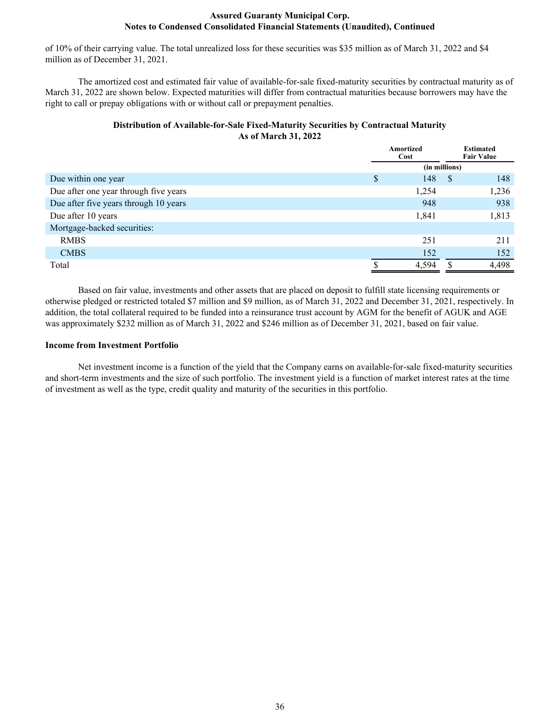of 10% of their carrying value. The total unrealized loss for these securities was \$35 million as of March 31, 2022 and \$4 million as of December 31, 2021.

The amortized cost and estimated fair value of available-for-sale fixed-maturity securities by contractual maturity as of March 31, 2022 are shown below. Expected maturities will differ from contractual maturities because borrowers may have the right to call or prepay obligations with or without call or prepayment penalties.

# **Distribution of Available-for-Sale Fixed-Maturity Securities by Contractual Maturity As of March 31, 2022**

|                                       | Amortized<br>Cost |    | <b>Estimated</b><br><b>Fair Value</b> |  |  |
|---------------------------------------|-------------------|----|---------------------------------------|--|--|
|                                       | (in millions)     |    |                                       |  |  |
| Due within one year                   | \$<br>148         | -S | 148                                   |  |  |
| Due after one year through five years | 1,254             |    | 1,236                                 |  |  |
| Due after five years through 10 years | 948               |    | 938                                   |  |  |
| Due after 10 years                    | 1,841             |    | 1,813                                 |  |  |
| Mortgage-backed securities:           |                   |    |                                       |  |  |
| <b>RMBS</b>                           | 251               |    | 211                                   |  |  |
| <b>CMBS</b>                           | 152               |    | 152                                   |  |  |
| Total                                 | 4,594             |    | 4,498                                 |  |  |

Based on fair value, investments and other assets that are placed on deposit to fulfill state licensing requirements or otherwise pledged or restricted totaled \$7 million and \$9 million, as of March 31, 2022 and December 31, 2021, respectively. In addition, the total collateral required to be funded into a reinsurance trust account by AGM for the benefit of AGUK and AGE was approximately \$232 million as of March 31, 2022 and \$246 million as of December 31, 2021, based on fair value.

#### **Income from Investment Portfolio**

Net investment income is a function of the yield that the Company earns on available-for-sale fixed-maturity securities and short-term investments and the size of such portfolio. The investment yield is a function of market interest rates at the time of investment as well as the type, credit quality and maturity of the securities in this portfolio.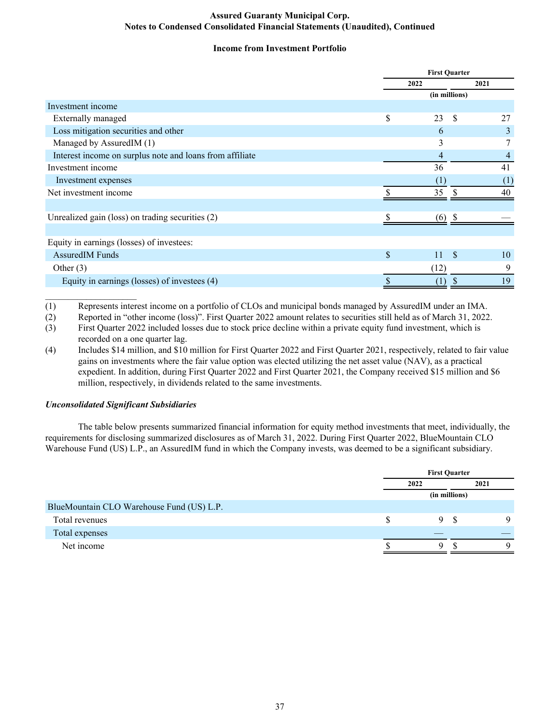# **Income from Investment Portfolio**

|                                                          | <b>First Quarter</b>      |      |
|----------------------------------------------------------|---------------------------|------|
|                                                          | 2022                      | 2021 |
|                                                          | (in millions)             |      |
| Investment income                                        |                           |      |
| <b>Externally managed</b>                                | \$<br>23<br><b>S</b>      | 27   |
| Loss mitigation securities and other                     | 6                         | 3    |
| Managed by AssuredIM (1)                                 | 3                         | 7    |
| Interest income on surplus note and loans from affiliate | 4                         | 4    |
| Investment income                                        | 36                        | 41   |
| Investment expenses                                      | (1)                       | (1)  |
| Net investment income                                    | 35<br>-S                  | 40   |
|                                                          |                           |      |
| Unrealized gain (loss) on trading securities (2)         | (6)                       |      |
|                                                          |                           |      |
| Equity in earnings (losses) of investees:                |                           |      |
| <b>AssuredIM Funds</b>                                   | \$<br>11<br>- \$          | 10   |
| Other $(3)$                                              | (12)                      | 9    |
| Equity in earnings (losses) of investees (4)             | \$<br>(1)<br><sup>8</sup> | 19   |

(1) Represents interest income on a portfolio of CLOs and municipal bonds managed by AssuredIM under an IMA.

(2) Reported in "other income (loss)". First Quarter 2022 amount relates to securities still held as of March 31, 2022.

(3) First Quarter 2022 included losses due to stock price decline within a private equity fund investment, which is recorded on a one quarter lag.

(4) Includes \$14 million, and \$10 million for First Quarter 2022 and First Quarter 2021, respectively, related to fair value gains on investments where the fair value option was elected utilizing the net asset value (NAV), as a practical expedient. In addition, during First Quarter 2022 and First Quarter 2021, the Company received \$15 million and \$6 million, respectively, in dividends related to the same investments.

# *Unconsolidated Significant Subsidiaries*

 $\mathcal{L}_\text{max}$  , where  $\mathcal{L}_\text{max}$  , we have

The table below presents summarized financial information for equity method investments that meet, individually, the requirements for disclosing summarized disclosures as of March 31, 2022. During First Quarter 2022, BlueMountain CLO Warehouse Fund (US) L.P., an AssuredIM fund in which the Company invests, was deemed to be a significant subsidiary.

|                                           |      | <b>First Quarter</b> |      |  |
|-------------------------------------------|------|----------------------|------|--|
|                                           | 2022 |                      | 2021 |  |
|                                           |      | (in millions)        |      |  |
| BlueMountain CLO Warehouse Fund (US) L.P. |      |                      |      |  |
| Total revenues                            | 9.   | - S                  | Q    |  |
| Total expenses                            |      |                      |      |  |
| Net income                                | a    |                      | Q    |  |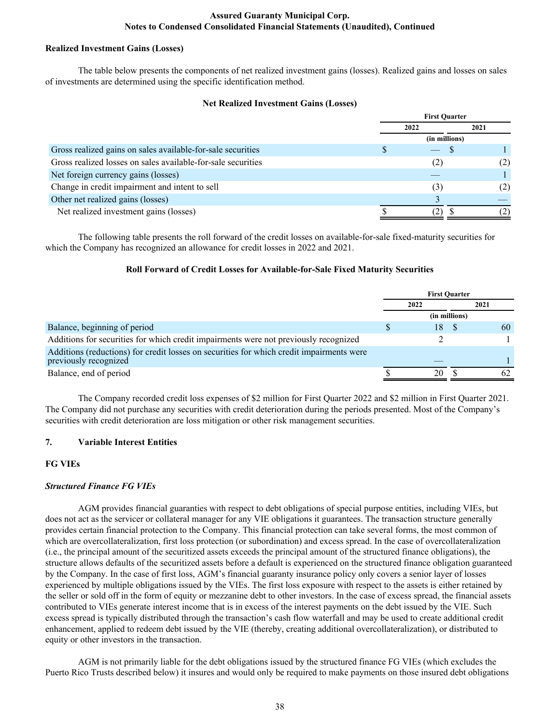## **Realized Investment Gains (Losses)**

 The table below presents the components of net realized investment gains (losses). Realized gains and losses on sales of investments are determined using the specific identification method.

# **Net Realized Investment Gains (Losses)**

|                                                              | <b>First Ouarter</b> |      |
|--------------------------------------------------------------|----------------------|------|
|                                                              | 2022                 | 2021 |
|                                                              | (in millions)        |      |
| Gross realized gains on sales available-for-sale securities  |                      |      |
| Gross realized losses on sales available-for-sale securities | (2)                  | (2)  |
| Net foreign currency gains (losses)                          |                      |      |
| Change in credit impairment and intent to sell               | (3)                  | (2)  |
| Other net realized gains (losses)                            |                      |      |
| Net realized investment gains (losses)                       |                      |      |

The following table presents the roll forward of the credit losses on available-for-sale fixed-maturity securities for which the Company has recognized an allowance for credit losses in 2022 and 2021.

# **Roll Forward of Credit Losses for Available-for-Sale Fixed Maturity Securities**

|                                                                                                                   | <b>First Ouarter</b> |      |               |      |  |
|-------------------------------------------------------------------------------------------------------------------|----------------------|------|---------------|------|--|
|                                                                                                                   |                      | 2022 |               | 2021 |  |
|                                                                                                                   |                      |      | (in millions) |      |  |
| Balance, beginning of period                                                                                      |                      | 18   |               | 60   |  |
| Additions for securities for which credit impairments were not previously recognized                              |                      |      |               |      |  |
| Additions (reductions) for credit losses on securities for which credit impairments were<br>previously recognized |                      |      |               |      |  |
| Balance, end of period                                                                                            |                      | 20   |               | 62   |  |

The Company recorded credit loss expenses of \$2 million for First Quarter 2022 and \$2 million in First Quarter 2021. The Company did not purchase any securities with credit deterioration during the periods presented. Most of the Company's securities with credit deterioration are loss mitigation or other risk management securities.

#### **7. Variable Interest Entities**

#### **FG VIEs**

#### *Structured Finance FG VIEs*

AGM provides financial guaranties with respect to debt obligations of special purpose entities, including VIEs, but does not act as the servicer or collateral manager for any VIE obligations it guarantees. The transaction structure generally provides certain financial protection to the Company. This financial protection can take several forms, the most common of which are overcollateralization, first loss protection (or subordination) and excess spread. In the case of overcollateralization (i.e., the principal amount of the securitized assets exceeds the principal amount of the structured finance obligations), the structure allows defaults of the securitized assets before a default is experienced on the structured finance obligation guaranteed by the Company. In the case of first loss, AGM's financial guaranty insurance policy only covers a senior layer of losses experienced by multiple obligations issued by the VIEs. The first loss exposure with respect to the assets is either retained by the seller or sold off in the form of equity or mezzanine debt to other investors. In the case of excess spread, the financial assets contributed to VIEs generate interest income that is in excess of the interest payments on the debt issued by the VIE. Such excess spread is typically distributed through the transaction's cash flow waterfall and may be used to create additional credit enhancement, applied to redeem debt issued by the VIE (thereby, creating additional overcollateralization), or distributed to equity or other investors in the transaction.

AGM is not primarily liable for the debt obligations issued by the structured finance FG VIEs (which excludes the Puerto Rico Trusts described below) it insures and would only be required to make payments on those insured debt obligations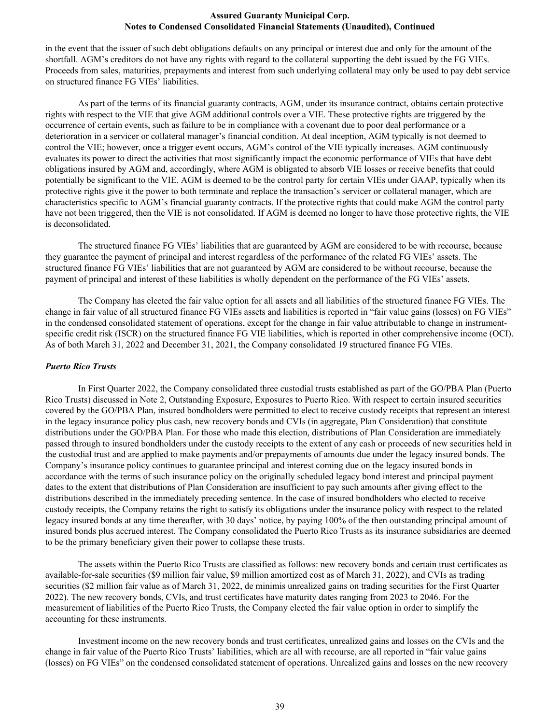in the event that the issuer of such debt obligations defaults on any principal or interest due and only for the amount of the shortfall. AGM's creditors do not have any rights with regard to the collateral supporting the debt issued by the FG VIEs. Proceeds from sales, maturities, prepayments and interest from such underlying collateral may only be used to pay debt service on structured finance FG VIEs' liabilities.

As part of the terms of its financial guaranty contracts, AGM, under its insurance contract, obtains certain protective rights with respect to the VIE that give AGM additional controls over a VIE. These protective rights are triggered by the occurrence of certain events, such as failure to be in compliance with a covenant due to poor deal performance or a deterioration in a servicer or collateral manager's financial condition. At deal inception, AGM typically is not deemed to control the VIE; however, once a trigger event occurs, AGM's control of the VIE typically increases. AGM continuously evaluates its power to direct the activities that most significantly impact the economic performance of VIEs that have debt obligations insured by AGM and, accordingly, where AGM is obligated to absorb VIE losses or receive benefits that could potentially be significant to the VIE. AGM is deemed to be the control party for certain VIEs under GAAP, typically when its protective rights give it the power to both terminate and replace the transaction's servicer or collateral manager, which are characteristics specific to AGM's financial guaranty contracts. If the protective rights that could make AGM the control party have not been triggered, then the VIE is not consolidated. If AGM is deemed no longer to have those protective rights, the VIE is deconsolidated.

The structured finance FG VIEs' liabilities that are guaranteed by AGM are considered to be with recourse, because they guarantee the payment of principal and interest regardless of the performance of the related FG VIEs' assets. The structured finance FG VIEs' liabilities that are not guaranteed by AGM are considered to be without recourse, because the payment of principal and interest of these liabilities is wholly dependent on the performance of the FG VIEs' assets.

The Company has elected the fair value option for all assets and all liabilities of the structured finance FG VIEs. The change in fair value of all structured finance FG VIEs assets and liabilities is reported in "fair value gains (losses) on FG VIEs" in the condensed consolidated statement of operations, except for the change in fair value attributable to change in instrumentspecific credit risk (ISCR) on the structured finance FG VIE liabilities, which is reported in other comprehensive income (OCI). As of both March 31, 2022 and December 31, 2021, the Company consolidated 19 structured finance FG VIEs.

#### *Puerto Rico Trusts*

In First Quarter 2022, the Company consolidated three custodial trusts established as part of the GO/PBA Plan (Puerto Rico Trusts) discussed in Note 2, Outstanding Exposure, Exposures to Puerto Rico. With respect to certain insured securities covered by the GO/PBA Plan, insured bondholders were permitted to elect to receive custody receipts that represent an interest in the legacy insurance policy plus cash, new recovery bonds and CVIs (in aggregate, Plan Consideration) that constitute distributions under the GO/PBA Plan. For those who made this election, distributions of Plan Consideration are immediately passed through to insured bondholders under the custody receipts to the extent of any cash or proceeds of new securities held in the custodial trust and are applied to make payments and/or prepayments of amounts due under the legacy insured bonds. The Company's insurance policy continues to guarantee principal and interest coming due on the legacy insured bonds in accordance with the terms of such insurance policy on the originally scheduled legacy bond interest and principal payment dates to the extent that distributions of Plan Consideration are insufficient to pay such amounts after giving effect to the distributions described in the immediately preceding sentence. In the case of insured bondholders who elected to receive custody receipts, the Company retains the right to satisfy its obligations under the insurance policy with respect to the related legacy insured bonds at any time thereafter, with 30 days' notice, by paying 100% of the then outstanding principal amount of insured bonds plus accrued interest. The Company consolidated the Puerto Rico Trusts as its insurance subsidiaries are deemed to be the primary beneficiary given their power to collapse these trusts.

The assets within the Puerto Rico Trusts are classified as follows: new recovery bonds and certain trust certificates as available-for-sale securities (\$9 million fair value, \$9 million amortized cost as of March 31, 2022), and CVIs as trading securities (\$2 million fair value as of March 31, 2022, de minimis unrealized gains on trading securities for the First Quarter 2022). The new recovery bonds, CVIs, and trust certificates have maturity dates ranging from 2023 to 2046. For the measurement of liabilities of the Puerto Rico Trusts, the Company elected the fair value option in order to simplify the accounting for these instruments.

Investment income on the new recovery bonds and trust certificates, unrealized gains and losses on the CVIs and the change in fair value of the Puerto Rico Trusts' liabilities, which are all with recourse, are all reported in "fair value gains (losses) on FG VIEs" on the condensed consolidated statement of operations. Unrealized gains and losses on the new recovery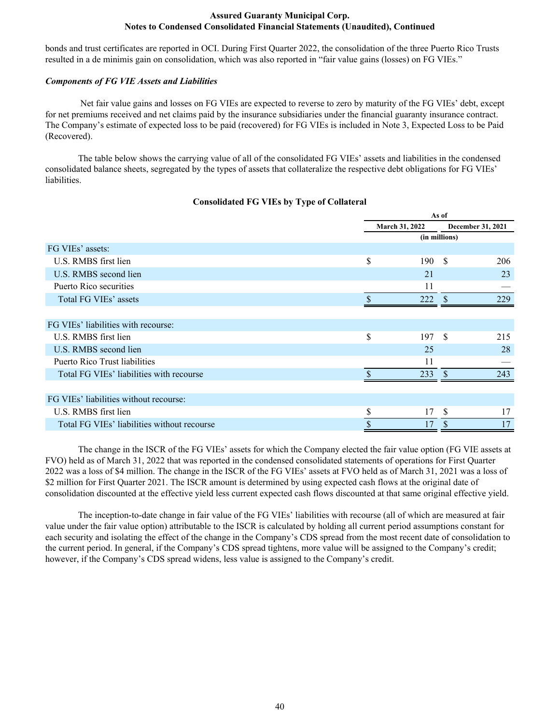bonds and trust certificates are reported in OCI. During First Quarter 2022, the consolidation of the three Puerto Rico Trusts resulted in a de minimis gain on consolidation, which was also reported in "fair value gains (losses) on FG VIEs."

# *Components of FG VIE Assets and Liabilities*

 Net fair value gains and losses on FG VIEs are expected to reverse to zero by maturity of the FG VIEs' debt, except for net premiums received and net claims paid by the insurance subsidiaries under the financial guaranty insurance contract. The Company's estimate of expected loss to be paid (recovered) for FG VIEs is included in Note 3, Expected Loss to be Paid (Recovered).

The table below shows the carrying value of all of the consolidated FG VIEs' assets and liabilities in the condensed consolidated balance sheets, segregated by the types of assets that collateralize the respective debt obligations for FG VIEs' liabilities.

|                                             |                | As of         |                   |
|---------------------------------------------|----------------|---------------|-------------------|
|                                             | March 31, 2022 |               | December 31, 2021 |
|                                             |                | (in millions) |                   |
| FG VIEs' assets:                            |                |               |                   |
| U.S. RMBS first lien                        | \$<br>190      | <sup>\$</sup> | 206               |
| U.S. RMBS second lien                       | 21             |               | 23                |
| Puerto Rico securities                      | 11             |               |                   |
| Total FG VIEs' assets                       | 222            | <sup>\$</sup> | 229               |
|                                             |                |               |                   |
| FG VIEs' liabilities with recourse:         |                |               |                   |
| U.S. RMBS first lien                        | \$<br>197      | <sup>\$</sup> | 215               |
| U.S. RMBS second lien                       | 25             |               | 28                |
| Puerto Rico Trust liabilities               | 11             |               |                   |
| Total FG VIEs' liabilities with recourse    | 233            | \$.           | 243               |
|                                             |                |               |                   |
| FG VIEs' liabilities without recourse:      |                |               |                   |
| U.S. RMBS first lien                        | \$<br>17       | S             | 17                |
| Total FG VIEs' liabilities without recourse | 17             | \$            | 17                |

# **Consolidated FG VIEs by Type of Collateral**

The change in the ISCR of the FG VIEs' assets for which the Company elected the fair value option (FG VIE assets at FVO) held as of March 31, 2022 that was reported in the condensed consolidated statements of operations for First Quarter 2022 was a loss of \$4 million. The change in the ISCR of the FG VIEs' assets at FVO held as of March 31, 2021 was a loss of \$2 million for First Quarter 2021. The ISCR amount is determined by using expected cash flows at the original date of consolidation discounted at the effective yield less current expected cash flows discounted at that same original effective yield.

The inception-to-date change in fair value of the FG VIEs' liabilities with recourse (all of which are measured at fair value under the fair value option) attributable to the ISCR is calculated by holding all current period assumptions constant for each security and isolating the effect of the change in the Company's CDS spread from the most recent date of consolidation to the current period. In general, if the Company's CDS spread tightens, more value will be assigned to the Company's credit; however, if the Company's CDS spread widens, less value is assigned to the Company's credit.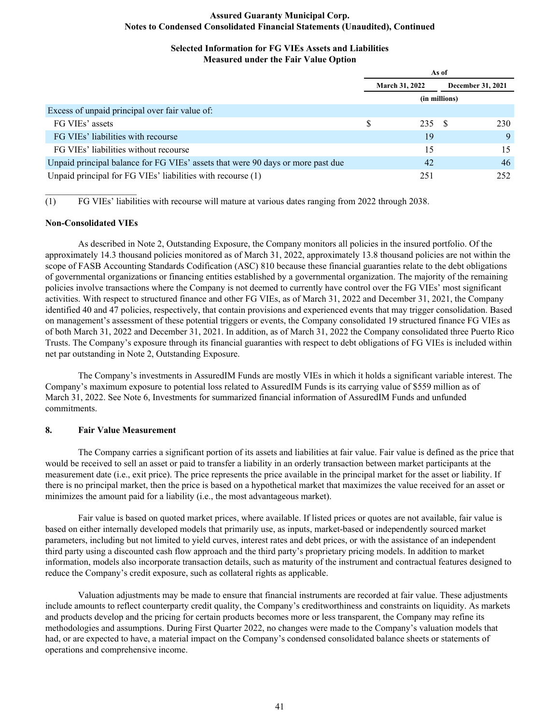## **Selected Information for FG VIEs Assets and Liabilities Measured under the Fair Value Option**

|                                                                                 |   | As of                 |               |                   |  |  |  |
|---------------------------------------------------------------------------------|---|-----------------------|---------------|-------------------|--|--|--|
|                                                                                 |   | <b>March 31, 2022</b> |               | December 31, 2021 |  |  |  |
|                                                                                 |   |                       | (in millions) |                   |  |  |  |
| Excess of unpaid principal over fair value of:                                  |   |                       |               |                   |  |  |  |
| FG VIEs' assets                                                                 | S | 235 S                 |               | 230               |  |  |  |
| FG VIEs' liabilities with recourse                                              |   | 19                    |               | 9                 |  |  |  |
| FG VIEs' liabilities without recourse                                           |   | 15                    |               | 15                |  |  |  |
| Unpaid principal balance for FG VIEs' assets that were 90 days or more past due |   | 42                    |               | 46                |  |  |  |
| Unpaid principal for FG VIEs' liabilities with recourse (1)                     |   | 251                   |               | 252               |  |  |  |

(1) FG VIEs' liabilities with recourse will mature at various dates ranging from 2022 through 2038.

#### **Non-Consolidated VIEs**

 $\mathcal{L}_\text{max}$  , where  $\mathcal{L}_\text{max}$  , we have

 As described in Note 2, Outstanding Exposure, the Company monitors all policies in the insured portfolio. Of the approximately 14.3 thousand policies monitored as of March 31, 2022, approximately 13.8 thousand policies are not within the scope of FASB Accounting Standards Codification (ASC) 810 because these financial guaranties relate to the debt obligations of governmental organizations or financing entities established by a governmental organization. The majority of the remaining policies involve transactions where the Company is not deemed to currently have control over the FG VIEs' most significant activities. With respect to structured finance and other FG VIEs, as of March 31, 2022 and December 31, 2021, the Company identified 40 and 47 policies, respectively, that contain provisions and experienced events that may trigger consolidation. Based on management's assessment of these potential triggers or events, the Company consolidated 19 structured finance FG VIEs as of both March 31, 2022 and December 31, 2021. In addition, as of March 31, 2022 the Company consolidated three Puerto Rico Trusts. The Company's exposure through its financial guaranties with respect to debt obligations of FG VIEs is included within net par outstanding in Note 2, Outstanding Exposure.

 The Company's investments in AssuredIM Funds are mostly VIEs in which it holds a significant variable interest. The Company's maximum exposure to potential loss related to AssuredIM Funds is its carrying value of \$559 million as of March 31, 2022. See Note 6, Investments for summarized financial information of AssuredIM Funds and unfunded commitments.

#### **8. Fair Value Measurement**

The Company carries a significant portion of its assets and liabilities at fair value. Fair value is defined as the price that would be received to sell an asset or paid to transfer a liability in an orderly transaction between market participants at the measurement date (i.e., exit price). The price represents the price available in the principal market for the asset or liability. If there is no principal market, then the price is based on a hypothetical market that maximizes the value received for an asset or minimizes the amount paid for a liability (i.e., the most advantageous market).

Fair value is based on quoted market prices, where available. If listed prices or quotes are not available, fair value is based on either internally developed models that primarily use, as inputs, market-based or independently sourced market parameters, including but not limited to yield curves, interest rates and debt prices, or with the assistance of an independent third party using a discounted cash flow approach and the third party's proprietary pricing models. In addition to market information, models also incorporate transaction details, such as maturity of the instrument and contractual features designed to reduce the Company's credit exposure, such as collateral rights as applicable.

Valuation adjustments may be made to ensure that financial instruments are recorded at fair value. These adjustments include amounts to reflect counterparty credit quality, the Company's creditworthiness and constraints on liquidity. As markets and products develop and the pricing for certain products becomes more or less transparent, the Company may refine its methodologies and assumptions. During First Quarter 2022, no changes were made to the Company's valuation models that had, or are expected to have, a material impact on the Company's condensed consolidated balance sheets or statements of operations and comprehensive income.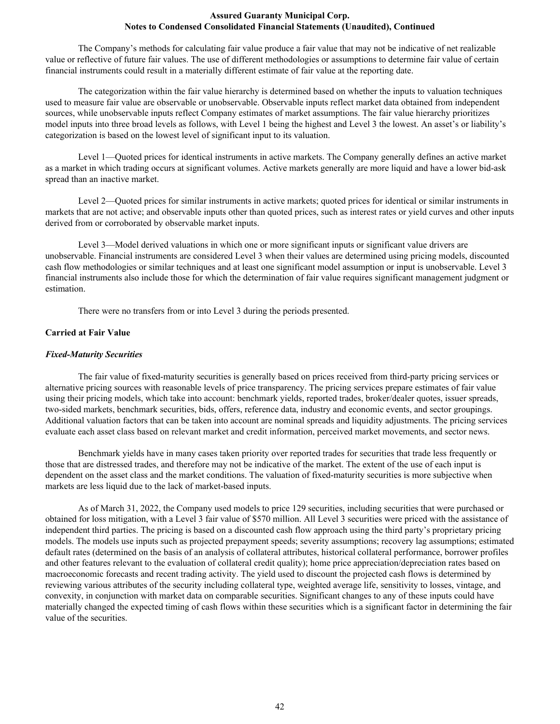The Company's methods for calculating fair value produce a fair value that may not be indicative of net realizable value or reflective of future fair values. The use of different methodologies or assumptions to determine fair value of certain financial instruments could result in a materially different estimate of fair value at the reporting date.

The categorization within the fair value hierarchy is determined based on whether the inputs to valuation techniques used to measure fair value are observable or unobservable. Observable inputs reflect market data obtained from independent sources, while unobservable inputs reflect Company estimates of market assumptions. The fair value hierarchy prioritizes model inputs into three broad levels as follows, with Level 1 being the highest and Level 3 the lowest. An asset's or liability's categorization is based on the lowest level of significant input to its valuation.

Level 1—Quoted prices for identical instruments in active markets. The Company generally defines an active market as a market in which trading occurs at significant volumes. Active markets generally are more liquid and have a lower bid-ask spread than an inactive market.

Level 2—Quoted prices for similar instruments in active markets; quoted prices for identical or similar instruments in markets that are not active; and observable inputs other than quoted prices, such as interest rates or yield curves and other inputs derived from or corroborated by observable market inputs.

Level 3—Model derived valuations in which one or more significant inputs or significant value drivers are unobservable. Financial instruments are considered Level 3 when their values are determined using pricing models, discounted cash flow methodologies or similar techniques and at least one significant model assumption or input is unobservable. Level 3 financial instruments also include those for which the determination of fair value requires significant management judgment or estimation.

There were no transfers from or into Level 3 during the periods presented.

#### **Carried at Fair Value**

#### *Fixed-Maturity Securities*

 The fair value of fixed-maturity securities is generally based on prices received from third-party pricing services or alternative pricing sources with reasonable levels of price transparency. The pricing services prepare estimates of fair value using their pricing models, which take into account: benchmark yields, reported trades, broker/dealer quotes, issuer spreads, two-sided markets, benchmark securities, bids, offers, reference data, industry and economic events, and sector groupings. Additional valuation factors that can be taken into account are nominal spreads and liquidity adjustments. The pricing services evaluate each asset class based on relevant market and credit information, perceived market movements, and sector news.

 Benchmark yields have in many cases taken priority over reported trades for securities that trade less frequently or those that are distressed trades, and therefore may not be indicative of the market. The extent of the use of each input is dependent on the asset class and the market conditions. The valuation of fixed-maturity securities is more subjective when markets are less liquid due to the lack of market-based inputs.

As of March 31, 2022, the Company used models to price 129 securities, including securities that were purchased or obtained for loss mitigation, with a Level 3 fair value of \$570 million. All Level 3 securities were priced with the assistance of independent third parties. The pricing is based on a discounted cash flow approach using the third party's proprietary pricing models. The models use inputs such as projected prepayment speeds; severity assumptions; recovery lag assumptions; estimated default rates (determined on the basis of an analysis of collateral attributes, historical collateral performance, borrower profiles and other features relevant to the evaluation of collateral credit quality); home price appreciation/depreciation rates based on macroeconomic forecasts and recent trading activity. The yield used to discount the projected cash flows is determined by reviewing various attributes of the security including collateral type, weighted average life, sensitivity to losses, vintage, and convexity, in conjunction with market data on comparable securities. Significant changes to any of these inputs could have materially changed the expected timing of cash flows within these securities which is a significant factor in determining the fair value of the securities.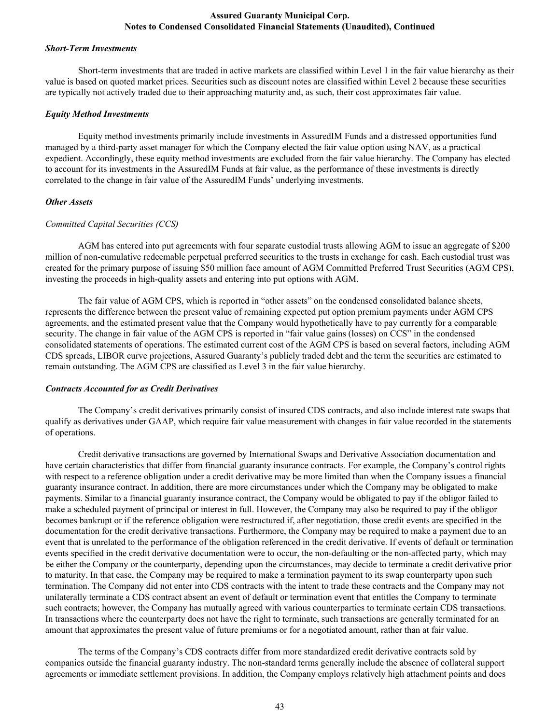#### *Short-Term Investments*

Short-term investments that are traded in active markets are classified within Level 1 in the fair value hierarchy as their value is based on quoted market prices. Securities such as discount notes are classified within Level 2 because these securities are typically not actively traded due to their approaching maturity and, as such, their cost approximates fair value.

#### *Equity Method Investments*

Equity method investments primarily include investments in AssuredIM Funds and a distressed opportunities fund managed by a third-party asset manager for which the Company elected the fair value option using NAV, as a practical expedient. Accordingly, these equity method investments are excluded from the fair value hierarchy. The Company has elected to account for its investments in the AssuredIM Funds at fair value, as the performance of these investments is directly correlated to the change in fair value of the AssuredIM Funds' underlying investments.

#### *Other Assets*

#### *Committed Capital Securities (CCS)*

AGM has entered into put agreements with four separate custodial trusts allowing AGM to issue an aggregate of \$200 million of non-cumulative redeemable perpetual preferred securities to the trusts in exchange for cash. Each custodial trust was created for the primary purpose of issuing \$50 million face amount of AGM Committed Preferred Trust Securities (AGM CPS), investing the proceeds in high-quality assets and entering into put options with AGM.

 The fair value of AGM CPS, which is reported in "other assets" on the condensed consolidated balance sheets, represents the difference between the present value of remaining expected put option premium payments under AGM CPS agreements, and the estimated present value that the Company would hypothetically have to pay currently for a comparable security. The change in fair value of the AGM CPS is reported in "fair value gains (losses) on CCS" in the condensed consolidated statements of operations. The estimated current cost of the AGM CPS is based on several factors, including AGM CDS spreads, LIBOR curve projections, Assured Guaranty's publicly traded debt and the term the securities are estimated to remain outstanding. The AGM CPS are classified as Level 3 in the fair value hierarchy.

#### *Contracts Accounted for as Credit Derivatives*

The Company's credit derivatives primarily consist of insured CDS contracts, and also include interest rate swaps that qualify as derivatives under GAAP, which require fair value measurement with changes in fair value recorded in the statements of operations.

Credit derivative transactions are governed by International Swaps and Derivative Association documentation and have certain characteristics that differ from financial guaranty insurance contracts. For example, the Company's control rights with respect to a reference obligation under a credit derivative may be more limited than when the Company issues a financial guaranty insurance contract. In addition, there are more circumstances under which the Company may be obligated to make payments. Similar to a financial guaranty insurance contract, the Company would be obligated to pay if the obligor failed to make a scheduled payment of principal or interest in full. However, the Company may also be required to pay if the obligor becomes bankrupt or if the reference obligation were restructured if, after negotiation, those credit events are specified in the documentation for the credit derivative transactions. Furthermore, the Company may be required to make a payment due to an event that is unrelated to the performance of the obligation referenced in the credit derivative. If events of default or termination events specified in the credit derivative documentation were to occur, the non-defaulting or the non-affected party, which may be either the Company or the counterparty, depending upon the circumstances, may decide to terminate a credit derivative prior to maturity. In that case, the Company may be required to make a termination payment to its swap counterparty upon such termination. The Company did not enter into CDS contracts with the intent to trade these contracts and the Company may not unilaterally terminate a CDS contract absent an event of default or termination event that entitles the Company to terminate such contracts; however, the Company has mutually agreed with various counterparties to terminate certain CDS transactions. In transactions where the counterparty does not have the right to terminate, such transactions are generally terminated for an amount that approximates the present value of future premiums or for a negotiated amount, rather than at fair value.

The terms of the Company's CDS contracts differ from more standardized credit derivative contracts sold by companies outside the financial guaranty industry. The non-standard terms generally include the absence of collateral support agreements or immediate settlement provisions. In addition, the Company employs relatively high attachment points and does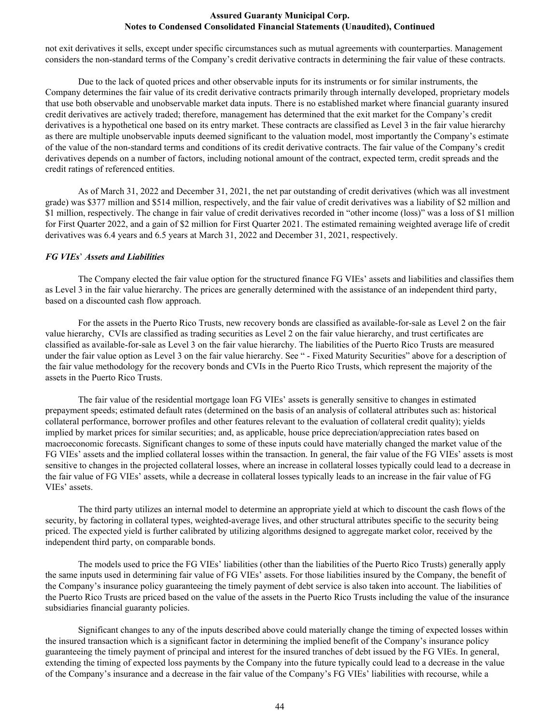not exit derivatives it sells, except under specific circumstances such as mutual agreements with counterparties. Management considers the non-standard terms of the Company's credit derivative contracts in determining the fair value of these contracts.

Due to the lack of quoted prices and other observable inputs for its instruments or for similar instruments, the Company determines the fair value of its credit derivative contracts primarily through internally developed, proprietary models that use both observable and unobservable market data inputs. There is no established market where financial guaranty insured credit derivatives are actively traded; therefore, management has determined that the exit market for the Company's credit derivatives is a hypothetical one based on its entry market. These contracts are classified as Level 3 in the fair value hierarchy as there are multiple unobservable inputs deemed significant to the valuation model, most importantly the Company's estimate of the value of the non-standard terms and conditions of its credit derivative contracts. The fair value of the Company's credit derivatives depends on a number of factors, including notional amount of the contract, expected term, credit spreads and the credit ratings of referenced entities.

As of March 31, 2022 and December 31, 2021, the net par outstanding of credit derivatives (which was all investment grade) was \$377 million and \$514 million, respectively, and the fair value of credit derivatives was a liability of \$2 million and \$1 million, respectively. The change in fair value of credit derivatives recorded in "other income (loss)" was a loss of \$1 million for First Quarter 2022, and a gain of \$2 million for First Quarter 2021. The estimated remaining weighted average life of credit derivatives was 6.4 years and 6.5 years at March 31, 2022 and December 31, 2021, respectively.

#### *FG VIEs*' *Assets and Liabilities*

The Company elected the fair value option for the structured finance FG VIEs' assets and liabilities and classifies them as Level 3 in the fair value hierarchy. The prices are generally determined with the assistance of an independent third party, based on a discounted cash flow approach.

For the assets in the Puerto Rico Trusts, new recovery bonds are classified as available-for-sale as Level 2 on the fair value hierarchy, CVIs are classified as trading securities as Level 2 on the fair value hierarchy, and trust certificates are classified as available-for-sale as Level 3 on the fair value hierarchy. The liabilities of the Puerto Rico Trusts are measured under the fair value option as Level 3 on the fair value hierarchy. See " - Fixed Maturity Securities" above for a description of the fair value methodology for the recovery bonds and CVIs in the Puerto Rico Trusts, which represent the majority of the assets in the Puerto Rico Trusts.

The fair value of the residential mortgage loan FG VIEs' assets is generally sensitive to changes in estimated prepayment speeds; estimated default rates (determined on the basis of an analysis of collateral attributes such as: historical collateral performance, borrower profiles and other features relevant to the evaluation of collateral credit quality); yields implied by market prices for similar securities; and, as applicable, house price depreciation/appreciation rates based on macroeconomic forecasts. Significant changes to some of these inputs could have materially changed the market value of the FG VIEs' assets and the implied collateral losses within the transaction. In general, the fair value of the FG VIEs' assets is most sensitive to changes in the projected collateral losses, where an increase in collateral losses typically could lead to a decrease in the fair value of FG VIEs' assets, while a decrease in collateral losses typically leads to an increase in the fair value of FG VIEs' assets.

The third party utilizes an internal model to determine an appropriate yield at which to discount the cash flows of the security, by factoring in collateral types, weighted-average lives, and other structural attributes specific to the security being priced. The expected yield is further calibrated by utilizing algorithms designed to aggregate market color, received by the independent third party, on comparable bonds.

The models used to price the FG VIEs' liabilities (other than the liabilities of the Puerto Rico Trusts) generally apply the same inputs used in determining fair value of FG VIEs' assets. For those liabilities insured by the Company, the benefit of the Company's insurance policy guaranteeing the timely payment of debt service is also taken into account. The liabilities of the Puerto Rico Trusts are priced based on the value of the assets in the Puerto Rico Trusts including the value of the insurance subsidiaries financial guaranty policies.

Significant changes to any of the inputs described above could materially change the timing of expected losses within the insured transaction which is a significant factor in determining the implied benefit of the Company's insurance policy guaranteeing the timely payment of principal and interest for the insured tranches of debt issued by the FG VIEs. In general, extending the timing of expected loss payments by the Company into the future typically could lead to a decrease in the value of the Company's insurance and a decrease in the fair value of the Company's FG VIEs' liabilities with recourse, while a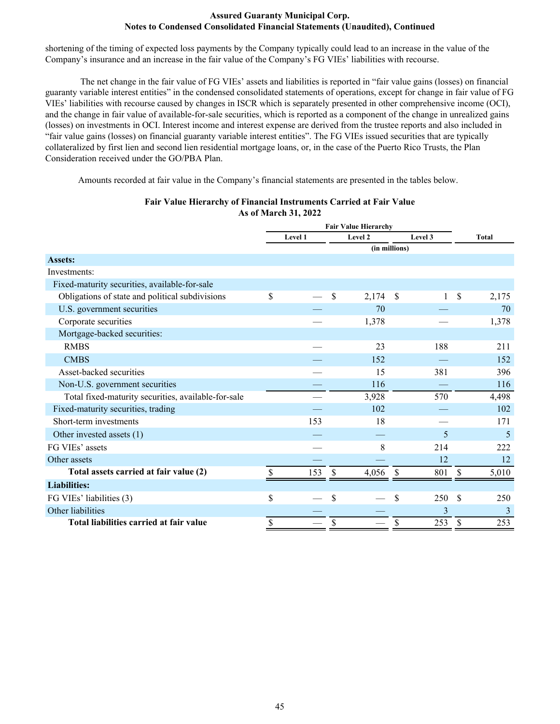shortening of the timing of expected loss payments by the Company typically could lead to an increase in the value of the Company's insurance and an increase in the fair value of the Company's FG VIEs' liabilities with recourse.

 The net change in the fair value of FG VIEs' assets and liabilities is reported in "fair value gains (losses) on financial guaranty variable interest entities" in the condensed consolidated statements of operations, except for change in fair value of FG VIEs' liabilities with recourse caused by changes in ISCR which is separately presented in other comprehensive income (OCI), and the change in fair value of available-for-sale securities, which is reported as a component of the change in unrealized gains (losses) on investments in OCI. Interest income and interest expense are derived from the trustee reports and also included in "fair value gains (losses) on financial guaranty variable interest entities". The FG VIEs issued securities that are typically collateralized by first lien and second lien residential mortgage loans, or, in the case of the Puerto Rico Trusts, the Plan Consideration received under the GO/PBA Plan.

Amounts recorded at fair value in the Company's financial statements are presented in the tables below.

|                                                     | <b>Fair Value Hierarchy</b> |               |          |         |              |
|-----------------------------------------------------|-----------------------------|---------------|----------|---------|--------------|
|                                                     | Level 1                     | Level 2       |          | Level 3 | <b>Total</b> |
|                                                     |                             | (in millions) |          |         |              |
| <b>Assets:</b>                                      |                             |               |          |         |              |
| Investments:                                        |                             |               |          |         |              |
| Fixed-maturity securities, available-for-sale       |                             |               |          |         |              |
| Obligations of state and political subdivisions     | \$                          | \$<br>2,174   | \$       | 1       | \$<br>2,175  |
| U.S. government securities                          |                             | 70            |          |         | 70           |
| Corporate securities                                |                             | 1,378         |          |         | 1,378        |
| Mortgage-backed securities:                         |                             |               |          |         |              |
| <b>RMBS</b>                                         |                             | 23            |          | 188     | 211          |
| <b>CMBS</b>                                         |                             | 152           |          |         | 152          |
| Asset-backed securities                             |                             | 15            |          | 381     | 396          |
| Non-U.S. government securities                      |                             | 116           |          |         | 116          |
| Total fixed-maturity securities, available-for-sale |                             | 3,928         |          | 570     | 4,498        |
| Fixed-maturity securities, trading                  |                             | 102           |          |         | 102          |
| Short-term investments                              | 153                         | 18            |          |         | 171          |
| Other invested assets (1)                           |                             |               |          | 5       | 5            |
| FG VIEs' assets                                     |                             | 8             |          | 214     | 222          |
| Other assets                                        |                             |               |          | 12      | 12           |
| Total assets carried at fair value (2)              | 153                         | \$<br>4,056   | <b>S</b> | 801     | \$<br>5,010  |
| <b>Liabilities:</b>                                 |                             |               |          |         |              |
| FG VIEs' liabilities (3)                            | \$                          | \$            | \$       | 250     | \$<br>250    |
| Other liabilities                                   |                             |               |          | 3       | 3            |
| Total liabilities carried at fair value             | \$                          | \$            | \$       | 253     | \$<br>253    |

# **Fair Value Hierarchy of Financial Instruments Carried at Fair Value As of March 31, 2022**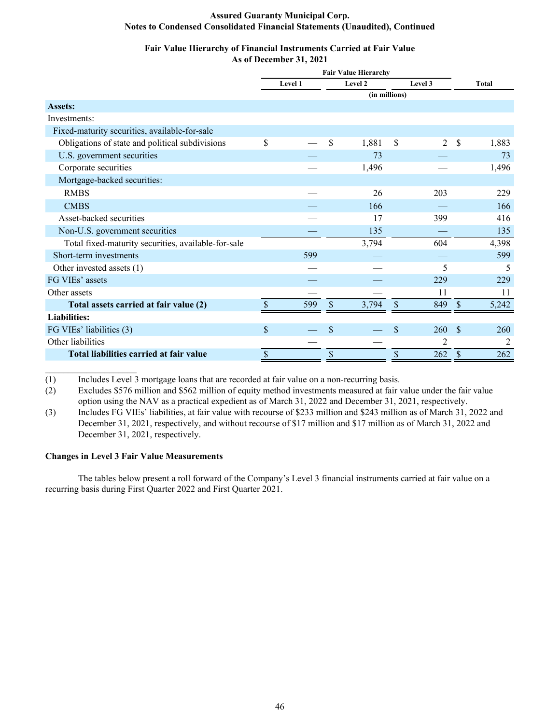#### **Fair Value Hierarchy of Financial Instruments Carried at Fair Value As of December 31, 2021**

|                                                     |               | <b>Fair Value Hierarchy</b> |      |               |               |                |               |              |
|-----------------------------------------------------|---------------|-----------------------------|------|---------------|---------------|----------------|---------------|--------------|
|                                                     |               | Level 1                     |      | Level 2       |               | Level 3        |               | <b>Total</b> |
|                                                     |               |                             |      | (in millions) |               |                |               |              |
| Assets:                                             |               |                             |      |               |               |                |               |              |
| Investments:                                        |               |                             |      |               |               |                |               |              |
| Fixed-maturity securities, available-for-sale       |               |                             |      |               |               |                |               |              |
| Obligations of state and political subdivisions     | \$            |                             | \$   | 1,881         | \$            | 2              | \$            | 1,883        |
| U.S. government securities                          |               |                             |      | 73            |               |                |               | 73           |
| Corporate securities                                |               |                             |      | 1,496         |               |                |               | 1,496        |
| Mortgage-backed securities:                         |               |                             |      |               |               |                |               |              |
| <b>RMBS</b>                                         |               |                             |      | 26            |               | 203            |               | 229          |
| <b>CMBS</b>                                         |               |                             |      | 166           |               |                |               | 166          |
| Asset-backed securities                             |               |                             |      | 17            |               | 399            |               | 416          |
| Non-U.S. government securities                      |               |                             |      | 135           |               |                |               | 135          |
| Total fixed-maturity securities, available-for-sale |               |                             |      | 3,794         |               | 604            |               | 4,398        |
| Short-term investments                              |               | 599                         |      |               |               |                |               | 599          |
| Other invested assets (1)                           |               |                             |      |               |               | 5              |               | 5            |
| FG VIEs' assets                                     |               |                             |      |               |               | 229            |               | 229          |
| Other assets                                        |               |                             |      |               |               | 11             |               | 11           |
| Total assets carried at fair value (2)              |               | 599                         | \$.  | 3,794         | \$            | 849            | \$            | 5,242        |
| <b>Liabilities:</b>                                 |               |                             |      |               |               |                |               |              |
| FG VIEs' liabilities (3)                            | $\mathsf{\$}$ |                             | \$   |               | $\mathsf{\$}$ | 260            | $\mathcal{S}$ | 260          |
| Other liabilities                                   |               |                             |      |               |               | $\overline{c}$ |               | 2            |
| Total liabilities carried at fair value             | \$            |                             | $\$$ |               | \$            | 262            | \$            | 262          |

(1) Includes Level 3 mortgage loans that are recorded at fair value on a non-recurring basis.

(2) Excludes \$576 million and \$562 million of equity method investments measured at fair value under the fair value option using the NAV as a practical expedient as of March 31, 2022 and December 31, 2021, respectively.

(3) Includes FG VIEs' liabilities, at fair value with recourse of \$233 million and \$243 million as of March 31, 2022 and December 31, 2021, respectively, and without recourse of \$17 million and \$17 million as of March 31, 2022 and December 31, 2021, respectively.

#### **Changes in Level 3 Fair Value Measurements**

 $\mathcal{L}_\text{max}$  , where  $\mathcal{L}_\text{max}$  , we have

The tables below present a roll forward of the Company's Level 3 financial instruments carried at fair value on a recurring basis during First Quarter 2022 and First Quarter 2021.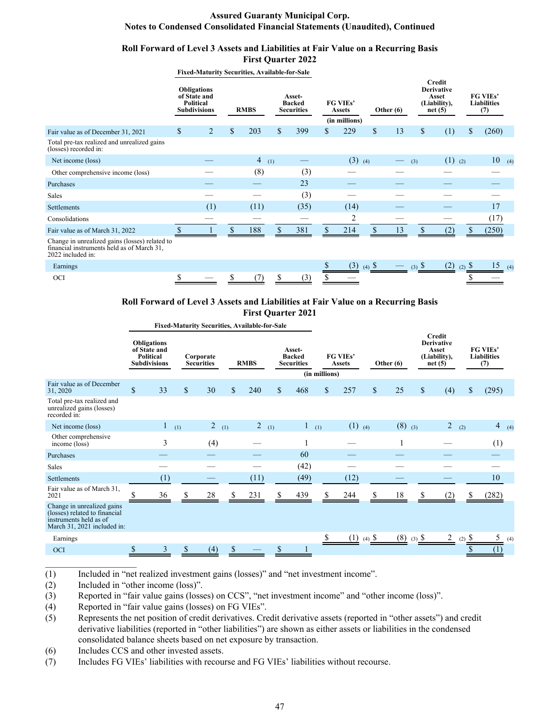#### **Roll Forward of Level 3 Assets and Liabilities at Fair Value on a Recurring Basis First Quarter 2022**

**Fixed-Maturity Securities, Available-for-Sale**

|                                                                                                                   | <b>Obligations</b><br>of State and<br>Political<br><b>Subdivisions</b> |                | <b>RMBS</b> | Asset-<br><b>Backed</b><br><b>Securities</b> |    | FG VIEs'<br><b>Assets</b><br>(in millions) | Other $(6)$ |     | <b>Credit</b><br><b>Derivative</b><br>Asset<br>(Liability),<br>net(5) | FG VIEs'<br><b>Liabilities</b><br>(7) |  |
|-------------------------------------------------------------------------------------------------------------------|------------------------------------------------------------------------|----------------|-------------|----------------------------------------------|----|--------------------------------------------|-------------|-----|-----------------------------------------------------------------------|---------------------------------------|--|
| Fair value as of December 31, 2021                                                                                | \$                                                                     | $\overline{2}$ | \$<br>203   | \$<br>399                                    | S. | 229                                        | \$<br>13    | \$  | (1)                                                                   | \$<br>(260)                           |  |
| Total pre-tax realized and unrealized gains<br>(losses) recorded in:                                              |                                                                        |                |             |                                              |    |                                            |             |     |                                                                       |                                       |  |
| Net income (loss)                                                                                                 |                                                                        |                | 4(1)        |                                              |    | $(3)$ (4)                                  |             | (3) | $(1)$ (2)                                                             | 10<br>(4)                             |  |
| Other comprehensive income (loss)                                                                                 |                                                                        |                | (8)         | (3)                                          |    |                                            |             |     |                                                                       |                                       |  |
| Purchases                                                                                                         |                                                                        |                |             | 23                                           |    |                                            |             |     |                                                                       |                                       |  |
| <b>Sales</b>                                                                                                      |                                                                        |                |             | (3)                                          |    |                                            |             |     |                                                                       |                                       |  |
| Settlements                                                                                                       |                                                                        | (1)            | (11)        | (35)                                         |    | (14)                                       |             |     |                                                                       | 17                                    |  |
| Consolidations                                                                                                    |                                                                        |                |             |                                              |    | 2                                          |             |     |                                                                       | (17)                                  |  |
| Fair value as of March 31, 2022                                                                                   |                                                                        |                | 188         | 381                                          |    | 214                                        | 13          |     | 2                                                                     | (250)                                 |  |
| Change in unrealized gains (losses) related to<br>financial instruments held as of March 31,<br>2022 included in: |                                                                        |                |             |                                              |    |                                            |             |     |                                                                       |                                       |  |

| Earnings   |  |  |  |  | $\hspace{0.1mm}-\hspace{0.1mm}$ | $(3)$ $\delta$ | $\overline{\phantom{0}}$ | (2)<br>. . | $\sim$ | (4) |
|------------|--|--|--|--|---------------------------------|----------------|--------------------------|------------|--------|-----|
| <b>OCI</b> |  |  |  |  |                                 |                |                          |            |        |     |

#### **Roll Forward of Level 3 Assets and Liabilities at Fair Value on a Recurring Basis First Quarter 2021**

**Fixed-Maturity Securities, Available-for-Sale**

|                                                                                                                      | <b>Obligations</b><br>of State and<br>Political<br><b>Subdivisions</b> |             | Corporate<br><b>Securities</b> |              | <b>RMBS</b> |    | Asset-<br><b>Backed</b><br><b>Securities</b> |               | FG VIEs'<br><b>Assets</b> |                  | Other $(6)$ |              | Credit<br><b>Derivative</b><br>Asset<br>(Liability),<br>net(5) |                     | FG VIEs'<br><b>Liabilities</b><br>(7) |     |
|----------------------------------------------------------------------------------------------------------------------|------------------------------------------------------------------------|-------------|--------------------------------|--------------|-------------|----|----------------------------------------------|---------------|---------------------------|------------------|-------------|--------------|----------------------------------------------------------------|---------------------|---------------------------------------|-----|
|                                                                                                                      |                                                                        |             |                                |              |             |    |                                              | (in millions) |                           |                  |             |              |                                                                |                     |                                       |     |
| Fair value as of December<br>31, 2020                                                                                | \$<br>33                                                               | $\mathbb S$ | 30                             | $\mathbb{S}$ | 240         | \$ | 468                                          | $\mathbb{S}$  | 257                       | $\mathbb{S}$     | 25          | $\mathbb{S}$ | (4)                                                            | \$                  | (295)                                 |     |
| Total pre-tax realized and<br>unrealized gains (losses)<br>recorded in:                                              |                                                                        |             |                                |              |             |    |                                              |               |                           |                  |             |              |                                                                |                     |                                       |     |
| Net income (loss)                                                                                                    | $\mathbf{1}$                                                           | (1)         | 2(1)                           |              | 2(1)        |    | $\mathbf{1}$                                 | (1)           | $(1)$ (4)                 |                  | $(8)$ (3)   |              | $\overline{2}$                                                 | (2)                 | 4(4)                                  |     |
| Other comprehensive<br>income (loss)                                                                                 | 3                                                                      |             | (4)                            |              |             |    |                                              |               |                           |                  |             |              |                                                                |                     | (1)                                   |     |
| Purchases                                                                                                            |                                                                        |             |                                |              |             |    | 60                                           |               |                           |                  |             |              |                                                                |                     |                                       |     |
| Sales                                                                                                                |                                                                        |             |                                |              |             |    | (42)                                         |               |                           |                  |             |              |                                                                |                     |                                       |     |
| Settlements                                                                                                          | (1)                                                                    |             |                                |              | (11)        |    | (49)                                         |               | (12)                      |                  |             |              |                                                                |                     | $10\,$                                |     |
| Fair value as of March 31.<br>2021                                                                                   | 36                                                                     |             | 28                             |              | 231         | S  | 439                                          | S.            | 244                       | S                | 18          |              | (2)                                                            |                     | (282)                                 |     |
| Change in unrealized gains<br>(losses) related to financial<br>instruments held as of<br>March 31, 2021 included in: |                                                                        |             |                                |              |             |    |                                              |               |                           |                  |             |              |                                                                |                     |                                       |     |
| Earnings                                                                                                             |                                                                        |             |                                |              |             |    |                                              |               | (1)                       | $(4)$ $\sqrt{5}$ | (8)         | $(3)$ $S$    | 2                                                              | $(2)$ $\frac{\$}{}$ |                                       | (4) |
| <b>OCI</b>                                                                                                           | \$<br>3                                                                | \$          | (4)                            | \$           |             | \$ | 1                                            |               |                           |                  |             |              |                                                                | \$                  | (1)                                   |     |

(1) Included in "net realized investment gains (losses)" and "net investment income".

(2) Included in "other income (loss)".

(3) Reported in "fair value gains (losses) on CCS", "net investment income" and "other income (loss)".

(4) Reported in "fair value gains (losses) on FG VIEs".

(5) Represents the net position of credit derivatives. Credit derivative assets (reported in "other assets") and credit derivative liabilities (reported in "other liabilities") are shown as either assets or liabilities in the condensed consolidated balance sheets based on net exposure by transaction.

(6) Includes CCS and other invested assets.

(7) Includes FG VIEs' liabilities with recourse and FG VIEs' liabilities without recourse.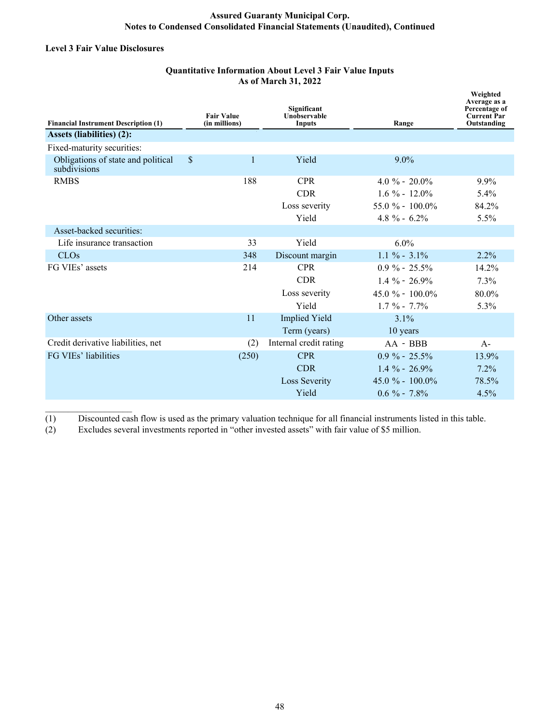#### **Level 3 Fair Value Disclosures**

 $\mathcal{L}_\text{max}$  , where  $\mathcal{L}_\text{max}$  and  $\mathcal{L}_\text{max}$ 

# **Quantitative Information About Level 3 Fair Value Inputs As of March 31, 2022**

| <b>Financial Instrument Description (1)</b>        | <b>Fair Value</b><br>(in millions) |       | Significant<br>Unobservable<br>Inputs | Range               | Weighted<br>Average as a<br>Percentage of<br><b>Current Par</b><br>Outstanding |
|----------------------------------------------------|------------------------------------|-------|---------------------------------------|---------------------|--------------------------------------------------------------------------------|
| Assets (liabilities) (2):                          |                                    |       |                                       |                     |                                                                                |
| Fixed-maturity securities:                         |                                    |       |                                       |                     |                                                                                |
| Obligations of state and political<br>subdivisions | \$                                 | 1     | Yield                                 | $9.0\%$             |                                                                                |
| <b>RMBS</b>                                        |                                    | 188   | <b>CPR</b>                            | $4.0 \% - 20.0\%$   | 9.9%                                                                           |
|                                                    |                                    |       | <b>CDR</b>                            | $1.6 \% - 12.0\%$   | $5.4\%$                                                                        |
|                                                    |                                    |       | Loss severity                         | $55.0 \% - 100.0\%$ | 84.2%                                                                          |
|                                                    |                                    |       | Yield                                 | $4.8 \% - 6.2\%$    | 5.5%                                                                           |
| Asset-backed securities:                           |                                    |       |                                       |                     |                                                                                |
| Life insurance transaction                         |                                    | 33    | Yield                                 | 6.0%                |                                                                                |
| <b>CLOs</b>                                        |                                    | 348   | Discount margin                       | $1.1 \% - 3.1\%$    | 2.2%                                                                           |
| FG VIEs' assets                                    |                                    | 214   | <b>CPR</b>                            | $0.9 \% - 25.5\%$   | 14.2%                                                                          |
|                                                    |                                    |       | <b>CDR</b>                            | $1.4 \%$ - 26.9%    | 7.3%                                                                           |
|                                                    |                                    |       | Loss severity                         | $45.0 \% - 100.0\%$ | $80.0\%$                                                                       |
|                                                    |                                    |       | Yield                                 | $1.7 \% - 7.7\%$    | 5.3%                                                                           |
| Other assets                                       |                                    | 11    | <b>Implied Yield</b>                  | $3.1\%$             |                                                                                |
|                                                    |                                    |       | Term (years)                          | 10 years            |                                                                                |
| Credit derivative liabilities, net                 |                                    | (2)   | Internal credit rating                | AA - BBB            | $A -$                                                                          |
| FG VIEs' liabilities                               |                                    | (250) | <b>CPR</b>                            | $0.9 \% - 25.5\%$   | 13.9%                                                                          |
|                                                    |                                    |       | <b>CDR</b>                            | $1.4 \% - 26.9%$    | 7.2%                                                                           |
|                                                    |                                    |       | <b>Loss Severity</b>                  | $45.0 \% - 100.0\%$ | 78.5%                                                                          |
|                                                    |                                    |       | Yield                                 | $0.6 \%$ - 7.8%     | 4.5%                                                                           |

(1) Discounted cash flow is used as the primary valuation technique for all financial instruments listed in this table.

(2) Excludes several investments reported in "other invested assets" with fair value of \$5 million.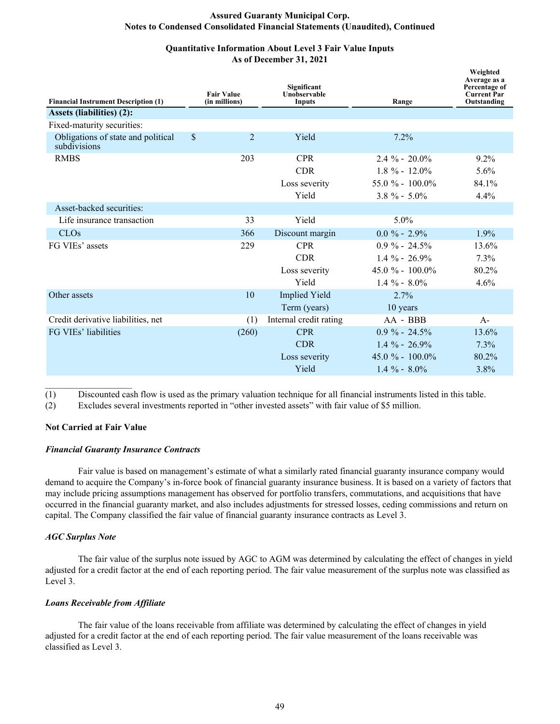# **Quantitative Information About Level 3 Fair Value Inputs As of December 31, 2021**

| <b>Financial Instrument Description (1)</b>        |               | <b>Fair Value</b><br>(in millions) | Significant<br>Unobservable<br>Inputs | Range               | Weighted<br>Average as a<br>Percentage of<br><b>Current Par</b><br>Outstanding |
|----------------------------------------------------|---------------|------------------------------------|---------------------------------------|---------------------|--------------------------------------------------------------------------------|
| <b>Assets (liabilities) (2):</b>                   |               |                                    |                                       |                     |                                                                                |
| Fixed-maturity securities:                         |               |                                    |                                       |                     |                                                                                |
| Obligations of state and political<br>subdivisions | $\mathbf{\$}$ | 2                                  | Yield                                 | 7.2%                |                                                                                |
| <b>RMBS</b>                                        |               | 203                                | <b>CPR</b>                            | $2.4 \% - 20.0\%$   | $9.2\%$                                                                        |
|                                                    |               |                                    | <b>CDR</b>                            | $1.8 \% - 12.0\%$   | 5.6%                                                                           |
|                                                    |               |                                    | Loss severity                         | $55.0 \% - 100.0\%$ | 84.1%                                                                          |
|                                                    |               |                                    | Yield                                 | $3.8 \% - 5.0\%$    | $4.4\%$                                                                        |
| Asset-backed securities:                           |               |                                    |                                       |                     |                                                                                |
| Life insurance transaction                         |               | 33                                 | Yield                                 | 5.0%                |                                                                                |
| <b>CLOs</b>                                        |               | 366                                | Discount margin                       | $0.0 \% - 2.9%$     | 1.9%                                                                           |
| FG VIEs' assets                                    |               | 229                                | <b>CPR</b>                            | $0.9\% - 24.5\%$    | 13.6%                                                                          |
|                                                    |               |                                    | <b>CDR</b>                            | $1.4 \% - 26.9\%$   | 7.3%                                                                           |
|                                                    |               |                                    | Loss severity                         | $45.0 \% - 100.0\%$ | 80.2%                                                                          |
|                                                    |               |                                    | Yield                                 | $1.4 \% - 8.0\%$    | 4.6%                                                                           |
| Other assets                                       |               | 10                                 | <b>Implied Yield</b>                  | $2.7\%$             |                                                                                |
|                                                    |               |                                    | Term (years)                          | 10 years            |                                                                                |
| Credit derivative liabilities, net                 |               | (1)                                | Internal credit rating                | AA - BBB            | $A -$                                                                          |
| FG VIEs' liabilities                               |               | (260)                              | <b>CPR</b>                            | $0.9\% - 24.5\%$    | 13.6%                                                                          |
|                                                    |               |                                    | <b>CDR</b>                            | $1.4 \% - 26.9%$    | 7.3%                                                                           |
|                                                    |               |                                    | Loss severity                         | $45.0 \% - 100.0\%$ | 80.2%                                                                          |
|                                                    |               |                                    | Yield                                 | $1.4\% - 8.0\%$     | 3.8%                                                                           |

(1) Discounted cash flow is used as the primary valuation technique for all financial instruments listed in this table.

(2) Excludes several investments reported in "other invested assets" with fair value of \$5 million.

# **Not Carried at Fair Value**

 $\mathcal{L}_\text{max}$  , where  $\mathcal{L}_\text{max}$  and  $\mathcal{L}_\text{max}$ 

#### *Financial Guaranty Insurance Contracts*

 Fair value is based on management's estimate of what a similarly rated financial guaranty insurance company would demand to acquire the Company's in-force book of financial guaranty insurance business. It is based on a variety of factors that may include pricing assumptions management has observed for portfolio transfers, commutations, and acquisitions that have occurred in the financial guaranty market, and also includes adjustments for stressed losses, ceding commissions and return on capital. The Company classified the fair value of financial guaranty insurance contracts as Level 3.

#### *AGC Surplus Note*

The fair value of the surplus note issued by AGC to AGM was determined by calculating the effect of changes in yield adjusted for a credit factor at the end of each reporting period. The fair value measurement of the surplus note was classified as Level 3.

#### *Loans Receivable from Affiliate*

 The fair value of the loans receivable from affiliate was determined by calculating the effect of changes in yield adjusted for a credit factor at the end of each reporting period. The fair value measurement of the loans receivable was classified as Level 3.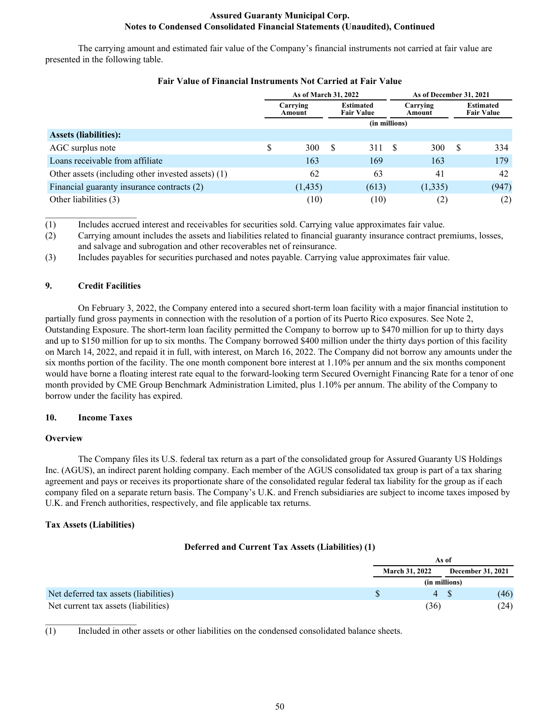The carrying amount and estimated fair value of the Company's financial instruments not carried at fair value are presented in the following table.

|                                                    | As of March 31, 2022 |          |              |                                       |                    | As of December 31, 2021 |   |                                       |  |
|----------------------------------------------------|----------------------|----------|--------------|---------------------------------------|--------------------|-------------------------|---|---------------------------------------|--|
|                                                    | Carrying<br>Amount   |          |              | <b>Estimated</b><br><b>Fair Value</b> | Carrying<br>Amount |                         |   | <b>Estimated</b><br><b>Fair Value</b> |  |
|                                                    |                      |          |              | (in millions)                         |                    |                         |   |                                       |  |
| <b>Assets (liabilities):</b>                       |                      |          |              |                                       |                    |                         |   |                                       |  |
| AGC surplus note                                   | \$                   | 300      | <sup>S</sup> | 311                                   | - \$               | 300                     | S | 334                                   |  |
| Loans receivable from affiliate                    |                      | 163      |              | 169                                   |                    | 163                     |   | 179                                   |  |
| Other assets (including other invested assets) (1) |                      | 62       |              | 63                                    |                    | 41                      |   | 42                                    |  |
| Financial guaranty insurance contracts (2)         |                      | (1, 435) |              | (613)                                 |                    | (1, 335)                |   | (947)                                 |  |
| Other liabilities (3)                              |                      | (10)     |              | (10)                                  |                    | (2)                     |   | (2)                                   |  |

# **Fair Value of Financial Instruments Not Carried at Fair Value**

(1) Includes accrued interest and receivables for securities sold. Carrying value approximates fair value.

(2) Carrying amount includes the assets and liabilities related to financial guaranty insurance contract premiums, losses, and salvage and subrogation and other recoverables net of reinsurance.

(3) Includes payables for securities purchased and notes payable. Carrying value approximates fair value.

# **9. Credit Facilities**

 $\mathcal{L}_\text{max}$  , where  $\mathcal{L}_\text{max}$  , we have

On February 3, 2022, the Company entered into a secured short-term loan facility with a major financial institution to partially fund gross payments in connection with the resolution of a portion of its Puerto Rico exposures. See Note 2, Outstanding Exposure. The short-term loan facility permitted the Company to borrow up to \$470 million for up to thirty days and up to \$150 million for up to six months. The Company borrowed \$400 million under the thirty days portion of this facility on March 14, 2022, and repaid it in full, with interest, on March 16, 2022. The Company did not borrow any amounts under the six months portion of the facility. The one month component bore interest at 1.10% per annum and the six months component would have borne a floating interest rate equal to the forward-looking term Secured Overnight Financing Rate for a tenor of one month provided by CME Group Benchmark Administration Limited, plus 1.10% per annum. The ability of the Company to borrow under the facility has expired.

#### **10. Income Taxes**

# **Overview**

 The Company files its U.S. federal tax return as a part of the consolidated group for Assured Guaranty US Holdings Inc. (AGUS), an indirect parent holding company. Each member of the AGUS consolidated tax group is part of a tax sharing agreement and pays or receives its proportionate share of the consolidated regular federal tax liability for the group as if each company filed on a separate return basis. The Company's U.K. and French subsidiaries are subject to income taxes imposed by U.K. and French authorities, respectively, and file applicable tax returns.

# **Tax Assets (Liabilities)**

 $\mathcal{L}_\text{max}$  , where  $\mathcal{L}_\text{max}$  , we have

#### **Deferred and Current Tax Assets (Liabilities) (1)**

|                                       | As of                 |                   |  |  |
|---------------------------------------|-----------------------|-------------------|--|--|
|                                       | <b>March 31, 2022</b> | December 31, 2021 |  |  |
|                                       | (in millions)         |                   |  |  |
| Net deferred tax assets (liabilities) | 4 S                   | (46)              |  |  |
| Net current tax assets (liabilities)  | (36)                  | (24)              |  |  |

(1) Included in other assets or other liabilities on the condensed consolidated balance sheets.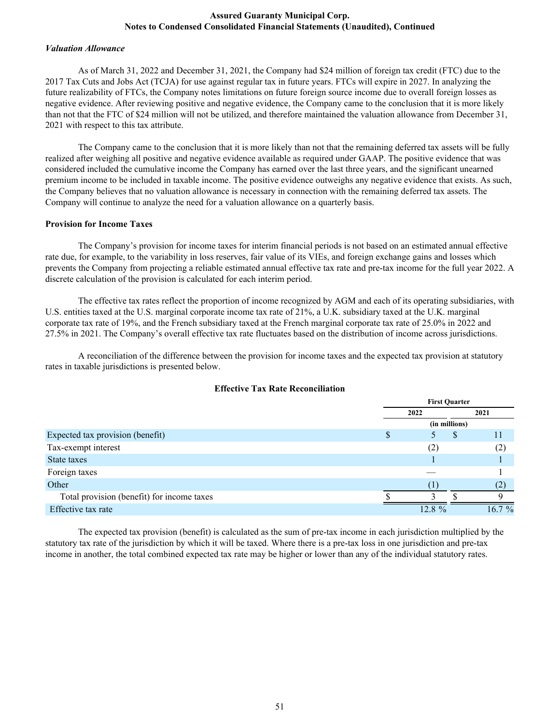#### *Valuation Allowance*

 As of March 31, 2022 and December 31, 2021, the Company had \$24 million of foreign tax credit (FTC) due to the 2017 Tax Cuts and Jobs Act (TCJA) for use against regular tax in future years. FTCs will expire in 2027. In analyzing the future realizability of FTCs, the Company notes limitations on future foreign source income due to overall foreign losses as negative evidence. After reviewing positive and negative evidence, the Company came to the conclusion that it is more likely than not that the FTC of \$24 million will not be utilized, and therefore maintained the valuation allowance from December 31, 2021 with respect to this tax attribute.

The Company came to the conclusion that it is more likely than not that the remaining deferred tax assets will be fully realized after weighing all positive and negative evidence available as required under GAAP. The positive evidence that was considered included the cumulative income the Company has earned over the last three years, and the significant unearned premium income to be included in taxable income. The positive evidence outweighs any negative evidence that exists. As such, the Company believes that no valuation allowance is necessary in connection with the remaining deferred tax assets. The Company will continue to analyze the need for a valuation allowance on a quarterly basis.

#### **Provision for Income Taxes**

 The Company's provision for income taxes for interim financial periods is not based on an estimated annual effective rate due, for example, to the variability in loss reserves, fair value of its VIEs, and foreign exchange gains and losses which prevents the Company from projecting a reliable estimated annual effective tax rate and pre-tax income for the full year 2022. A discrete calculation of the provision is calculated for each interim period.

 The effective tax rates reflect the proportion of income recognized by AGM and each of its operating subsidiaries, with U.S. entities taxed at the U.S. marginal corporate income tax rate of 21%, a U.K. subsidiary taxed at the U.K. marginal corporate tax rate of 19%, and the French subsidiary taxed at the French marginal corporate tax rate of 25.0% in 2022 and 27.5% in 2021. The Company's overall effective tax rate fluctuates based on the distribution of income across jurisdictions.

 A reconciliation of the difference between the provision for income taxes and the expected tax provision at statutory rates in taxable jurisdictions is presented below.

|                                            |   | <b>First Quarter</b> |   |           |  |  |
|--------------------------------------------|---|----------------------|---|-----------|--|--|
|                                            |   | 2022                 |   | 2021      |  |  |
|                                            |   | (in millions)        |   |           |  |  |
| Expected tax provision (benefit)           | S |                      | S |           |  |  |
| Tax-exempt interest                        |   | (2)                  |   | (2)       |  |  |
| State taxes                                |   |                      |   |           |  |  |
| Foreign taxes                              |   |                      |   |           |  |  |
| Other                                      |   |                      |   | (2        |  |  |
| Total provision (benefit) for income taxes |   |                      |   |           |  |  |
| Effective tax rate                         |   | 12.8 %               |   | $16.7 \%$ |  |  |

# **Effective Tax Rate Reconciliation**

The expected tax provision (benefit) is calculated as the sum of pre-tax income in each jurisdiction multiplied by the statutory tax rate of the jurisdiction by which it will be taxed. Where there is a pre-tax loss in one jurisdiction and pre-tax income in another, the total combined expected tax rate may be higher or lower than any of the individual statutory rates.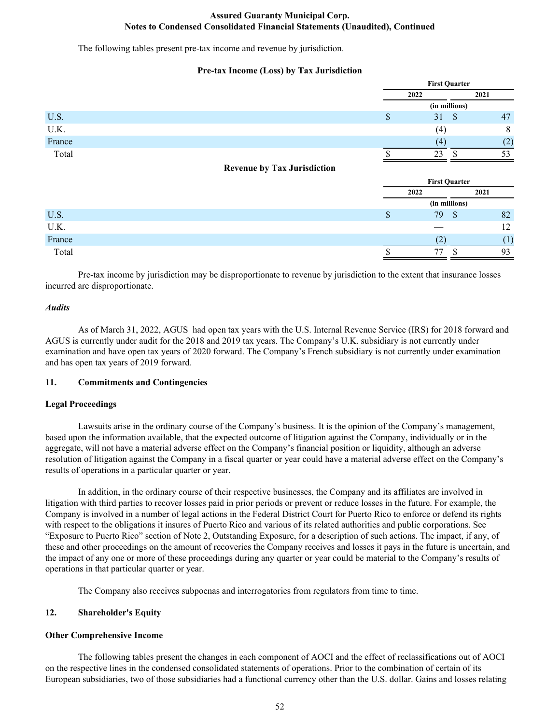The following tables present pre-tax income and revenue by jurisdiction.

# **Pre-tax Income (Loss) by Tax Jurisdiction**

|        |                                    | <b>First Quarter</b> |          |         |  |
|--------|------------------------------------|----------------------|----------|---------|--|
|        |                                    | 2022                 |          | 2021    |  |
|        |                                    | (in millions)        |          |         |  |
| U.S.   |                                    | Φ                    | 31<br>-S | 47      |  |
| U.K.   |                                    |                      | (4)      | $\circ$ |  |
| France |                                    |                      | (4)      | (2)     |  |
| Total  |                                    |                      | 23       | 53      |  |
|        | <b>Revenue by Tax Jurisdiction</b> |                      |          |         |  |

|        |      | <b>First Quarter</b> |      |  |  |
|--------|------|----------------------|------|--|--|
|        | 2022 |                      | 2021 |  |  |
|        |      | (in millions)        |      |  |  |
| U.S.   | Φ    | 79<br>\$             | 82   |  |  |
| U.K.   |      |                      | 12   |  |  |
| France |      |                      |      |  |  |
| Total  |      |                      | 93   |  |  |

 Pre-tax income by jurisdiction may be disproportionate to revenue by jurisdiction to the extent that insurance losses incurred are disproportionate.

#### *Audits*

As of March 31, 2022, AGUS had open tax years with the U.S. Internal Revenue Service (IRS) for 2018 forward and AGUS is currently under audit for the 2018 and 2019 tax years. The Company's U.K. subsidiary is not currently under examination and have open tax years of 2020 forward. The Company's French subsidiary is not currently under examination and has open tax years of 2019 forward.

## **11. Commitments and Contingencies**

# **Legal Proceedings**

Lawsuits arise in the ordinary course of the Company's business. It is the opinion of the Company's management, based upon the information available, that the expected outcome of litigation against the Company, individually or in the aggregate, will not have a material adverse effect on the Company's financial position or liquidity, although an adverse resolution of litigation against the Company in a fiscal quarter or year could have a material adverse effect on the Company's results of operations in a particular quarter or year.

In addition, in the ordinary course of their respective businesses, the Company and its affiliates are involved in litigation with third parties to recover losses paid in prior periods or prevent or reduce losses in the future. For example, the Company is involved in a number of legal actions in the Federal District Court for Puerto Rico to enforce or defend its rights with respect to the obligations it insures of Puerto Rico and various of its related authorities and public corporations. See "Exposure to Puerto Rico" section of Note 2, Outstanding Exposure, for a description of such actions. The impact, if any, of these and other proceedings on the amount of recoveries the Company receives and losses it pays in the future is uncertain, and the impact of any one or more of these proceedings during any quarter or year could be material to the Company's results of operations in that particular quarter or year.

The Company also receives subpoenas and interrogatories from regulators from time to time.

#### **12. Shareholder's Equity**

#### **Other Comprehensive Income**

The following tables present the changes in each component of AOCI and the effect of reclassifications out of AOCI on the respective lines in the condensed consolidated statements of operations. Prior to the combination of certain of its European subsidiaries, two of those subsidiaries had a functional currency other than the U.S. dollar. Gains and losses relating